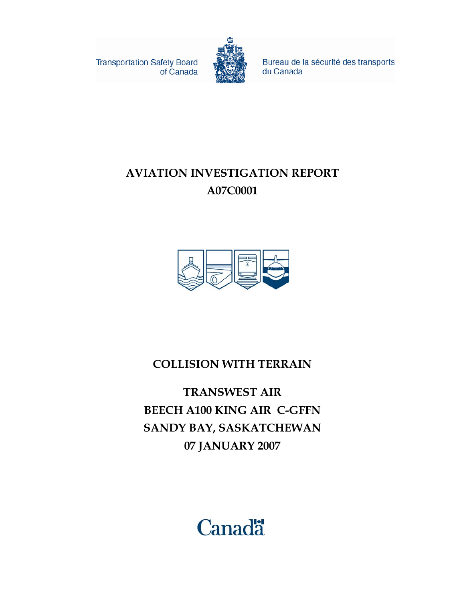**Transportation Safety Board** of Canada



Bureau de la sécurité des transports du Canada

# **AVIATION INVESTIGATION REPORT A07C0001**



# **COLLISION WITH TERRAIN**

**TRANSWEST AIR BEECH A100 KING AIR C-GFFN SANDY BAY, SASKATCHEWAN 07 JANUARY 2007** 

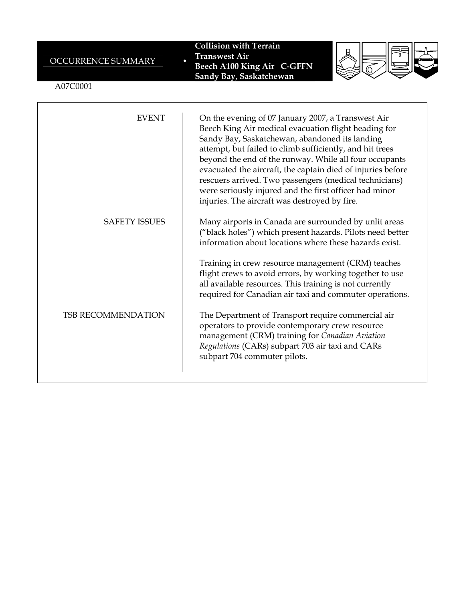| OCCURRENCE SUMMARY<br>A07C0001 | <b>Collision with Terrain</b><br><b>Transwest Air</b><br><b>Beech A100 King Air C-GFFN</b><br>Sandy Bay, Saskatchewan                                                                                                                                                                                                                                                                                                                                                                                                  |
|--------------------------------|------------------------------------------------------------------------------------------------------------------------------------------------------------------------------------------------------------------------------------------------------------------------------------------------------------------------------------------------------------------------------------------------------------------------------------------------------------------------------------------------------------------------|
| <b>EVENT</b>                   | On the evening of 07 January 2007, a Transwest Air<br>Beech King Air medical evacuation flight heading for<br>Sandy Bay, Saskatchewan, abandoned its landing<br>attempt, but failed to climb sufficiently, and hit trees<br>beyond the end of the runway. While all four occupants<br>evacuated the aircraft, the captain died of injuries before<br>rescuers arrived. Two passengers (medical technicians)<br>were seriously injured and the first officer had minor<br>injuries. The aircraft was destroyed by fire. |
| $C$ a pppy incoting            | 11 11 11                                                                                                                                                                                                                                                                                                                                                                                                                                                                                                               |

SAFETY ISSUES | Many airports in Canada are surrounded by unlit areas ("black holes") which present hazards. Pilots need better information about locations where these hazards exist.

> Training in crew resource management (CRM) teaches flight crews to avoid errors, by working together to use all available resources. This training is not currently required for Canadian air taxi and commuter operations.

TSB RECOMMENDATION The Department of Transport require commercial air operators to provide contemporary crew resource management (CRM) training for *Canadian Aviation Regulations* (CARs) subpart 703 air taxi and CARs subpart 704 commuter pilots.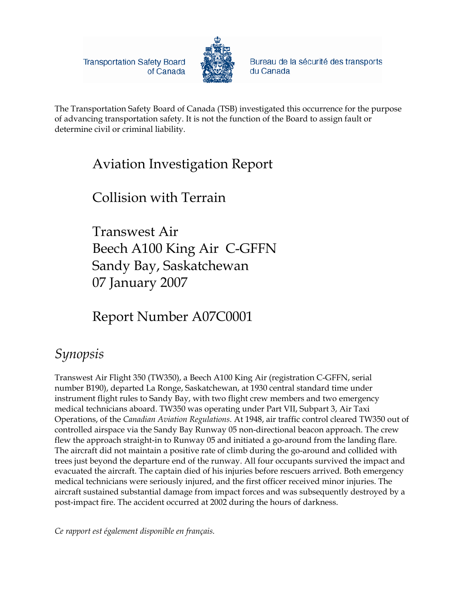**Transportation Safety Board** of Canada



Bureau de la sécurité des transports du Canada

The Transportation Safety Board of Canada (TSB) investigated this occurrence for the purpose of advancing transportation safety. It is not the function of the Board to assign fault or determine civil or criminal liability.

# Aviation Investigation Report

# Collision with Terrain

Transwest Air Beech A100 King Air C-GFFN Sandy Bay, Saskatchewan 07 January 2007

# Report Number A07C0001

# *Synopsis*

Transwest Air Flight 350 (TW350), a Beech A100 King Air (registration C-GFFN, serial number B190), departed La Ronge, Saskatchewan, at 1930 central standard time under instrument flight rules to Sandy Bay, with two flight crew members and two emergency medical technicians aboard. TW350 was operating under Part VII, Subpart 3, Air Taxi Operations, of the *Canadian Aviation Regulations*. At 1948, air traffic control cleared TW350 out of controlled airspace via the Sandy Bay Runway 05 non-directional beacon approach. The crew flew the approach straight-in to Runway 05 and initiated a go-around from the landing flare. The aircraft did not maintain a positive rate of climb during the go-around and collided with trees just beyond the departure end of the runway. All four occupants survived the impact and evacuated the aircraft. The captain died of his injuries before rescuers arrived. Both emergency medical technicians were seriously injured, and the first officer received minor injuries. The aircraft sustained substantial damage from impact forces and was subsequently destroyed by a post-impact fire. The accident occurred at 2002 during the hours of darkness.

*Ce rapport est également disponible en français.*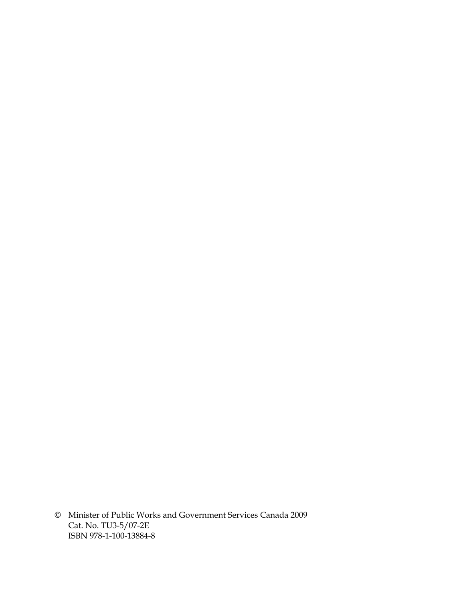© Minister of Public Works and Government Services Canada 2009 Cat. No. TU3-5/07-2E ISBN 978-1-100-13884-8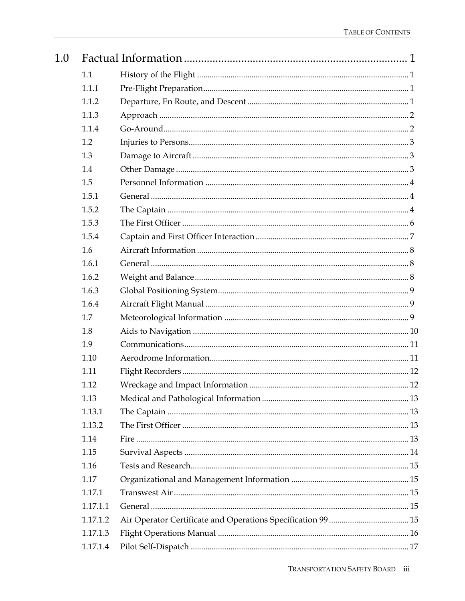| 1.0 |          |  |
|-----|----------|--|
|     | 1.1      |  |
|     | 1.1.1    |  |
|     | 1.1.2    |  |
|     | 1.1.3    |  |
|     | 1.1.4    |  |
|     | 1.2      |  |
|     | 1.3      |  |
|     | 1.4      |  |
|     | 1.5      |  |
|     | 1.5.1    |  |
|     | 1.5.2    |  |
|     | 1.5.3    |  |
|     | 1.5.4    |  |
|     | 1.6      |  |
|     | 1.6.1    |  |
|     | 1.6.2    |  |
|     | 1.6.3    |  |
|     | 1.6.4    |  |
|     | 1.7      |  |
|     | 1.8      |  |
|     | 1.9      |  |
|     | 1.10     |  |
|     | 1.11     |  |
|     | 1.12     |  |
|     | 1.13     |  |
|     | 1.13.1   |  |
|     | 1.13.2   |  |
|     | 1.14     |  |
|     | 1.15     |  |
|     | 1.16     |  |
|     | 1.17     |  |
|     | 1.17.1   |  |
|     | 1.17.1.1 |  |
|     | 1.17.1.2 |  |
|     | 1.17.1.3 |  |
|     | 1.17.1.4 |  |
|     |          |  |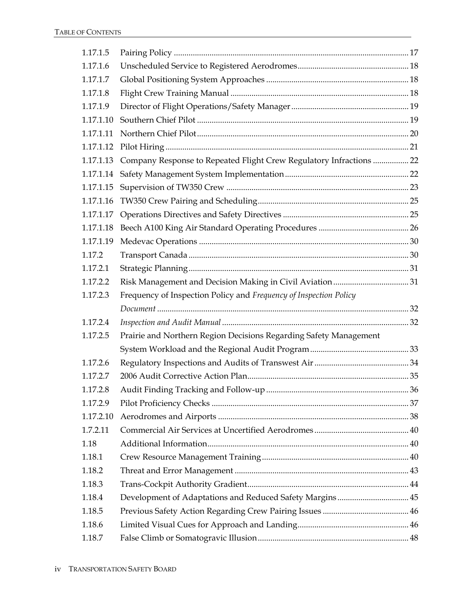| 1.17.1.5  |                                                                     |  |
|-----------|---------------------------------------------------------------------|--|
| 1.17.1.6  |                                                                     |  |
| 1.17.1.7  |                                                                     |  |
| 1.17.1.8  |                                                                     |  |
| 1.17.1.9  |                                                                     |  |
| 1.17.1.10 |                                                                     |  |
| 1.17.1.11 |                                                                     |  |
| 1.17.1.12 |                                                                     |  |
| 1.17.1.13 | Company Response to Repeated Flight Crew Regulatory Infractions  22 |  |
| 1.17.1.14 |                                                                     |  |
| 1.17.1.15 |                                                                     |  |
| 1.17.1.16 |                                                                     |  |
| 1.17.1.17 |                                                                     |  |
| 1.17.1.18 |                                                                     |  |
| 1.17.1.19 |                                                                     |  |
| 1.17.2    |                                                                     |  |
| 1.17.2.1  |                                                                     |  |
| 1.17.2.2  |                                                                     |  |
| 1.17.2.3  | Frequency of Inspection Policy and Frequency of Inspection Policy   |  |
|           |                                                                     |  |
| 1.17.2.4  |                                                                     |  |
| 1.17.2.5  | Prairie and Northern Region Decisions Regarding Safety Management   |  |
|           |                                                                     |  |
| 1.17.2.6  |                                                                     |  |
| 1.17.2.7  |                                                                     |  |
| 1.17.2.8  |                                                                     |  |
| 1.17.2.9  |                                                                     |  |
| 1.17.2.10 |                                                                     |  |
| 1.7.2.11  |                                                                     |  |
| 1.18      |                                                                     |  |
| 1.18.1    |                                                                     |  |
| 1.18.2    |                                                                     |  |
| 1.18.3    |                                                                     |  |
| 1.18.4    | Development of Adaptations and Reduced Safety Margins 45            |  |
| 1.18.5    |                                                                     |  |
| 1.18.6    |                                                                     |  |
| 1.18.7    |                                                                     |  |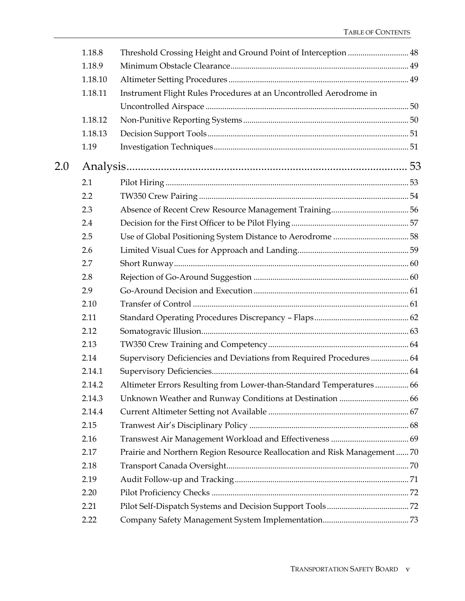|     | 1.18.8  |                                                                          |  |
|-----|---------|--------------------------------------------------------------------------|--|
|     | 1.18.9  |                                                                          |  |
|     | 1.18.10 |                                                                          |  |
|     | 1.18.11 | Instrument Flight Rules Procedures at an Uncontrolled Aerodrome in       |  |
|     |         |                                                                          |  |
|     | 1.18.12 |                                                                          |  |
|     | 1.18.13 |                                                                          |  |
|     | 1.19    |                                                                          |  |
| 2.0 |         |                                                                          |  |
|     | 2.1     |                                                                          |  |
|     | 2.2     |                                                                          |  |
|     | 2.3     |                                                                          |  |
|     | 2.4     |                                                                          |  |
|     | 2.5     |                                                                          |  |
|     | 2.6     |                                                                          |  |
|     | 2.7     |                                                                          |  |
|     | 2.8     |                                                                          |  |
|     | 2.9     |                                                                          |  |
|     | 2.10    |                                                                          |  |
|     | 2.11    |                                                                          |  |
|     | 2.12    |                                                                          |  |
|     | 2.13    |                                                                          |  |
|     | 2.14    | Supervisory Deficiencies and Deviations from Required Procedures 64      |  |
|     | 2.14.1  |                                                                          |  |
|     | 2.14.2  | Altimeter Errors Resulting from Lower-than-Standard Temperatures 66      |  |
|     | 2.14.3  |                                                                          |  |
|     | 2.14.4  |                                                                          |  |
|     | 2.15    |                                                                          |  |
|     | 2.16    |                                                                          |  |
|     | 2.17    | Prairie and Northern Region Resource Reallocation and Risk Management 70 |  |
|     | 2.18    |                                                                          |  |
|     | 2.19    |                                                                          |  |
|     | 2.20    |                                                                          |  |
|     | 2.21    |                                                                          |  |
|     | 2.22    |                                                                          |  |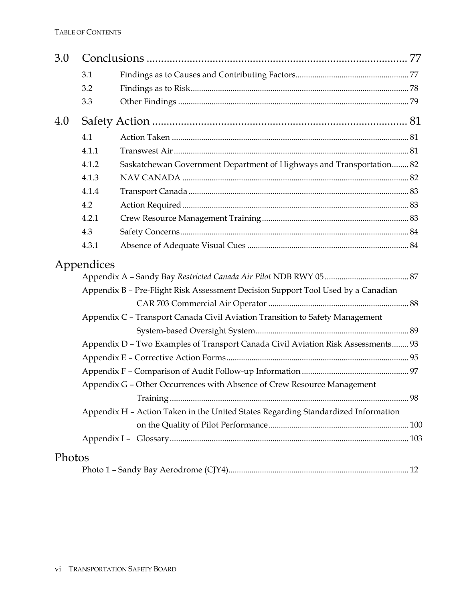| 3.0    |            |                                                                                   |  |
|--------|------------|-----------------------------------------------------------------------------------|--|
|        | 3.1        |                                                                                   |  |
|        | 3.2        |                                                                                   |  |
|        | 3.3        |                                                                                   |  |
| 4.0    |            |                                                                                   |  |
|        | 4.1        |                                                                                   |  |
|        | 4.1.1      |                                                                                   |  |
|        | 4.1.2      | Saskatchewan Government Department of Highways and Transportation 82              |  |
|        | 4.1.3      |                                                                                   |  |
|        | 4.1.4      |                                                                                   |  |
|        | 4.2        |                                                                                   |  |
|        | 4.2.1      |                                                                                   |  |
|        | 4.3        |                                                                                   |  |
|        | 4.3.1      |                                                                                   |  |
|        | Appendices |                                                                                   |  |
|        |            |                                                                                   |  |
|        |            | Appendix B - Pre-Flight Risk Assessment Decision Support Tool Used by a Canadian  |  |
|        |            |                                                                                   |  |
|        |            | Appendix C - Transport Canada Civil Aviation Transition to Safety Management      |  |
|        |            |                                                                                   |  |
|        |            | Appendix D - Two Examples of Transport Canada Civil Aviation Risk Assessments 93  |  |
|        |            |                                                                                   |  |
|        |            |                                                                                   |  |
|        |            | Appendix G - Other Occurrences with Absence of Crew Resource Management           |  |
|        |            |                                                                                   |  |
|        |            | Appendix H - Action Taken in the United States Regarding Standardized Information |  |
|        |            |                                                                                   |  |
|        |            |                                                                                   |  |
| Photos |            |                                                                                   |  |
|        |            |                                                                                   |  |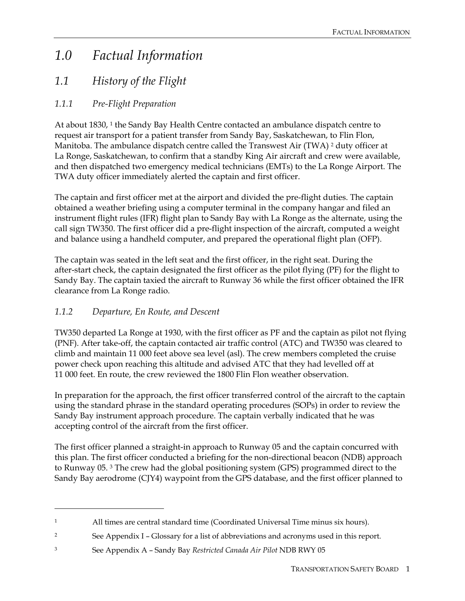# *1.0 Factual Information*

## *1.1 History of the Flight*

### *1.1.1 Pre-Flight Preparation*

At about 1830, <sup>1</sup> the Sandy Bay Health Centre contacted an ambulance dispatch centre to request air transport for a patient transfer from Sandy Bay, Saskatchewan, to Flin Flon, Manitoba. The ambulance dispatch centre called the Transwest Air (TWA) 2 duty officer at La Ronge, Saskatchewan, to confirm that a standby King Air aircraft and crew were available, and then dispatched two emergency medical technicians (EMTs) to the La Ronge Airport. The TWA duty officer immediately alerted the captain and first officer.

The captain and first officer met at the airport and divided the pre-flight duties. The captain obtained a weather briefing using a computer terminal in the company hangar and filed an instrument flight rules (IFR) flight plan to Sandy Bay with La Ronge as the alternate, using the call sign TW350. The first officer did a pre-flight inspection of the aircraft, computed a weight and balance using a handheld computer, and prepared the operational flight plan (OFP).

The captain was seated in the left seat and the first officer, in the right seat. During the after-start check, the captain designated the first officer as the pilot flying (PF) for the flight to Sandy Bay. The captain taxied the aircraft to Runway 36 while the first officer obtained the IFR clearance from La Ronge radio.

### *1.1.2 Departure, En Route, and Descent*

 $\overline{a}$ 

TW350 departed La Ronge at 1930, with the first officer as PF and the captain as pilot not flying (PNF). After take-off, the captain contacted air traffic control (ATC) and TW350 was cleared to climb and maintain 11 000 feet above sea level (asl). The crew members completed the cruise power check upon reaching this altitude and advised ATC that they had levelled off at 11 000 feet. En route, the crew reviewed the 1800 Flin Flon weather observation.

In preparation for the approach, the first officer transferred control of the aircraft to the captain using the standard phrase in the standard operating procedures (SOPs) in order to review the Sandy Bay instrument approach procedure. The captain verbally indicated that he was accepting control of the aircraft from the first officer.

The first officer planned a straight-in approach to Runway 05 and the captain concurred with this plan. The first officer conducted a briefing for the non-directional beacon (NDB) approach to Runway 05. 3 The crew had the global positioning system (GPS) programmed direct to the Sandy Bay aerodrome (CJY4) waypoint from the GPS database, and the first officer planned to

<sup>1</sup> All times are central standard time (Coordinated Universal Time minus six hours).

<sup>&</sup>lt;sup>2</sup> See Appendix I – Glossary for a list of abbreviations and acronyms used in this report.

<sup>3</sup> See Appendix A – Sandy Bay *Restricted Canada Air Pilot* NDB RWY 05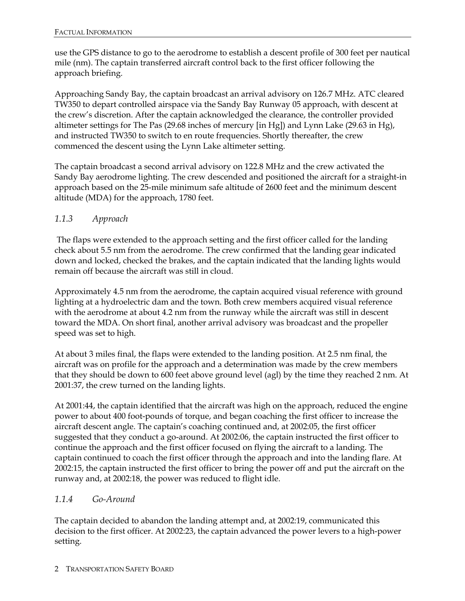use the GPS distance to go to the aerodrome to establish a descent profile of 300 feet per nautical mile (nm). The captain transferred aircraft control back to the first officer following the approach briefing.

Approaching Sandy Bay, the captain broadcast an arrival advisory on 126.7 MHz. ATC cleared TW350 to depart controlled airspace via the Sandy Bay Runway 05 approach, with descent at the crew's discretion. After the captain acknowledged the clearance, the controller provided altimeter settings for The Pas (29.68 inches of mercury [in Hg]) and Lynn Lake (29.63 in Hg), and instructed TW350 to switch to en route frequencies. Shortly thereafter, the crew commenced the descent using the Lynn Lake altimeter setting.

The captain broadcast a second arrival advisory on 122.8 MHz and the crew activated the Sandy Bay aerodrome lighting. The crew descended and positioned the aircraft for a straight-in approach based on the 25-mile minimum safe altitude of 2600 feet and the minimum descent altitude (MDA) for the approach, 1780 feet.

### *1.1.3 Approach*

 The flaps were extended to the approach setting and the first officer called for the landing check about 5.5 nm from the aerodrome. The crew confirmed that the landing gear indicated down and locked, checked the brakes, and the captain indicated that the landing lights would remain off because the aircraft was still in cloud.

Approximately 4.5 nm from the aerodrome, the captain acquired visual reference with ground lighting at a hydroelectric dam and the town. Both crew members acquired visual reference with the aerodrome at about 4.2 nm from the runway while the aircraft was still in descent toward the MDA. On short final, another arrival advisory was broadcast and the propeller speed was set to high.

At about 3 miles final, the flaps were extended to the landing position. At 2.5 nm final, the aircraft was on profile for the approach and a determination was made by the crew members that they should be down to 600 feet above ground level (agl) by the time they reached 2 nm. At 2001:37, the crew turned on the landing lights.

At 2001:44, the captain identified that the aircraft was high on the approach, reduced the engine power to about 400 foot-pounds of torque, and began coaching the first officer to increase the aircraft descent angle. The captain's coaching continued and, at 2002:05, the first officer suggested that they conduct a go-around. At 2002:06, the captain instructed the first officer to continue the approach and the first officer focused on flying the aircraft to a landing. The captain continued to coach the first officer through the approach and into the landing flare. At 2002:15, the captain instructed the first officer to bring the power off and put the aircraft on the runway and, at 2002:18, the power was reduced to flight idle.

#### *1.1.4 Go-Around*

The captain decided to abandon the landing attempt and, at 2002:19, communicated this decision to the first officer. At 2002:23, the captain advanced the power levers to a high-power setting.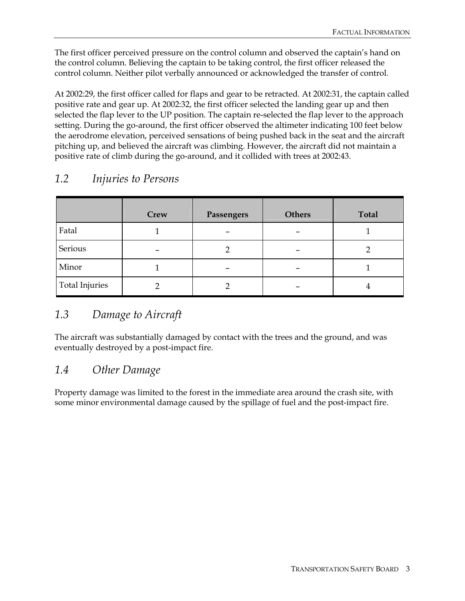The first officer perceived pressure on the control column and observed the captain's hand on the control column. Believing the captain to be taking control, the first officer released the control column. Neither pilot verbally announced or acknowledged the transfer of control.

At 2002:29, the first officer called for flaps and gear to be retracted. At 2002:31, the captain called positive rate and gear up. At 2002:32, the first officer selected the landing gear up and then selected the flap lever to the UP position. The captain re-selected the flap lever to the approach setting. During the go-around, the first officer observed the altimeter indicating 100 feet below the aerodrome elevation, perceived sensations of being pushed back in the seat and the aircraft pitching up, and believed the aircraft was climbing. However, the aircraft did not maintain a positive rate of climb during the go-around, and it collided with trees at 2002:43.

|                       | Crew | Passengers | <b>Others</b> | <b>Total</b> |
|-----------------------|------|------------|---------------|--------------|
| Fatal                 |      |            |               |              |
| Serious               |      |            |               |              |
| Minor                 |      |            |               |              |
| <b>Total Injuries</b> |      |            |               | -            |

## *1.2 Injuries to Persons*

## *1.3 Damage to Aircraft*

The aircraft was substantially damaged by contact with the trees and the ground, and was eventually destroyed by a post-impact fire.

### *1.4 Other Damage*

Property damage was limited to the forest in the immediate area around the crash site, with some minor environmental damage caused by the spillage of fuel and the post-impact fire.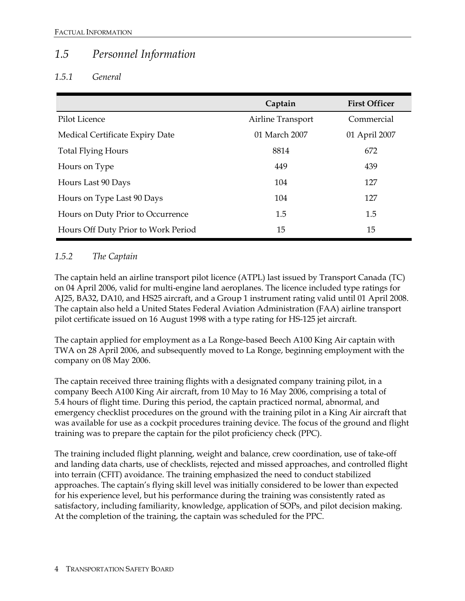### *1.5 Personnel Information*

### *1.5.1 General*

|                                     | Captain           | <b>First Officer</b> |
|-------------------------------------|-------------------|----------------------|
| Pilot Licence                       | Airline Transport | Commercial           |
| Medical Certificate Expiry Date     | 01 March 2007     | 01 April 2007        |
| <b>Total Flying Hours</b>           | 8814              | 672                  |
| Hours on Type                       | 449               | 439                  |
| Hours Last 90 Days                  | 104               | 127                  |
| Hours on Type Last 90 Days          | 104               | 127                  |
| Hours on Duty Prior to Occurrence   | 1.5               | 1.5                  |
| Hours Off Duty Prior to Work Period | 15                | 15                   |

### *1.5.2 The Captain*

The captain held an airline transport pilot licence (ATPL) last issued by Transport Canada (TC) on 04 April 2006, valid for multi-engine land aeroplanes. The licence included type ratings for AJ25, BA32, DA10, and HS25 aircraft, and a Group 1 instrument rating valid until 01 April 2008. The captain also held a United States Federal Aviation Administration (FAA) airline transport pilot certificate issued on 16 August 1998 with a type rating for HS-125 jet aircraft.

The captain applied for employment as a La Ronge-based Beech A100 King Air captain with TWA on 28 April 2006, and subsequently moved to La Ronge, beginning employment with the company on 08 May 2006.

The captain received three training flights with a designated company training pilot, in a company Beech A100 King Air aircraft, from 10 May to 16 May 2006, comprising a total of 5.4 hours of flight time. During this period, the captain practiced normal, abnormal, and emergency checklist procedures on the ground with the training pilot in a King Air aircraft that was available for use as a cockpit procedures training device. The focus of the ground and flight training was to prepare the captain for the pilot proficiency check (PPC).

The training included flight planning, weight and balance, crew coordination, use of take-off and landing data charts, use of checklists, rejected and missed approaches, and controlled flight into terrain (CFIT) avoidance. The training emphasized the need to conduct stabilized approaches. The captain's flying skill level was initially considered to be lower than expected for his experience level, but his performance during the training was consistently rated as satisfactory, including familiarity, knowledge, application of SOPs, and pilot decision making. At the completion of the training, the captain was scheduled for the PPC.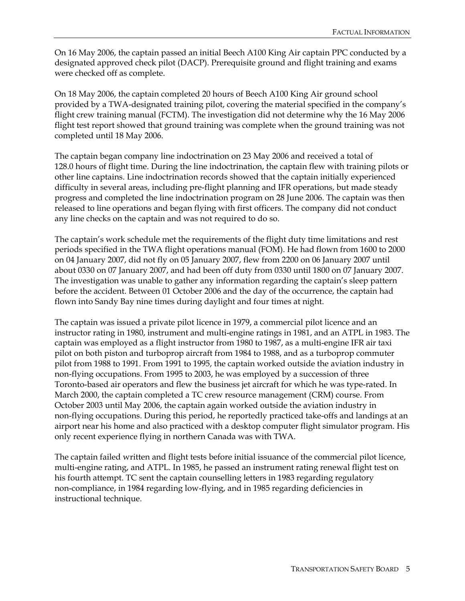On 16 May 2006, the captain passed an initial Beech A100 King Air captain PPC conducted by a designated approved check pilot (DACP). Prerequisite ground and flight training and exams were checked off as complete.

On 18 May 2006, the captain completed 20 hours of Beech A100 King Air ground school provided by a TWA-designated training pilot, covering the material specified in the company's flight crew training manual (FCTM). The investigation did not determine why the 16 May 2006 flight test report showed that ground training was complete when the ground training was not completed until 18 May 2006.

The captain began company line indoctrination on 23 May 2006 and received a total of 128.0 hours of flight time. During the line indoctrination, the captain flew with training pilots or other line captains. Line indoctrination records showed that the captain initially experienced difficulty in several areas, including pre-flight planning and IFR operations, but made steady progress and completed the line indoctrination program on 28 June 2006. The captain was then released to line operations and began flying with first officers. The company did not conduct any line checks on the captain and was not required to do so.

The captain's work schedule met the requirements of the flight duty time limitations and rest periods specified in the TWA flight operations manual (FOM). He had flown from 1600 to 2000 on 04 January 2007, did not fly on 05 January 2007, flew from 2200 on 06 January 2007 until about 0330 on 07 January 2007, and had been off duty from 0330 until 1800 on 07 January 2007. The investigation was unable to gather any information regarding the captain's sleep pattern before the accident. Between 01 October 2006 and the day of the occurrence, the captain had flown into Sandy Bay nine times during daylight and four times at night.

The captain was issued a private pilot licence in 1979, a commercial pilot licence and an instructor rating in 1980, instrument and multi-engine ratings in 1981, and an ATPL in 1983. The captain was employed as a flight instructor from 1980 to 1987, as a multi-engine IFR air taxi pilot on both piston and turboprop aircraft from 1984 to 1988, and as a turboprop commuter pilot from 1988 to 1991. From 1991 to 1995, the captain worked outside the aviation industry in non-flying occupations. From 1995 to 2003, he was employed by a succession of three Toronto-based air operators and flew the business jet aircraft for which he was type-rated. In March 2000, the captain completed a TC crew resource management (CRM) course. From October 2003 until May 2006, the captain again worked outside the aviation industry in non-flying occupations. During this period, he reportedly practiced take-offs and landings at an airport near his home and also practiced with a desktop computer flight simulator program. His only recent experience flying in northern Canada was with TWA.

The captain failed written and flight tests before initial issuance of the commercial pilot licence, multi-engine rating, and ATPL. In 1985, he passed an instrument rating renewal flight test on his fourth attempt. TC sent the captain counselling letters in 1983 regarding regulatory non-compliance, in 1984 regarding low-flying, and in 1985 regarding deficiencies in instructional technique.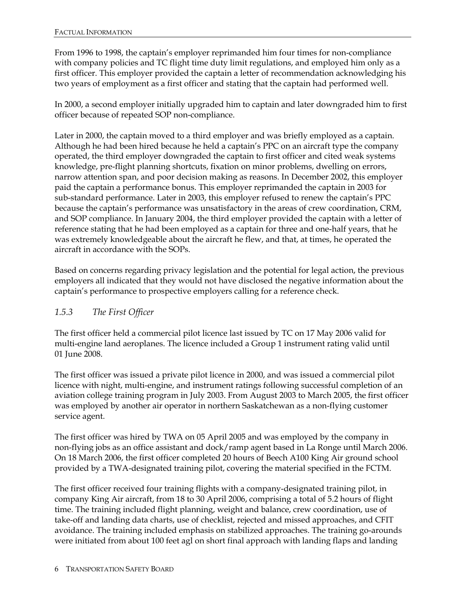From 1996 to 1998, the captain's employer reprimanded him four times for non-compliance with company policies and TC flight time duty limit regulations, and employed him only as a first officer. This employer provided the captain a letter of recommendation acknowledging his two years of employment as a first officer and stating that the captain had performed well.

In 2000, a second employer initially upgraded him to captain and later downgraded him to first officer because of repeated SOP non-compliance.

Later in 2000, the captain moved to a third employer and was briefly employed as a captain. Although he had been hired because he held a captain's PPC on an aircraft type the company operated, the third employer downgraded the captain to first officer and cited weak systems knowledge, pre-flight planning shortcuts, fixation on minor problems, dwelling on errors, narrow attention span, and poor decision making as reasons. In December 2002, this employer paid the captain a performance bonus. This employer reprimanded the captain in 2003 for sub-standard performance. Later in 2003, this employer refused to renew the captain's PPC because the captain's performance was unsatisfactory in the areas of crew coordination, CRM, and SOP compliance. In January 2004, the third employer provided the captain with a letter of reference stating that he had been employed as a captain for three and one-half years, that he was extremely knowledgeable about the aircraft he flew, and that, at times, he operated the aircraft in accordance with the SOPs.

Based on concerns regarding privacy legislation and the potential for legal action, the previous employers all indicated that they would not have disclosed the negative information about the captain's performance to prospective employers calling for a reference check.

### *1.5.3 The First Officer*

The first officer held a commercial pilot licence last issued by TC on 17 May 2006 valid for multi-engine land aeroplanes. The licence included a Group 1 instrument rating valid until 01 June 2008.

The first officer was issued a private pilot licence in 2000, and was issued a commercial pilot licence with night, multi-engine, and instrument ratings following successful completion of an aviation college training program in July 2003. From August 2003 to March 2005, the first officer was employed by another air operator in northern Saskatchewan as a non-flying customer service agent.

The first officer was hired by TWA on 05 April 2005 and was employed by the company in non-flying jobs as an office assistant and dock/ramp agent based in La Ronge until March 2006. On 18 March 2006, the first officer completed 20 hours of Beech A100 King Air ground school provided by a TWA-designated training pilot, covering the material specified in the FCTM.

The first officer received four training flights with a company-designated training pilot, in company King Air aircraft, from 18 to 30 April 2006, comprising a total of 5.2 hours of flight time. The training included flight planning, weight and balance, crew coordination, use of take-off and landing data charts, use of checklist, rejected and missed approaches, and CFIT avoidance. The training included emphasis on stabilized approaches. The training go-arounds were initiated from about 100 feet agl on short final approach with landing flaps and landing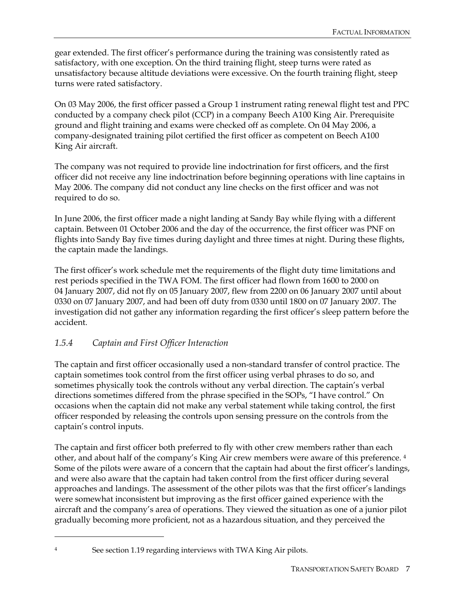gear extended. The first officer's performance during the training was consistently rated as satisfactory, with one exception. On the third training flight, steep turns were rated as unsatisfactory because altitude deviations were excessive. On the fourth training flight, steep turns were rated satisfactory.

On 03 May 2006, the first officer passed a Group 1 instrument rating renewal flight test and PPC conducted by a company check pilot (CCP) in a company Beech A100 King Air. Prerequisite ground and flight training and exams were checked off as complete. On 04 May 2006, a company-designated training pilot certified the first officer as competent on Beech A100 King Air aircraft.

The company was not required to provide line indoctrination for first officers, and the first officer did not receive any line indoctrination before beginning operations with line captains in May 2006. The company did not conduct any line checks on the first officer and was not required to do so.

In June 2006, the first officer made a night landing at Sandy Bay while flying with a different captain. Between 01 October 2006 and the day of the occurrence, the first officer was PNF on flights into Sandy Bay five times during daylight and three times at night. During these flights, the captain made the landings.

The first officer's work schedule met the requirements of the flight duty time limitations and rest periods specified in the TWA FOM. The first officer had flown from 1600 to 2000 on 04 January 2007, did not fly on 05 January 2007, flew from 2200 on 06 January 2007 until about 0330 on 07 January 2007, and had been off duty from 0330 until 1800 on 07 January 2007. The investigation did not gather any information regarding the first officer's sleep pattern before the accident.

### *1.5.4 Captain and First Officer Interaction*

The captain and first officer occasionally used a non-standard transfer of control practice. The captain sometimes took control from the first officer using verbal phrases to do so, and sometimes physically took the controls without any verbal direction. The captain's verbal directions sometimes differed from the phrase specified in the SOPs, "I have control." On occasions when the captain did not make any verbal statement while taking control, the first officer responded by releasing the controls upon sensing pressure on the controls from the captain's control inputs.

The captain and first officer both preferred to fly with other crew members rather than each other, and about half of the company's King Air crew members were aware of this preference. 4 Some of the pilots were aware of a concern that the captain had about the first officer's landings, and were also aware that the captain had taken control from the first officer during several approaches and landings. The assessment of the other pilots was that the first officer's landings were somewhat inconsistent but improving as the first officer gained experience with the aircraft and the company's area of operations. They viewed the situation as one of a junior pilot gradually becoming more proficient, not as a hazardous situation, and they perceived the

-

See section 1.19 regarding interviews with TWA King Air pilots.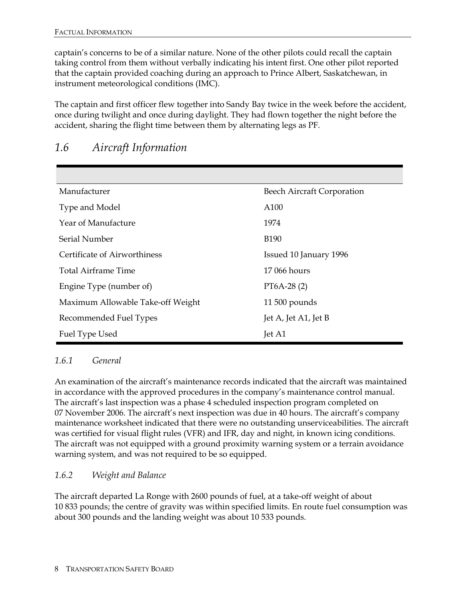captain's concerns to be of a similar nature. None of the other pilots could recall the captain taking control from them without verbally indicating his intent first. One other pilot reported that the captain provided coaching during an approach to Prince Albert, Saskatchewan, in instrument meteorological conditions (IMC).

The captain and first officer flew together into Sandy Bay twice in the week before the accident, once during twilight and once during daylight. They had flown together the night before the accident, sharing the flight time between them by alternating legs as PF.

| Manufacturer                      | <b>Beech Aircraft Corporation</b> |
|-----------------------------------|-----------------------------------|
| Type and Model                    | A100                              |
| Year of Manufacture               | 1974                              |
| Serial Number                     | <b>B190</b>                       |
| Certificate of Airworthiness      | Issued 10 January 1996            |
| Total Airframe Time               | 17 066 hours                      |
| Engine Type (number of)           | $PT6A-28(2)$                      |
| Maximum Allowable Take-off Weight | $11\,500$ pounds                  |
| Recommended Fuel Types            | Jet A, Jet A1, Jet B              |
| Fuel Type Used                    | Jet A1                            |

### *1.6 Aircraft Information*

#### *1.6.1 General*

An examination of the aircraft's maintenance records indicated that the aircraft was maintained in accordance with the approved procedures in the company's maintenance control manual. The aircraft's last inspection was a phase 4 scheduled inspection program completed on 07 November 2006. The aircraft's next inspection was due in 40 hours. The aircraft's company maintenance worksheet indicated that there were no outstanding unserviceabilities. The aircraft was certified for visual flight rules (VFR) and IFR, day and night, in known icing conditions. The aircraft was not equipped with a ground proximity warning system or a terrain avoidance warning system, and was not required to be so equipped.

### *1.6.2 Weight and Balance*

The aircraft departed La Ronge with 2600 pounds of fuel, at a take-off weight of about 10 833 pounds; the centre of gravity was within specified limits. En route fuel consumption was about 300 pounds and the landing weight was about 10 533 pounds.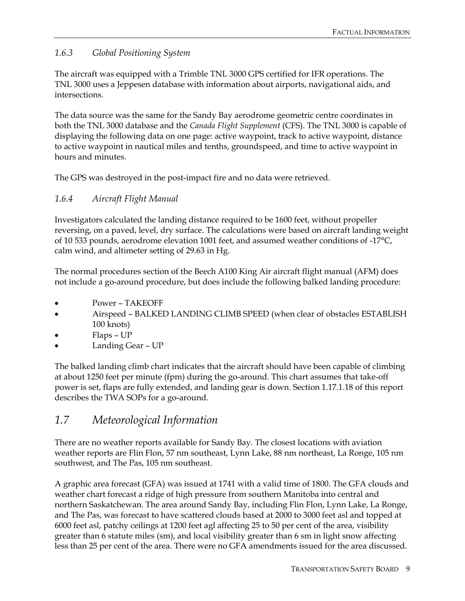### *1.6.3 Global Positioning System*

The aircraft was equipped with a Trimble TNL 3000 GPS certified for IFR operations. The TNL 3000 uses a Jeppesen database with information about airports, navigational aids, and intersections.

The data source was the same for the Sandy Bay aerodrome geometric centre coordinates in both the TNL 3000 database and the *Canada Flight Supplement* (CFS). The TNL 3000 is capable of displaying the following data on one page: active waypoint, track to active waypoint, distance to active waypoint in nautical miles and tenths, groundspeed, and time to active waypoint in hours and minutes.

The GPS was destroyed in the post-impact fire and no data were retrieved.

### *1.6.4 Aircraft Flight Manual*

Investigators calculated the landing distance required to be 1600 feet, without propeller reversing, on a paved, level, dry surface. The calculations were based on aircraft landing weight of 10 533 pounds, aerodrome elevation 1001 feet, and assumed weather conditions of -17°C, calm wind, and altimeter setting of 29.63 in Hg.

The normal procedures section of the Beech A100 King Air aircraft flight manual (AFM) does not include a go-around procedure, but does include the following balked landing procedure:

- Power TAKEOFF
- Airspeed BALKED LANDING CLIMB SPEED (when clear of obstacles ESTABLISH 100 knots)
- Flaps UP
- Landing Gear UP

The balked landing climb chart indicates that the aircraft should have been capable of climbing at about 1250 feet per minute (fpm) during the go-around. This chart assumes that take-off power is set, flaps are fully extended, and landing gear is down. Section 1.17.1.18 of this report describes the TWA SOPs for a go-around.

## *1.7 Meteorological Information*

There are no weather reports available for Sandy Bay. The closest locations with aviation weather reports are Flin Flon, 57 nm southeast, Lynn Lake, 88 nm northeast, La Ronge, 105 nm southwest, and The Pas, 105 nm southeast.

A graphic area forecast (GFA) was issued at 1741 with a valid time of 1800. The GFA clouds and weather chart forecast a ridge of high pressure from southern Manitoba into central and northern Saskatchewan. The area around Sandy Bay, including Flin Flon, Lynn Lake, La Ronge, and The Pas, was forecast to have scattered clouds based at 2000 to 3000 feet asl and topped at 6000 feet asl, patchy ceilings at 1200 feet agl affecting 25 to 50 per cent of the area, visibility greater than 6 statute miles (sm), and local visibility greater than 6 sm in light snow affecting less than 25 per cent of the area. There were no GFA amendments issued for the area discussed.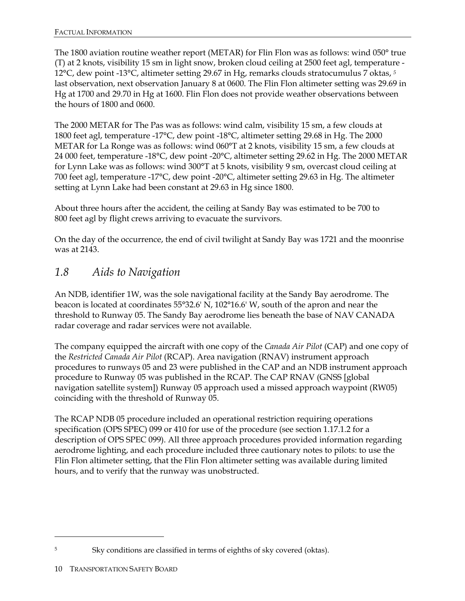The 1800 aviation routine weather report (METAR) for Flin Flon was as follows: wind 050° true (T) at 2 knots, visibility 15 sm in light snow, broken cloud ceiling at 2500 feet agl, temperature - 12°C, dew point -13°C, altimeter setting 29.67 in Hg, remarks clouds stratocumulus 7 oktas, *<sup>5</sup>* last observation, next observation January 8 at 0600. The Flin Flon altimeter setting was 29.69 in Hg at 1700 and 29.70 in Hg at 1600. Flin Flon does not provide weather observations between the hours of 1800 and 0600.

The 2000 METAR for The Pas was as follows: wind calm, visibility 15 sm, a few clouds at 1800 feet agl, temperature -17°C, dew point -18°C, altimeter setting 29.68 in Hg. The 2000 METAR for La Ronge was as follows: wind 060°T at 2 knots, visibility 15 sm, a few clouds at 24 000 feet, temperature -18°C, dew point -20°C, altimeter setting 29.62 in Hg. The 2000 METAR for Lynn Lake was as follows: wind 300°T at 5 knots, visibility 9 sm, overcast cloud ceiling at 700 feet agl, temperature -17°C, dew point -20°C, altimeter setting 29.63 in Hg. The altimeter setting at Lynn Lake had been constant at 29.63 in Hg since 1800.

About three hours after the accident, the ceiling at Sandy Bay was estimated to be 700 to 800 feet agl by flight crews arriving to evacuate the survivors.

On the day of the occurrence, the end of civil twilight at Sandy Bay was 1721 and the moonrise was at 2143.

### *1.8 Aids to Navigation*

An NDB, identifier 1W, was the sole navigational facility at the Sandy Bay aerodrome. The beacon is located at coordinates 55°32.6' N, 102°16.6' W, south of the apron and near the threshold to Runway 05. The Sandy Bay aerodrome lies beneath the base of NAV CANADA radar coverage and radar services were not available.

The company equipped the aircraft with one copy of the *Canada Air Pilot* (CAP) and one copy of the *Restricted Canada Air Pilot* (RCAP). Area navigation (RNAV) instrument approach procedures to runways 05 and 23 were published in the CAP and an NDB instrument approach procedure to Runway 05 was published in the RCAP. The CAP RNAV (GNSS [global navigation satellite system]) Runway 05 approach used a missed approach waypoint (RW05) coinciding with the threshold of Runway 05.

The RCAP NDB 05 procedure included an operational restriction requiring operations specification (OPS SPEC) 099 or 410 for use of the procedure (see section 1.17.1.2 for a description of OPS SPEC 099). All three approach procedures provided information regarding aerodrome lighting, and each procedure included three cautionary notes to pilots: to use the Flin Flon altimeter setting, that the Flin Flon altimeter setting was available during limited hours, and to verify that the runway was unobstructed.

-

<sup>5</sup> Sky conditions are classified in terms of eighths of sky covered (oktas).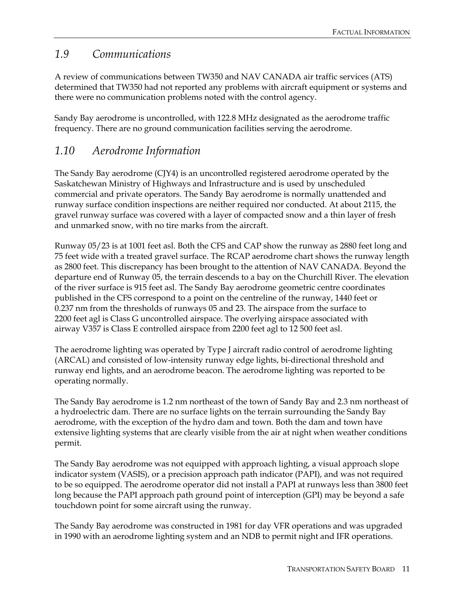### *1.9 Communications*

A review of communications between TW350 and NAV CANADA air traffic services (ATS) determined that TW350 had not reported any problems with aircraft equipment or systems and there were no communication problems noted with the control agency.

Sandy Bay aerodrome is uncontrolled, with 122.8 MHz designated as the aerodrome traffic frequency. There are no ground communication facilities serving the aerodrome.

### *1.10 Aerodrome Information*

The Sandy Bay aerodrome (CJY4) is an uncontrolled registered aerodrome operated by the Saskatchewan Ministry of Highways and Infrastructure and is used by unscheduled commercial and private operators. The Sandy Bay aerodrome is normally unattended and runway surface condition inspections are neither required nor conducted. At about 2115, the gravel runway surface was covered with a layer of compacted snow and a thin layer of fresh and unmarked snow, with no tire marks from the aircraft.

Runway 05/23 is at 1001 feet asl. Both the CFS and CAP show the runway as 2880 feet long and 75 feet wide with a treated gravel surface. The RCAP aerodrome chart shows the runway length as 2800 feet. This discrepancy has been brought to the attention of NAV CANADA. Beyond the departure end of Runway 05, the terrain descends to a bay on the Churchill River. The elevation of the river surface is 915 feet asl. The Sandy Bay aerodrome geometric centre coordinates published in the CFS correspond to a point on the centreline of the runway, 1440 feet or 0.237 nm from the thresholds of runways 05 and 23. The airspace from the surface to 2200 feet agl is Class G uncontrolled airspace. The overlying airspace associated with airway V357 is Class E controlled airspace from 2200 feet agl to 12 500 feet asl.

The aerodrome lighting was operated by Type J aircraft radio control of aerodrome lighting (ARCAL) and consisted of low-intensity runway edge lights, bi-directional threshold and runway end lights, and an aerodrome beacon. The aerodrome lighting was reported to be operating normally.

The Sandy Bay aerodrome is 1.2 nm northeast of the town of Sandy Bay and 2.3 nm northeast of a hydroelectric dam. There are no surface lights on the terrain surrounding the Sandy Bay aerodrome, with the exception of the hydro dam and town. Both the dam and town have extensive lighting systems that are clearly visible from the air at night when weather conditions permit.

The Sandy Bay aerodrome was not equipped with approach lighting, a visual approach slope indicator system (VASIS), or a precision approach path indicator (PAPI), and was not required to be so equipped. The aerodrome operator did not install a PAPI at runways less than 3800 feet long because the PAPI approach path ground point of interception (GPI) may be beyond a safe touchdown point for some aircraft using the runway.

The Sandy Bay aerodrome was constructed in 1981 for day VFR operations and was upgraded in 1990 with an aerodrome lighting system and an NDB to permit night and IFR operations.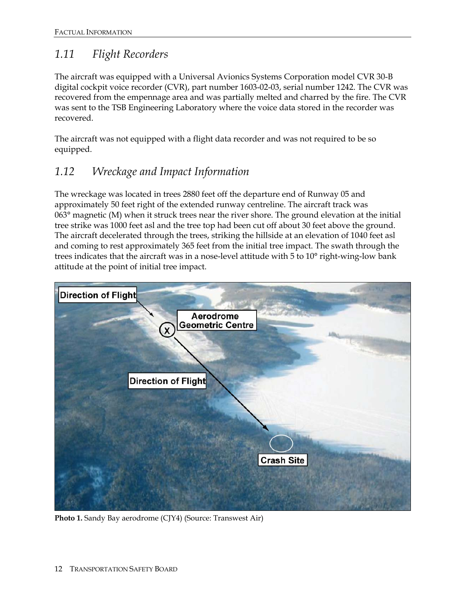## *1.11 Flight Recorders*

The aircraft was equipped with a Universal Avionics Systems Corporation model CVR 30-B digital cockpit voice recorder (CVR), part number 1603-02-03, serial number 1242. The CVR was recovered from the empennage area and was partially melted and charred by the fire. The CVR was sent to the TSB Engineering Laboratory where the voice data stored in the recorder was recovered.

The aircraft was not equipped with a flight data recorder and was not required to be so equipped.

## *1.12 Wreckage and Impact Information*

The wreckage was located in trees 2880 feet off the departure end of Runway 05 and approximately 50 feet right of the extended runway centreline. The aircraft track was 063° magnetic (M) when it struck trees near the river shore. The ground elevation at the initial tree strike was 1000 feet asl and the tree top had been cut off about 30 feet above the ground. The aircraft decelerated through the trees, striking the hillside at an elevation of 1040 feet asl and coming to rest approximately 365 feet from the initial tree impact. The swath through the trees indicates that the aircraft was in a nose-level attitude with 5 to 10° right-wing-low bank attitude at the point of initial tree impact.



**Photo 1.** Sandy Bay aerodrome (CJY4) (Source: Transwest Air)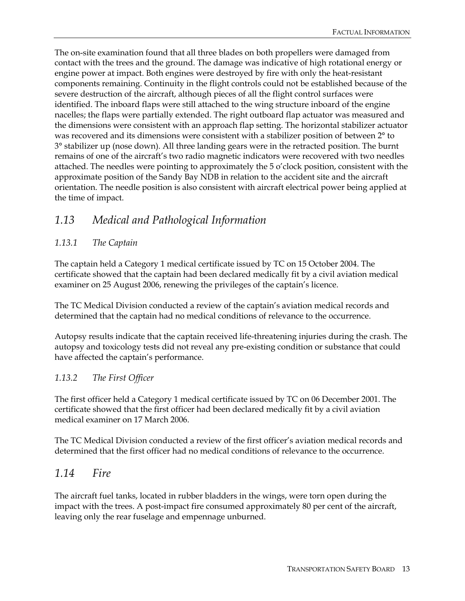The on-site examination found that all three blades on both propellers were damaged from contact with the trees and the ground. The damage was indicative of high rotational energy or engine power at impact. Both engines were destroyed by fire with only the heat-resistant components remaining. Continuity in the flight controls could not be established because of the severe destruction of the aircraft, although pieces of all the flight control surfaces were identified. The inboard flaps were still attached to the wing structure inboard of the engine nacelles; the flaps were partially extended. The right outboard flap actuator was measured and the dimensions were consistent with an approach flap setting. The horizontal stabilizer actuator was recovered and its dimensions were consistent with a stabilizer position of between 2° to 3° stabilizer up (nose down). All three landing gears were in the retracted position. The burnt remains of one of the aircraft's two radio magnetic indicators were recovered with two needles attached. The needles were pointing to approximately the 5 o'clock position, consistent with the approximate position of the Sandy Bay NDB in relation to the accident site and the aircraft orientation. The needle position is also consistent with aircraft electrical power being applied at the time of impact.

### *1.13 Medical and Pathological Information*

### *1.13.1 The Captain*

The captain held a Category 1 medical certificate issued by TC on 15 October 2004. The certificate showed that the captain had been declared medically fit by a civil aviation medical examiner on 25 August 2006, renewing the privileges of the captain's licence.

The TC Medical Division conducted a review of the captain's aviation medical records and determined that the captain had no medical conditions of relevance to the occurrence.

Autopsy results indicate that the captain received life-threatening injuries during the crash. The autopsy and toxicology tests did not reveal any pre-existing condition or substance that could have affected the captain's performance.

#### *1.13.2 The First Officer*

The first officer held a Category 1 medical certificate issued by TC on 06 December 2001. The certificate showed that the first officer had been declared medically fit by a civil aviation medical examiner on 17 March 2006.

The TC Medical Division conducted a review of the first officer's aviation medical records and determined that the first officer had no medical conditions of relevance to the occurrence.

### *1.14 Fire*

The aircraft fuel tanks, located in rubber bladders in the wings, were torn open during the impact with the trees. A post-impact fire consumed approximately 80 per cent of the aircraft, leaving only the rear fuselage and empennage unburned.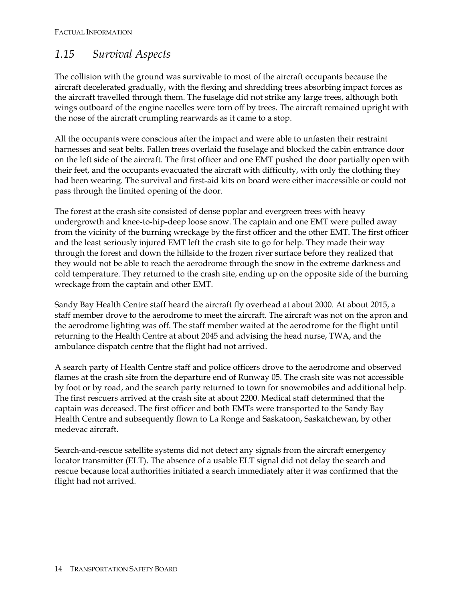## *1.15 Survival Aspects*

The collision with the ground was survivable to most of the aircraft occupants because the aircraft decelerated gradually, with the flexing and shredding trees absorbing impact forces as the aircraft travelled through them. The fuselage did not strike any large trees, although both wings outboard of the engine nacelles were torn off by trees. The aircraft remained upright with the nose of the aircraft crumpling rearwards as it came to a stop.

All the occupants were conscious after the impact and were able to unfasten their restraint harnesses and seat belts. Fallen trees overlaid the fuselage and blocked the cabin entrance door on the left side of the aircraft. The first officer and one EMT pushed the door partially open with their feet, and the occupants evacuated the aircraft with difficulty, with only the clothing they had been wearing. The survival and first-aid kits on board were either inaccessible or could not pass through the limited opening of the door.

The forest at the crash site consisted of dense poplar and evergreen trees with heavy undergrowth and knee-to-hip-deep loose snow. The captain and one EMT were pulled away from the vicinity of the burning wreckage by the first officer and the other EMT. The first officer and the least seriously injured EMT left the crash site to go for help. They made their way through the forest and down the hillside to the frozen river surface before they realized that they would not be able to reach the aerodrome through the snow in the extreme darkness and cold temperature. They returned to the crash site, ending up on the opposite side of the burning wreckage from the captain and other EMT.

Sandy Bay Health Centre staff heard the aircraft fly overhead at about 2000. At about 2015, a staff member drove to the aerodrome to meet the aircraft. The aircraft was not on the apron and the aerodrome lighting was off. The staff member waited at the aerodrome for the flight until returning to the Health Centre at about 2045 and advising the head nurse, TWA, and the ambulance dispatch centre that the flight had not arrived.

A search party of Health Centre staff and police officers drove to the aerodrome and observed flames at the crash site from the departure end of Runway 05. The crash site was not accessible by foot or by road, and the search party returned to town for snowmobiles and additional help. The first rescuers arrived at the crash site at about 2200. Medical staff determined that the captain was deceased. The first officer and both EMTs were transported to the Sandy Bay Health Centre and subsequently flown to La Ronge and Saskatoon, Saskatchewan, by other medevac aircraft.

Search-and-rescue satellite systems did not detect any signals from the aircraft emergency locator transmitter (ELT). The absence of a usable ELT signal did not delay the search and rescue because local authorities initiated a search immediately after it was confirmed that the flight had not arrived.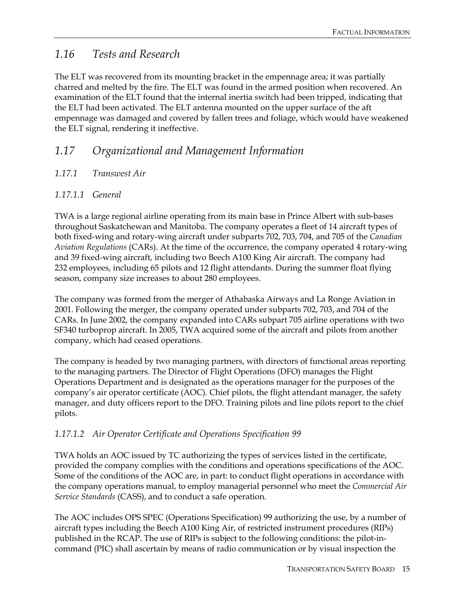### *1.16 Tests and Research*

The ELT was recovered from its mounting bracket in the empennage area; it was partially charred and melted by the fire. The ELT was found in the armed position when recovered. An examination of the ELT found that the internal inertia switch had been tripped, indicating that the ELT had been activated. The ELT antenna mounted on the upper surface of the aft empennage was damaged and covered by fallen trees and foliage, which would have weakened the ELT signal, rendering it ineffective.

### *1.17 Organizational and Management Information*

### *1.17.1 Transwest Air*

### *1.17.1.1 General*

TWA is a large regional airline operating from its main base in Prince Albert with sub-bases throughout Saskatchewan and Manitoba. The company operates a fleet of 14 aircraft types of both fixed-wing and rotary-wing aircraft under subparts 702, 703, 704, and 705 of the *Canadian Aviation Regulations* (CARs). At the time of the occurrence, the company operated 4 rotary-wing and 39 fixed-wing aircraft, including two Beech A100 King Air aircraft. The company had 232 employees, including 65 pilots and 12 flight attendants. During the summer float flying season, company size increases to about 280 employees.

The company was formed from the merger of Athabaska Airways and La Ronge Aviation in 2001. Following the merger, the company operated under subparts 702, 703, and 704 of the CARs. In June 2002, the company expanded into CARs subpart 705 airline operations with two SF340 turboprop aircraft. In 2005, TWA acquired some of the aircraft and pilots from another company, which had ceased operations.

The company is headed by two managing partners, with directors of functional areas reporting to the managing partners. The Director of Flight Operations (DFO) manages the Flight Operations Department and is designated as the operations manager for the purposes of the company's air operator certificate (AOC). Chief pilots, the flight attendant manager, the safety manager, and duty officers report to the DFO. Training pilots and line pilots report to the chief pilots.

### *1.17.1.2 Air Operator Certificate and Operations Specification 99*

TWA holds an AOC issued by TC authorizing the types of services listed in the certificate, provided the company complies with the conditions and operations specifications of the AOC. Some of the conditions of the AOC are, in part: to conduct flight operations in accordance with the company operations manual, to employ managerial personnel who meet the *Commercial Air Service Standards* (CASS), and to conduct a safe operation.

The AOC includes OPS SPEC (Operations Specification) 99 authorizing the use, by a number of aircraft types including the Beech A100 King Air, of restricted instrument procedures (RIPs) published in the RCAP. The use of RIPs is subject to the following conditions: the pilot-incommand (PIC) shall ascertain by means of radio communication or by visual inspection the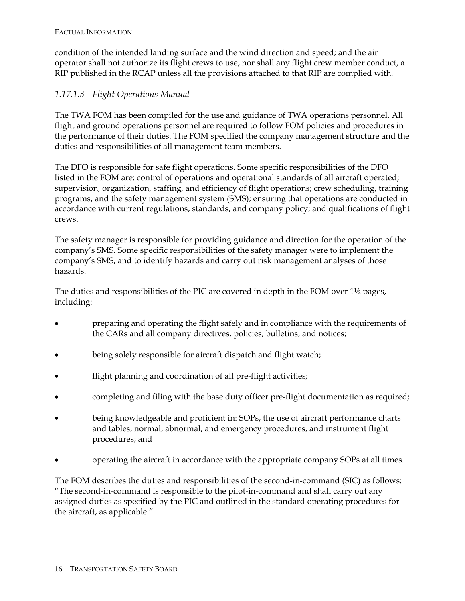condition of the intended landing surface and the wind direction and speed; and the air operator shall not authorize its flight crews to use, nor shall any flight crew member conduct, a RIP published in the RCAP unless all the provisions attached to that RIP are complied with.

#### *1.17.1.3 Flight Operations Manual*

The TWA FOM has been compiled for the use and guidance of TWA operations personnel. All flight and ground operations personnel are required to follow FOM policies and procedures in the performance of their duties. The FOM specified the company management structure and the duties and responsibilities of all management team members.

The DFO is responsible for safe flight operations. Some specific responsibilities of the DFO listed in the FOM are: control of operations and operational standards of all aircraft operated; supervision, organization, staffing, and efficiency of flight operations; crew scheduling, training programs, and the safety management system (SMS); ensuring that operations are conducted in accordance with current regulations, standards, and company policy; and qualifications of flight crews.

The safety manager is responsible for providing guidance and direction for the operation of the company's SMS. Some specific responsibilities of the safety manager were to implement the company's SMS, and to identify hazards and carry out risk management analyses of those hazards.

The duties and responsibilities of the PIC are covered in depth in the FOM over 1½ pages, including:

- preparing and operating the flight safely and in compliance with the requirements of the CARs and all company directives, policies, bulletins, and notices;
- being solely responsible for aircraft dispatch and flight watch;
- flight planning and coordination of all pre-flight activities;
- completing and filing with the base duty officer pre-flight documentation as required;
- being knowledgeable and proficient in: SOPs, the use of aircraft performance charts and tables, normal, abnormal, and emergency procedures, and instrument flight procedures; and
- operating the aircraft in accordance with the appropriate company SOPs at all times.

The FOM describes the duties and responsibilities of the second-in-command (SIC) as follows: "The second-in-command is responsible to the pilot-in-command and shall carry out any assigned duties as specified by the PIC and outlined in the standard operating procedures for the aircraft, as applicable."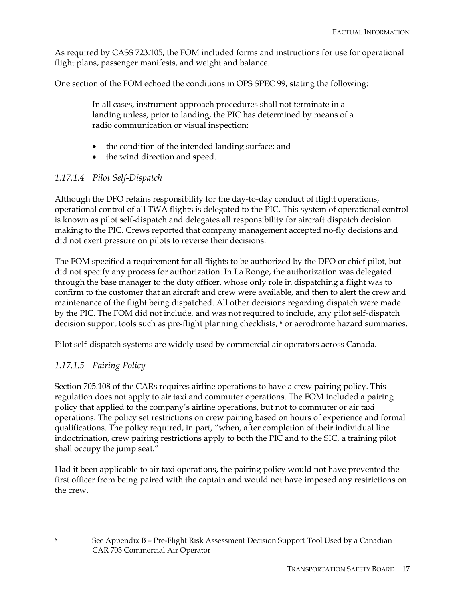As required by CASS 723.105, the FOM included forms and instructions for use for operational flight plans, passenger manifests, and weight and balance.

One section of the FOM echoed the conditions in OPS SPEC 99, stating the following:

In all cases, instrument approach procedures shall not terminate in a landing unless, prior to landing, the PIC has determined by means of a radio communication or visual inspection:

- the condition of the intended landing surface; and
- the wind direction and speed.

### *1.17.1.4 Pilot Self-Dispatch*

Although the DFO retains responsibility for the day-to-day conduct of flight operations, operational control of all TWA flights is delegated to the PIC. This system of operational control is known as pilot self-dispatch and delegates all responsibility for aircraft dispatch decision making to the PIC. Crews reported that company management accepted no-fly decisions and did not exert pressure on pilots to reverse their decisions.

The FOM specified a requirement for all flights to be authorized by the DFO or chief pilot, but did not specify any process for authorization. In La Ronge, the authorization was delegated through the base manager to the duty officer, whose only role in dispatching a flight was to confirm to the customer that an aircraft and crew were available, and then to alert the crew and maintenance of the flight being dispatched. All other decisions regarding dispatch were made by the PIC. The FOM did not include, and was not required to include, any pilot self-dispatch decision support tools such as pre-flight planning checklists, *6* or aerodrome hazard summaries.

Pilot self-dispatch systems are widely used by commercial air operators across Canada.

### *1.17.1.5 Pairing Policy*

 $\ddot{\phantom{a}}$ 

Section 705.108 of the CARs requires airline operations to have a crew pairing policy. This regulation does not apply to air taxi and commuter operations. The FOM included a pairing policy that applied to the company's airline operations, but not to commuter or air taxi operations. The policy set restrictions on crew pairing based on hours of experience and formal qualifications. The policy required, in part, "when, after completion of their individual line indoctrination, crew pairing restrictions apply to both the PIC and to the SIC, a training pilot shall occupy the jump seat."

Had it been applicable to air taxi operations, the pairing policy would not have prevented the first officer from being paired with the captain and would not have imposed any restrictions on the crew.

<sup>6</sup> See Appendix B – Pre-Flight Risk Assessment Decision Support Tool Used by a Canadian CAR 703 Commercial Air Operator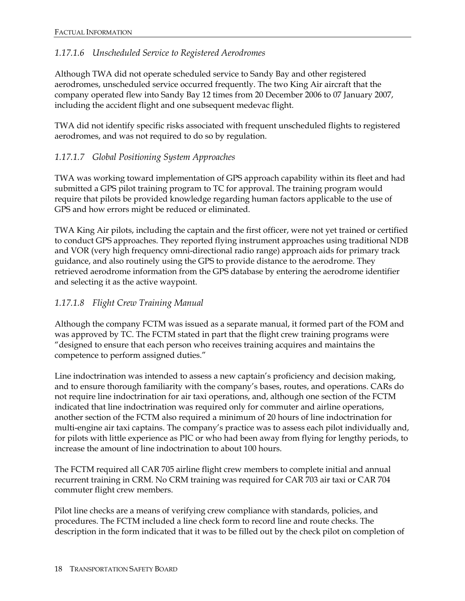### *1.17.1.6 Unscheduled Service to Registered Aerodromes*

Although TWA did not operate scheduled service to Sandy Bay and other registered aerodromes, unscheduled service occurred frequently. The two King Air aircraft that the company operated flew into Sandy Bay 12 times from 20 December 2006 to 07 January 2007, including the accident flight and one subsequent medevac flight.

TWA did not identify specific risks associated with frequent unscheduled flights to registered aerodromes, and was not required to do so by regulation.

### *1.17.1.7 Global Positioning System Approaches*

TWA was working toward implementation of GPS approach capability within its fleet and had submitted a GPS pilot training program to TC for approval. The training program would require that pilots be provided knowledge regarding human factors applicable to the use of GPS and how errors might be reduced or eliminated.

TWA King Air pilots, including the captain and the first officer, were not yet trained or certified to conduct GPS approaches. They reported flying instrument approaches using traditional NDB and VOR (very high frequency omni-directional radio range) approach aids for primary track guidance, and also routinely using the GPS to provide distance to the aerodrome. They retrieved aerodrome information from the GPS database by entering the aerodrome identifier and selecting it as the active waypoint.

#### *1.17.1.8 Flight Crew Training Manual*

Although the company FCTM was issued as a separate manual, it formed part of the FOM and was approved by TC. The FCTM stated in part that the flight crew training programs were "designed to ensure that each person who receives training acquires and maintains the competence to perform assigned duties."

Line indoctrination was intended to assess a new captain's proficiency and decision making, and to ensure thorough familiarity with the company's bases, routes, and operations. CARs do not require line indoctrination for air taxi operations, and, although one section of the FCTM indicated that line indoctrination was required only for commuter and airline operations, another section of the FCTM also required a minimum of 20 hours of line indoctrination for multi-engine air taxi captains. The company's practice was to assess each pilot individually and, for pilots with little experience as PIC or who had been away from flying for lengthy periods, to increase the amount of line indoctrination to about 100 hours.

The FCTM required all CAR 705 airline flight crew members to complete initial and annual recurrent training in CRM. No CRM training was required for CAR 703 air taxi or CAR 704 commuter flight crew members.

Pilot line checks are a means of verifying crew compliance with standards, policies, and procedures. The FCTM included a line check form to record line and route checks. The description in the form indicated that it was to be filled out by the check pilot on completion of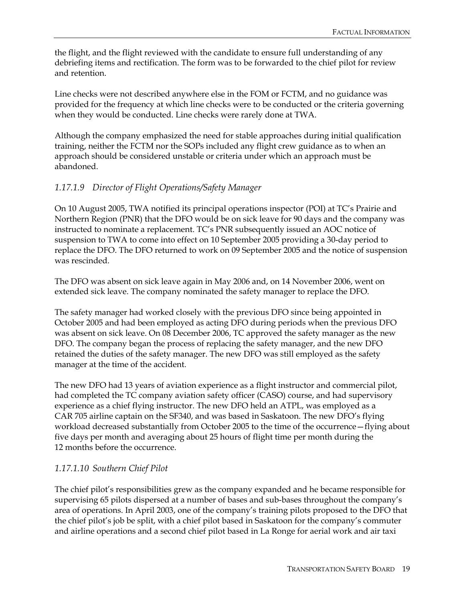the flight, and the flight reviewed with the candidate to ensure full understanding of any debriefing items and rectification. The form was to be forwarded to the chief pilot for review and retention.

Line checks were not described anywhere else in the FOM or FCTM, and no guidance was provided for the frequency at which line checks were to be conducted or the criteria governing when they would be conducted. Line checks were rarely done at TWA.

Although the company emphasized the need for stable approaches during initial qualification training, neither the FCTM nor the SOPs included any flight crew guidance as to when an approach should be considered unstable or criteria under which an approach must be abandoned.

### *1.17.1.9 Director of Flight Operations/Safety Manager*

On 10 August 2005, TWA notified its principal operations inspector (POI) at TC's Prairie and Northern Region (PNR) that the DFO would be on sick leave for 90 days and the company was instructed to nominate a replacement. TC's PNR subsequently issued an AOC notice of suspension to TWA to come into effect on 10 September 2005 providing a 30-day period to replace the DFO. The DFO returned to work on 09 September 2005 and the notice of suspension was rescinded.

The DFO was absent on sick leave again in May 2006 and, on 14 November 2006, went on extended sick leave. The company nominated the safety manager to replace the DFO.

The safety manager had worked closely with the previous DFO since being appointed in October 2005 and had been employed as acting DFO during periods when the previous DFO was absent on sick leave. On 08 December 2006, TC approved the safety manager as the new DFO. The company began the process of replacing the safety manager, and the new DFO retained the duties of the safety manager. The new DFO was still employed as the safety manager at the time of the accident.

The new DFO had 13 years of aviation experience as a flight instructor and commercial pilot, had completed the TC company aviation safety officer (CASO) course, and had supervisory experience as a chief flying instructor. The new DFO held an ATPL, was employed as a CAR 705 airline captain on the SF340, and was based in Saskatoon. The new DFO's flying workload decreased substantially from October 2005 to the time of the occurrence—flying about five days per month and averaging about 25 hours of flight time per month during the 12 months before the occurrence.

#### *1.17.1.10 Southern Chief Pilot*

The chief pilot's responsibilities grew as the company expanded and he became responsible for supervising 65 pilots dispersed at a number of bases and sub-bases throughout the company's area of operations. In April 2003, one of the company's training pilots proposed to the DFO that the chief pilot's job be split, with a chief pilot based in Saskatoon for the company's commuter and airline operations and a second chief pilot based in La Ronge for aerial work and air taxi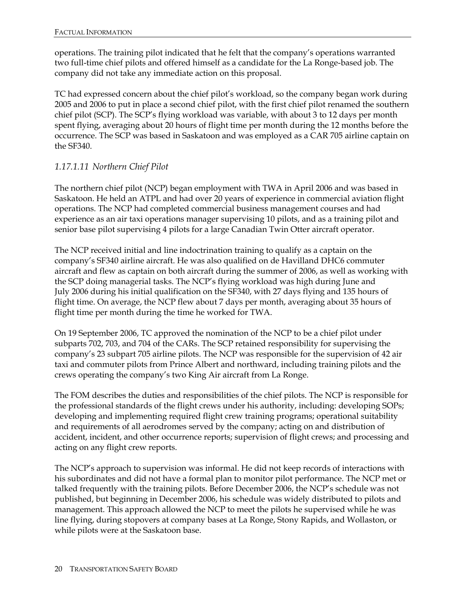operations. The training pilot indicated that he felt that the company's operations warranted two full-time chief pilots and offered himself as a candidate for the La Ronge-based job. The company did not take any immediate action on this proposal.

TC had expressed concern about the chief pilot's workload, so the company began work during 2005 and 2006 to put in place a second chief pilot, with the first chief pilot renamed the southern chief pilot (SCP). The SCP's flying workload was variable, with about 3 to 12 days per month spent flying, averaging about 20 hours of flight time per month during the 12 months before the occurrence. The SCP was based in Saskatoon and was employed as a CAR 705 airline captain on the SF340.

### *1.17.1.11 Northern Chief Pilot*

The northern chief pilot (NCP) began employment with TWA in April 2006 and was based in Saskatoon. He held an ATPL and had over 20 years of experience in commercial aviation flight operations. The NCP had completed commercial business management courses and had experience as an air taxi operations manager supervising 10 pilots, and as a training pilot and senior base pilot supervising 4 pilots for a large Canadian Twin Otter aircraft operator.

The NCP received initial and line indoctrination training to qualify as a captain on the company's SF340 airline aircraft. He was also qualified on de Havilland DHC6 commuter aircraft and flew as captain on both aircraft during the summer of 2006, as well as working with the SCP doing managerial tasks. The NCP's flying workload was high during June and July 2006 during his initial qualification on the SF340, with 27 days flying and 135 hours of flight time. On average, the NCP flew about 7 days per month, averaging about 35 hours of flight time per month during the time he worked for TWA.

On 19 September 2006, TC approved the nomination of the NCP to be a chief pilot under subparts 702, 703, and 704 of the CARs. The SCP retained responsibility for supervising the company's 23 subpart 705 airline pilots. The NCP was responsible for the supervision of 42 air taxi and commuter pilots from Prince Albert and northward, including training pilots and the crews operating the company's two King Air aircraft from La Ronge.

The FOM describes the duties and responsibilities of the chief pilots. The NCP is responsible for the professional standards of the flight crews under his authority, including: developing SOPs; developing and implementing required flight crew training programs; operational suitability and requirements of all aerodromes served by the company; acting on and distribution of accident, incident, and other occurrence reports; supervision of flight crews; and processing and acting on any flight crew reports.

The NCP's approach to supervision was informal. He did not keep records of interactions with his subordinates and did not have a formal plan to monitor pilot performance. The NCP met or talked frequently with the training pilots. Before December 2006, the NCP's schedule was not published, but beginning in December 2006, his schedule was widely distributed to pilots and management. This approach allowed the NCP to meet the pilots he supervised while he was line flying, during stopovers at company bases at La Ronge, Stony Rapids, and Wollaston, or while pilots were at the Saskatoon base.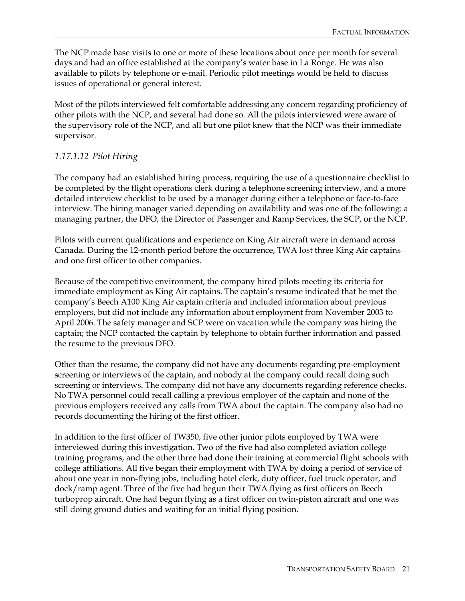The NCP made base visits to one or more of these locations about once per month for several days and had an office established at the company's water base in La Ronge. He was also available to pilots by telephone or e-mail. Periodic pilot meetings would be held to discuss issues of operational or general interest.

Most of the pilots interviewed felt comfortable addressing any concern regarding proficiency of other pilots with the NCP, and several had done so. All the pilots interviewed were aware of the supervisory role of the NCP, and all but one pilot knew that the NCP was their immediate supervisor.

### *1.17.1.12 Pilot Hiring*

The company had an established hiring process, requiring the use of a questionnaire checklist to be completed by the flight operations clerk during a telephone screening interview, and a more detailed interview checklist to be used by a manager during either a telephone or face-to-face interview. The hiring manager varied depending on availability and was one of the following: a managing partner, the DFO, the Director of Passenger and Ramp Services, the SCP, or the NCP.

Pilots with current qualifications and experience on King Air aircraft were in demand across Canada. During the 12-month period before the occurrence, TWA lost three King Air captains and one first officer to other companies.

Because of the competitive environment, the company hired pilots meeting its criteria for immediate employment as King Air captains. The captain's resume indicated that he met the company's Beech A100 King Air captain criteria and included information about previous employers, but did not include any information about employment from November 2003 to April 2006. The safety manager and SCP were on vacation while the company was hiring the captain; the NCP contacted the captain by telephone to obtain further information and passed the resume to the previous DFO.

Other than the resume, the company did not have any documents regarding pre-employment screening or interviews of the captain, and nobody at the company could recall doing such screening or interviews. The company did not have any documents regarding reference checks. No TWA personnel could recall calling a previous employer of the captain and none of the previous employers received any calls from TWA about the captain. The company also had no records documenting the hiring of the first officer.

In addition to the first officer of TW350, five other junior pilots employed by TWA were interviewed during this investigation. Two of the five had also completed aviation college training programs, and the other three had done their training at commercial flight schools with college affiliations. All five began their employment with TWA by doing a period of service of about one year in non-flying jobs, including hotel clerk, duty officer, fuel truck operator, and dock/ramp agent. Three of the five had begun their TWA flying as first officers on Beech turboprop aircraft. One had begun flying as a first officer on twin-piston aircraft and one was still doing ground duties and waiting for an initial flying position.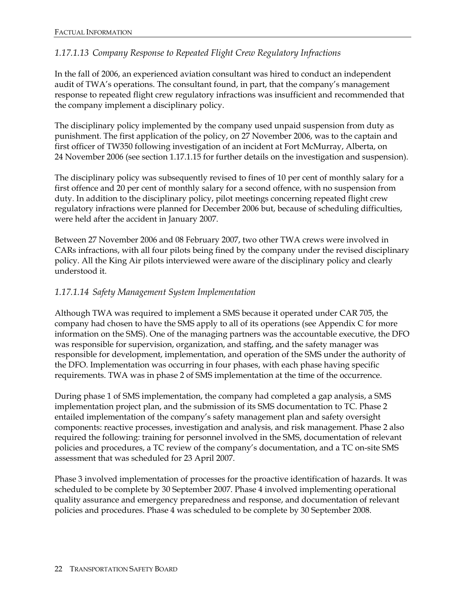### *1.17.1.13 Company Response to Repeated Flight Crew Regulatory Infractions*

In the fall of 2006, an experienced aviation consultant was hired to conduct an independent audit of TWA's operations. The consultant found, in part, that the company's management response to repeated flight crew regulatory infractions was insufficient and recommended that the company implement a disciplinary policy.

The disciplinary policy implemented by the company used unpaid suspension from duty as punishment. The first application of the policy, on 27 November 2006, was to the captain and first officer of TW350 following investigation of an incident at Fort McMurray, Alberta, on 24 November 2006 (see section 1.17.1.15 for further details on the investigation and suspension).

The disciplinary policy was subsequently revised to fines of 10 per cent of monthly salary for a first offence and 20 per cent of monthly salary for a second offence, with no suspension from duty. In addition to the disciplinary policy, pilot meetings concerning repeated flight crew regulatory infractions were planned for December 2006 but, because of scheduling difficulties, were held after the accident in January 2007.

Between 27 November 2006 and 08 February 2007, two other TWA crews were involved in CARs infractions, with all four pilots being fined by the company under the revised disciplinary policy. All the King Air pilots interviewed were aware of the disciplinary policy and clearly understood it.

#### *1.17.1.14 Safety Management System Implementation*

Although TWA was required to implement a SMS because it operated under CAR 705, the company had chosen to have the SMS apply to all of its operations (see Appendix C for more information on the SMS). One of the managing partners was the accountable executive, the DFO was responsible for supervision, organization, and staffing, and the safety manager was responsible for development, implementation, and operation of the SMS under the authority of the DFO. Implementation was occurring in four phases, with each phase having specific requirements. TWA was in phase 2 of SMS implementation at the time of the occurrence.

During phase 1 of SMS implementation, the company had completed a gap analysis, a SMS implementation project plan, and the submission of its SMS documentation to TC. Phase 2 entailed implementation of the company's safety management plan and safety oversight components: reactive processes, investigation and analysis, and risk management. Phase 2 also required the following: training for personnel involved in the SMS, documentation of relevant policies and procedures, a TC review of the company's documentation, and a TC on-site SMS assessment that was scheduled for 23 April 2007.

Phase 3 involved implementation of processes for the proactive identification of hazards. It was scheduled to be complete by 30 September 2007. Phase 4 involved implementing operational quality assurance and emergency preparedness and response, and documentation of relevant policies and procedures. Phase 4 was scheduled to be complete by 30 September 2008.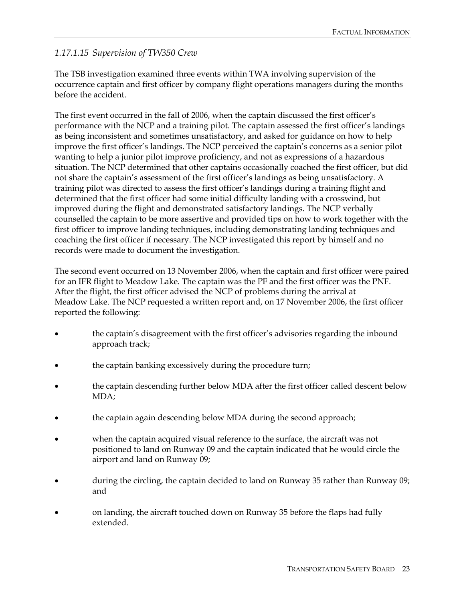#### *1.17.1.15 Supervision of TW350 Crew*

The TSB investigation examined three events within TWA involving supervision of the occurrence captain and first officer by company flight operations managers during the months before the accident.

The first event occurred in the fall of 2006, when the captain discussed the first officer's performance with the NCP and a training pilot. The captain assessed the first officer's landings as being inconsistent and sometimes unsatisfactory, and asked for guidance on how to help improve the first officer's landings. The NCP perceived the captain's concerns as a senior pilot wanting to help a junior pilot improve proficiency, and not as expressions of a hazardous situation. The NCP determined that other captains occasionally coached the first officer, but did not share the captain's assessment of the first officer's landings as being unsatisfactory. A training pilot was directed to assess the first officer's landings during a training flight and determined that the first officer had some initial difficulty landing with a crosswind, but improved during the flight and demonstrated satisfactory landings. The NCP verbally counselled the captain to be more assertive and provided tips on how to work together with the first officer to improve landing techniques, including demonstrating landing techniques and coaching the first officer if necessary. The NCP investigated this report by himself and no records were made to document the investigation.

The second event occurred on 13 November 2006, when the captain and first officer were paired for an IFR flight to Meadow Lake. The captain was the PF and the first officer was the PNF. After the flight, the first officer advised the NCP of problems during the arrival at Meadow Lake. The NCP requested a written report and, on 17 November 2006, the first officer reported the following:

- the captain's disagreement with the first officer's advisories regarding the inbound approach track;
- the captain banking excessively during the procedure turn;
- the captain descending further below MDA after the first officer called descent below MDA;
- the captain again descending below MDA during the second approach;
- when the captain acquired visual reference to the surface, the aircraft was not positioned to land on Runway 09 and the captain indicated that he would circle the airport and land on Runway 09;
- during the circling, the captain decided to land on Runway 35 rather than Runway 09; and
- on landing, the aircraft touched down on Runway 35 before the flaps had fully extended.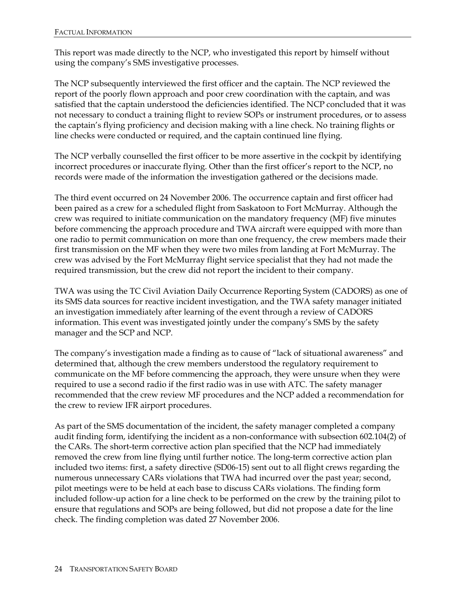This report was made directly to the NCP, who investigated this report by himself without using the company's SMS investigative processes.

The NCP subsequently interviewed the first officer and the captain. The NCP reviewed the report of the poorly flown approach and poor crew coordination with the captain, and was satisfied that the captain understood the deficiencies identified. The NCP concluded that it was not necessary to conduct a training flight to review SOPs or instrument procedures, or to assess the captain's flying proficiency and decision making with a line check. No training flights or line checks were conducted or required, and the captain continued line flying.

The NCP verbally counselled the first officer to be more assertive in the cockpit by identifying incorrect procedures or inaccurate flying. Other than the first officer's report to the NCP, no records were made of the information the investigation gathered or the decisions made.

The third event occurred on 24 November 2006. The occurrence captain and first officer had been paired as a crew for a scheduled flight from Saskatoon to Fort McMurray. Although the crew was required to initiate communication on the mandatory frequency (MF) five minutes before commencing the approach procedure and TWA aircraft were equipped with more than one radio to permit communication on more than one frequency, the crew members made their first transmission on the MF when they were two miles from landing at Fort McMurray. The crew was advised by the Fort McMurray flight service specialist that they had not made the required transmission, but the crew did not report the incident to their company.

TWA was using the TC Civil Aviation Daily Occurrence Reporting System (CADORS) as one of its SMS data sources for reactive incident investigation, and the TWA safety manager initiated an investigation immediately after learning of the event through a review of CADORS information. This event was investigated jointly under the company's SMS by the safety manager and the SCP and NCP.

The company's investigation made a finding as to cause of "lack of situational awareness" and determined that, although the crew members understood the regulatory requirement to communicate on the MF before commencing the approach, they were unsure when they were required to use a second radio if the first radio was in use with ATC. The safety manager recommended that the crew review MF procedures and the NCP added a recommendation for the crew to review IFR airport procedures.

As part of the SMS documentation of the incident, the safety manager completed a company audit finding form, identifying the incident as a non-conformance with subsection 602.104(2) of the CARs. The short-term corrective action plan specified that the NCP had immediately removed the crew from line flying until further notice. The long-term corrective action plan included two items: first, a safety directive (SD06-15) sent out to all flight crews regarding the numerous unnecessary CARs violations that TWA had incurred over the past year; second, pilot meetings were to be held at each base to discuss CARs violations. The finding form included follow-up action for a line check to be performed on the crew by the training pilot to ensure that regulations and SOPs are being followed, but did not propose a date for the line check. The finding completion was dated 27 November 2006.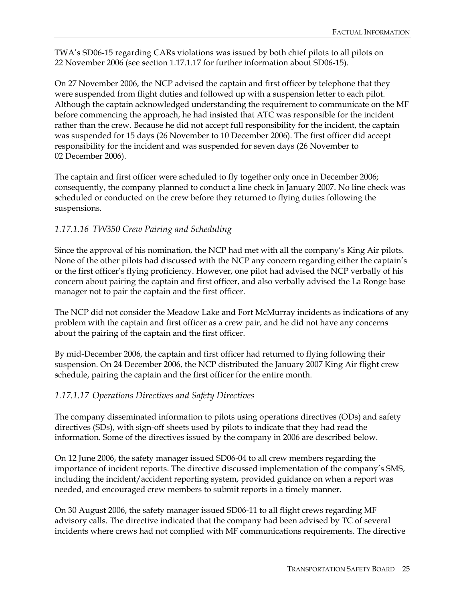TWA's SD06-15 regarding CARs violations was issued by both chief pilots to all pilots on 22 November 2006 (see section 1.17.1.17 for further information about SD06-15).

On 27 November 2006, the NCP advised the captain and first officer by telephone that they were suspended from flight duties and followed up with a suspension letter to each pilot. Although the captain acknowledged understanding the requirement to communicate on the MF before commencing the approach, he had insisted that ATC was responsible for the incident rather than the crew. Because he did not accept full responsibility for the incident, the captain was suspended for 15 days (26 November to 10 December 2006). The first officer did accept responsibility for the incident and was suspended for seven days (26 November to 02 December 2006).

The captain and first officer were scheduled to fly together only once in December 2006; consequently, the company planned to conduct a line check in January 2007. No line check was scheduled or conducted on the crew before they returned to flying duties following the suspensions.

### *1.17.1.16 TW350 Crew Pairing and Scheduling*

Since the approval of his nomination, the NCP had met with all the company's King Air pilots. None of the other pilots had discussed with the NCP any concern regarding either the captain's or the first officer's flying proficiency. However, one pilot had advised the NCP verbally of his concern about pairing the captain and first officer, and also verbally advised the La Ronge base manager not to pair the captain and the first officer.

The NCP did not consider the Meadow Lake and Fort McMurray incidents as indications of any problem with the captain and first officer as a crew pair, and he did not have any concerns about the pairing of the captain and the first officer.

By mid-December 2006, the captain and first officer had returned to flying following their suspension. On 24 December 2006, the NCP distributed the January 2007 King Air flight crew schedule, pairing the captain and the first officer for the entire month.

#### *1.17.1.17 Operations Directives and Safety Directives*

The company disseminated information to pilots using operations directives (ODs) and safety directives (SDs), with sign-off sheets used by pilots to indicate that they had read the information. Some of the directives issued by the company in 2006 are described below.

On 12 June 2006, the safety manager issued SD06-04 to all crew members regarding the importance of incident reports. The directive discussed implementation of the company's SMS, including the incident/accident reporting system, provided guidance on when a report was needed, and encouraged crew members to submit reports in a timely manner.

On 30 August 2006, the safety manager issued SD06-11 to all flight crews regarding MF advisory calls. The directive indicated that the company had been advised by TC of several incidents where crews had not complied with MF communications requirements. The directive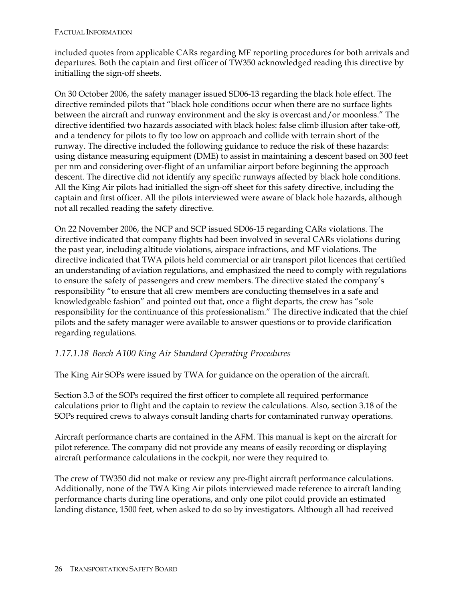included quotes from applicable CARs regarding MF reporting procedures for both arrivals and departures. Both the captain and first officer of TW350 acknowledged reading this directive by initialling the sign-off sheets.

On 30 October 2006, the safety manager issued SD06-13 regarding the black hole effect. The directive reminded pilots that "black hole conditions occur when there are no surface lights between the aircraft and runway environment and the sky is overcast and/or moonless." The directive identified two hazards associated with black holes: false climb illusion after take-off, and a tendency for pilots to fly too low on approach and collide with terrain short of the runway. The directive included the following guidance to reduce the risk of these hazards: using distance measuring equipment (DME) to assist in maintaining a descent based on 300 feet per nm and considering over-flight of an unfamiliar airport before beginning the approach descent. The directive did not identify any specific runways affected by black hole conditions. All the King Air pilots had initialled the sign-off sheet for this safety directive, including the captain and first officer. All the pilots interviewed were aware of black hole hazards, although not all recalled reading the safety directive.

On 22 November 2006, the NCP and SCP issued SD06-15 regarding CARs violations. The directive indicated that company flights had been involved in several CARs violations during the past year, including altitude violations, airspace infractions, and MF violations. The directive indicated that TWA pilots held commercial or air transport pilot licences that certified an understanding of aviation regulations, and emphasized the need to comply with regulations to ensure the safety of passengers and crew members. The directive stated the company's responsibility "to ensure that all crew members are conducting themselves in a safe and knowledgeable fashion" and pointed out that, once a flight departs, the crew has "sole responsibility for the continuance of this professionalism." The directive indicated that the chief pilots and the safety manager were available to answer questions or to provide clarification regarding regulations.

#### *1.17.1.18 Beech A100 King Air Standard Operating Procedures*

The King Air SOPs were issued by TWA for guidance on the operation of the aircraft.

Section 3.3 of the SOPs required the first officer to complete all required performance calculations prior to flight and the captain to review the calculations. Also, section 3.18 of the SOPs required crews to always consult landing charts for contaminated runway operations.

Aircraft performance charts are contained in the AFM. This manual is kept on the aircraft for pilot reference. The company did not provide any means of easily recording or displaying aircraft performance calculations in the cockpit, nor were they required to.

The crew of TW350 did not make or review any pre-flight aircraft performance calculations. Additionally, none of the TWA King Air pilots interviewed made reference to aircraft landing performance charts during line operations, and only one pilot could provide an estimated landing distance, 1500 feet, when asked to do so by investigators. Although all had received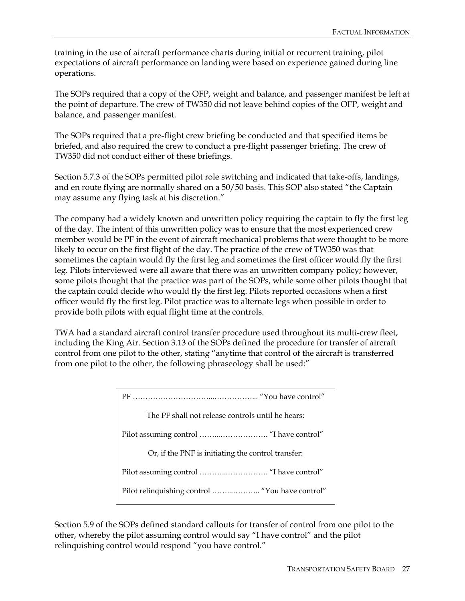training in the use of aircraft performance charts during initial or recurrent training, pilot expectations of aircraft performance on landing were based on experience gained during line operations.

The SOPs required that a copy of the OFP, weight and balance, and passenger manifest be left at the point of departure. The crew of TW350 did not leave behind copies of the OFP, weight and balance, and passenger manifest.

The SOPs required that a pre-flight crew briefing be conducted and that specified items be briefed, and also required the crew to conduct a pre-flight passenger briefing. The crew of TW350 did not conduct either of these briefings.

Section 5.7.3 of the SOPs permitted pilot role switching and indicated that take-offs, landings, and en route flying are normally shared on a 50/50 basis. This SOP also stated "the Captain may assume any flying task at his discretion."

The company had a widely known and unwritten policy requiring the captain to fly the first leg of the day. The intent of this unwritten policy was to ensure that the most experienced crew member would be PF in the event of aircraft mechanical problems that were thought to be more likely to occur on the first flight of the day. The practice of the crew of TW350 was that sometimes the captain would fly the first leg and sometimes the first officer would fly the first leg. Pilots interviewed were all aware that there was an unwritten company policy; however, some pilots thought that the practice was part of the SOPs, while some other pilots thought that the captain could decide who would fly the first leg. Pilots reported occasions when a first officer would fly the first leg. Pilot practice was to alternate legs when possible in order to provide both pilots with equal flight time at the controls.

TWA had a standard aircraft control transfer procedure used throughout its multi-crew fleet, including the King Air. Section 3.13 of the SOPs defined the procedure for transfer of aircraft control from one pilot to the other, stating "anytime that control of the aircraft is transferred from one pilot to the other, the following phraseology shall be used:"

| The PF shall not release controls until he hears:  |
|----------------------------------------------------|
|                                                    |
| Or, if the PNF is initiating the control transfer: |
|                                                    |
| Pilot relinquishing control  "You have control"    |

Section 5.9 of the SOPs defined standard callouts for transfer of control from one pilot to the other, whereby the pilot assuming control would say "I have control" and the pilot relinquishing control would respond "you have control."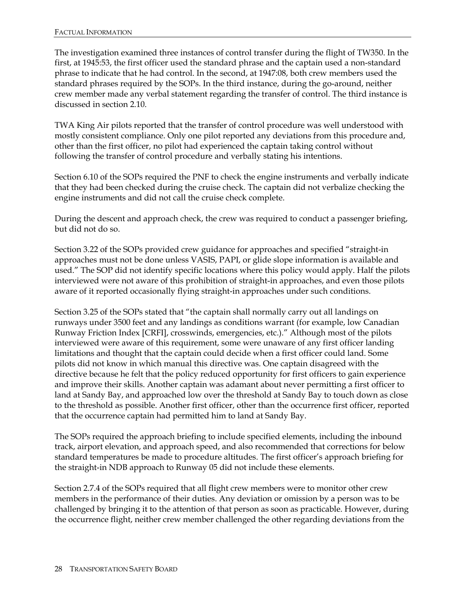The investigation examined three instances of control transfer during the flight of TW350. In the first, at 1945:53, the first officer used the standard phrase and the captain used a non-standard phrase to indicate that he had control. In the second, at 1947:08, both crew members used the standard phrases required by the SOPs. In the third instance, during the go-around, neither crew member made any verbal statement regarding the transfer of control. The third instance is discussed in section 2.10.

TWA King Air pilots reported that the transfer of control procedure was well understood with mostly consistent compliance. Only one pilot reported any deviations from this procedure and, other than the first officer, no pilot had experienced the captain taking control without following the transfer of control procedure and verbally stating his intentions.

Section 6.10 of the SOPs required the PNF to check the engine instruments and verbally indicate that they had been checked during the cruise check. The captain did not verbalize checking the engine instruments and did not call the cruise check complete.

During the descent and approach check, the crew was required to conduct a passenger briefing, but did not do so.

Section 3.22 of the SOPs provided crew guidance for approaches and specified "straight-in approaches must not be done unless VASIS, PAPI, or glide slope information is available and used." The SOP did not identify specific locations where this policy would apply. Half the pilots interviewed were not aware of this prohibition of straight-in approaches, and even those pilots aware of it reported occasionally flying straight-in approaches under such conditions.

Section 3.25 of the SOPs stated that "the captain shall normally carry out all landings on runways under 3500 feet and any landings as conditions warrant (for example, low Canadian Runway Friction Index [CRFI], crosswinds, emergencies, etc.)." Although most of the pilots interviewed were aware of this requirement, some were unaware of any first officer landing limitations and thought that the captain could decide when a first officer could land. Some pilots did not know in which manual this directive was. One captain disagreed with the directive because he felt that the policy reduced opportunity for first officers to gain experience and improve their skills. Another captain was adamant about never permitting a first officer to land at Sandy Bay, and approached low over the threshold at Sandy Bay to touch down as close to the threshold as possible. Another first officer, other than the occurrence first officer, reported that the occurrence captain had permitted him to land at Sandy Bay.

The SOPs required the approach briefing to include specified elements, including the inbound track, airport elevation, and approach speed, and also recommended that corrections for below standard temperatures be made to procedure altitudes. The first officer's approach briefing for the straight-in NDB approach to Runway 05 did not include these elements.

Section 2.7.4 of the SOPs required that all flight crew members were to monitor other crew members in the performance of their duties. Any deviation or omission by a person was to be challenged by bringing it to the attention of that person as soon as practicable. However, during the occurrence flight, neither crew member challenged the other regarding deviations from the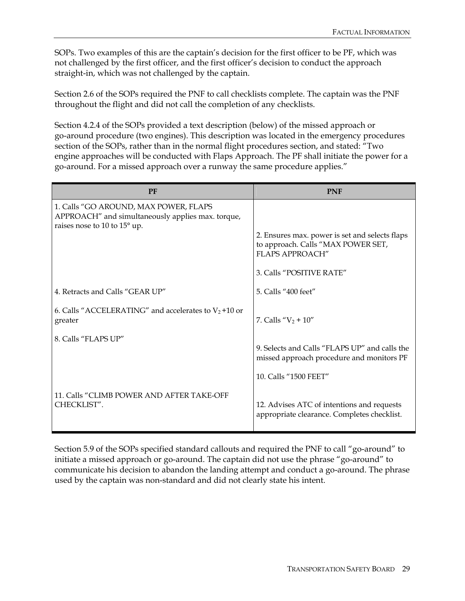SOPs. Two examples of this are the captain's decision for the first officer to be PF, which was not challenged by the first officer, and the first officer's decision to conduct the approach straight-in, which was not challenged by the captain.

Section 2.6 of the SOPs required the PNF to call checklists complete. The captain was the PNF throughout the flight and did not call the completion of any checklists.

Section 4.2.4 of the SOPs provided a text description (below) of the missed approach or go-around procedure (two engines). This description was located in the emergency procedures section of the SOPs, rather than in the normal flight procedures section, and stated: "Two engine approaches will be conducted with Flaps Approach. The PF shall initiate the power for a go-around. For a missed approach over a runway the same procedure applies."

| <b>PF</b>                                                                                                                  | <b>PNF</b>                                                                                                     |
|----------------------------------------------------------------------------------------------------------------------------|----------------------------------------------------------------------------------------------------------------|
| 1. Calls "GO AROUND, MAX POWER, FLAPS<br>APPROACH" and simultaneously applies max. torque,<br>raises nose to 10 to 15° up. |                                                                                                                |
|                                                                                                                            | 2. Ensures max. power is set and selects flaps<br>to approach. Calls "MAX POWER SET,<br><b>FLAPS APPROACH"</b> |
|                                                                                                                            | 3. Calls "POSITIVE RATE"                                                                                       |
| 4. Retracts and Calls "GEAR UP"                                                                                            | 5. Calls "400 feet"                                                                                            |
| 6. Calls "ACCELERATING" and accelerates to $V_2$ +10 or<br>greater                                                         | 7. Calls " $V_2 + 10$ "                                                                                        |
| 8. Calls "FLAPS UP"                                                                                                        | 9. Selects and Calls "FLAPS UP" and calls the<br>missed approach procedure and monitors PF                     |
|                                                                                                                            | 10. Calls "1500 FEET"                                                                                          |
| 11. Calls "CLIMB POWER AND AFTER TAKE-OFF<br>CHECKLIST".                                                                   | 12. Advises ATC of intentions and requests<br>appropriate clearance. Completes checklist.                      |

Section 5.9 of the SOPs specified standard callouts and required the PNF to call "go-around" to initiate a missed approach or go-around. The captain did not use the phrase "go-around" to communicate his decision to abandon the landing attempt and conduct a go-around. The phrase used by the captain was non-standard and did not clearly state his intent.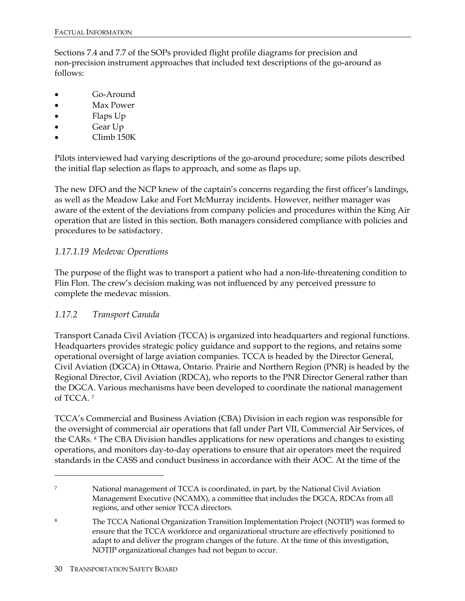Sections 7.4 and 7.7 of the SOPs provided flight profile diagrams for precision and non-precision instrument approaches that included text descriptions of the go-around as follows:

- Go-Around
- Max Power
- Flaps Up
- Gear Up
- Climb 150K

Pilots interviewed had varying descriptions of the go-around procedure; some pilots described the initial flap selection as flaps to approach, and some as flaps up.

The new DFO and the NCP knew of the captain's concerns regarding the first officer's landings, as well as the Meadow Lake and Fort McMurray incidents. However, neither manager was aware of the extent of the deviations from company policies and procedures within the King Air operation that are listed in this section. Both managers considered compliance with policies and procedures to be satisfactory.

#### *1.17.1.19 Medevac Operations*

The purpose of the flight was to transport a patient who had a non-life-threatening condition to Flin Flon. The crew's decision making was not influenced by any perceived pressure to complete the medevac mission.

#### *1.17.2 Transport Canada*

Transport Canada Civil Aviation (TCCA) is organized into headquarters and regional functions. Headquarters provides strategic policy guidance and support to the regions, and retains some operational oversight of large aviation companies. TCCA is headed by the Director General, Civil Aviation (DGCA) in Ottawa, Ontario. Prairie and Northern Region (PNR) is headed by the Regional Director, Civil Aviation (RDCA), who reports to the PNR Director General rather than the DGCA. Various mechanisms have been developed to coordinate the national management of TCCA. 7

TCCA's Commercial and Business Aviation (CBA) Division in each region was responsible for the oversight of commercial air operations that fall under Part VII, Commercial Air Services, of the CARs. 8 The CBA Division handles applications for new operations and changes to existing operations, and monitors day-to-day operations to ensure that air operators meet the required standards in the CASS and conduct business in accordance with their AOC. At the time of the

<u>.</u>

<sup>7</sup> National management of TCCA is coordinated, in part, by the National Civil Aviation Management Executive (NCAMX), a committee that includes the DGCA, RDCAs from all regions, and other senior TCCA directors.

<sup>8</sup> The TCCA National Organization Transition Implementation Project (NOTIP) was formed to ensure that the TCCA workforce and organizational structure are effectively positioned to adapt to and deliver the program changes of the future. At the time of this investigation, NOTIP organizational changes had not begun to occur.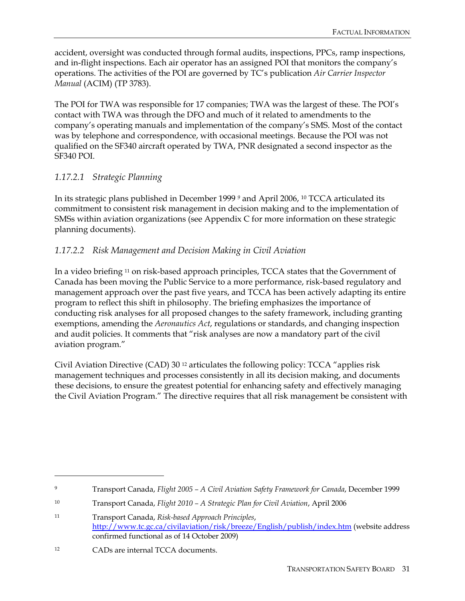accident, oversight was conducted through formal audits, inspections, PPCs, ramp inspections, and in-flight inspections. Each air operator has an assigned POI that monitors the company's operations. The activities of the POI are governed by TC's publication *Air Carrier Inspector Manual* (ACIM) (TP 3783).

The POI for TWA was responsible for 17 companies; TWA was the largest of these. The POI's contact with TWA was through the DFO and much of it related to amendments to the company's operating manuals and implementation of the company's SMS. Most of the contact was by telephone and correspondence, with occasional meetings. Because the POI was not qualified on the SF340 aircraft operated by TWA, PNR designated a second inspector as the SF340 POI.

#### *1.17.2.1 Strategic Planning*

In its strategic plans published in December 1999 *9* and April 2006, 10 TCCA articulated its commitment to consistent risk management in decision making and to the implementation of SMSs within aviation organizations (see Appendix C for more information on these strategic planning documents).

#### *1.17.2.2 Risk Management and Decision Making in Civil Aviation*

In a video briefing 11 on risk-based approach principles, TCCA states that the Government of Canada has been moving the Public Service to a more performance, risk-based regulatory and management approach over the past five years, and TCCA has been actively adapting its entire program to reflect this shift in philosophy. The briefing emphasizes the importance of conducting risk analyses for all proposed changes to the safety framework, including granting exemptions, amending the *Aeronautics Act*, regulations or standards, and changing inspection and audit policies. It comments that "risk analyses are now a mandatory part of the civil aviation program."

Civil Aviation Directive (CAD) 30 12 articulates the following policy: TCCA "applies risk management techniques and processes consistently in all its decision making, and documents these decisions, to ensure the greatest potential for enhancing safety and effectively managing the Civil Aviation Program." The directive requires that all risk management be consistent with

<u>.</u>

<sup>9</sup> Transport Canada, *Flight 2005 – A Civil Aviation Safety Framework for Canada*, December 1999

<sup>10</sup> Transport Canada, *Flight 2010 – A Strategic Plan for Civil Aviation*, April 2006

<sup>11</sup> Transport Canada, *Risk-based Approach Principles*, http://www.tc.gc.ca/civilaviation/risk/breeze/English/publish/index.htm (website address confirmed functional as of 14 October 2009)

<sup>12</sup> CADs are internal TCCA documents.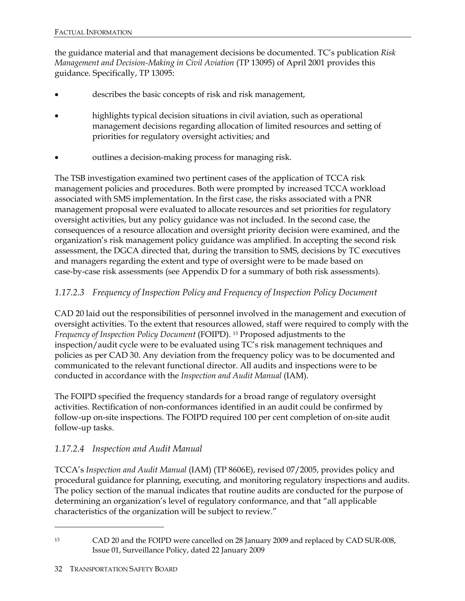the guidance material and that management decisions be documented. TC's publication *Risk Management and Decision-Making in Civil Aviation* (TP 13095) of April 2001 provides this guidance. Specifically, TP 13095:

- describes the basic concepts of risk and risk management,
- highlights typical decision situations in civil aviation, such as operational management decisions regarding allocation of limited resources and setting of priorities for regulatory oversight activities; and
- outlines a decision-making process for managing risk.

The TSB investigation examined two pertinent cases of the application of TCCA risk management policies and procedures. Both were prompted by increased TCCA workload associated with SMS implementation. In the first case, the risks associated with a PNR management proposal were evaluated to allocate resources and set priorities for regulatory oversight activities, but any policy guidance was not included. In the second case, the consequences of a resource allocation and oversight priority decision were examined, and the organization's risk management policy guidance was amplified. In accepting the second risk assessment, the DGCA directed that, during the transition to SMS, decisions by TC executives and managers regarding the extent and type of oversight were to be made based on case-by-case risk assessments (see Appendix D for a summary of both risk assessments).

#### *1.17.2.3 Frequency of Inspection Policy and Frequency of Inspection Policy Document*

CAD 20 laid out the responsibilities of personnel involved in the management and execution of oversight activities. To the extent that resources allowed, staff were required to comply with the *Frequency of Inspection Policy Document* (FOIPD). 13 Proposed adjustments to the inspection/audit cycle were to be evaluated using TC's risk management techniques and policies as per CAD 30. Any deviation from the frequency policy was to be documented and communicated to the relevant functional director. All audits and inspections were to be conducted in accordance with the *Inspection and Audit Manual* (IAM).

The FOIPD specified the frequency standards for a broad range of regulatory oversight activities. Rectification of non-conformances identified in an audit could be confirmed by follow-up on-site inspections. The FOIPD required 100 per cent completion of on-site audit follow-up tasks.

#### *1.17.2.4 Inspection and Audit Manual*

TCCA's *Inspection and Audit Manual* (IAM) (TP 8606E), revised 07/2005, provides policy and procedural guidance for planning, executing, and monitoring regulatory inspections and audits. The policy section of the manual indicates that routine audits are conducted for the purpose of determining an organization's level of regulatory conformance, and that "all applicable characteristics of the organization will be subject to review."

-

<sup>13</sup> CAD 20 and the FOIPD were cancelled on 28 January 2009 and replaced by CAD SUR-008, Issue 01, Surveillance Policy, dated 22 January 2009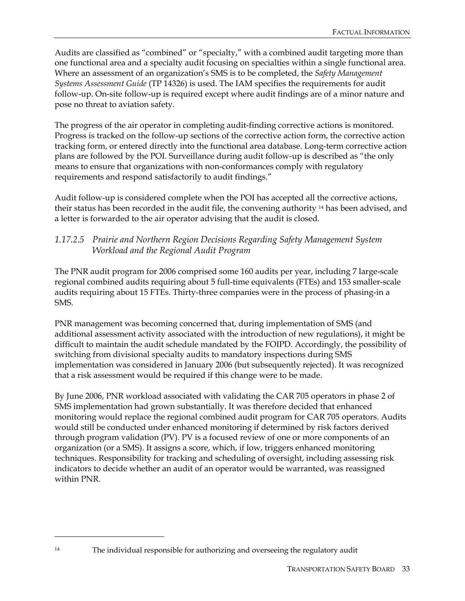Audits are classified as "combined" or "specialty," with a combined audit targeting more than one functional area and a specialty audit focusing on specialties within a single functional area. Where an assessment of an organization's SMS is to be completed, the *Safety Management Systems Assessment Guide* (TP 14326) is used. The IAM specifies the requirements for audit follow-up. On-site follow-up is required except where audit findings are of a minor nature and pose no threat to aviation safety.

The progress of the air operator in completing audit-finding corrective actions is monitored. Progress is tracked on the follow-up sections of the corrective action form, the corrective action tracking form, or entered directly into the functional area database. Long-term corrective action plans are followed by the POI. Surveillance during audit follow-up is described as "the only means to ensure that organizations with non-conformances comply with regulatory requirements and respond satisfactorily to audit findings."

Audit follow-up is considered complete when the POI has accepted all the corrective actions, their status has been recorded in the audit file, the convening authority <sup>14</sup> has been advised, and a letter is forwarded to the air operator advising that the audit is closed.

#### *1.17.2.5 Prairie and Northern Region Decisions Regarding Safety Management System Workload and the Regional Audit Program*

The PNR audit program for 2006 comprised some 160 audits per year, including 7 large-scale regional combined audits requiring about 5 full-time equivalents (FTEs) and 153 smaller-scale audits requiring about 15 FTEs. Thirty-three companies were in the process of phasing-in a SMS.

PNR management was becoming concerned that, during implementation of SMS (and additional assessment activity associated with the introduction of new regulations), it might be difficult to maintain the audit schedule mandated by the FOIPD. Accordingly, the possibility of switching from divisional specialty audits to mandatory inspections during SMS implementation was considered in January 2006 (but subsequently rejected). It was recognized that a risk assessment would be required if this change were to be made.

By June 2006, PNR workload associated with validating the CAR 705 operators in phase 2 of SMS implementation had grown substantially. It was therefore decided that enhanced monitoring would replace the regional combined audit program for CAR 705 operators. Audits would still be conducted under enhanced monitoring if determined by risk factors derived through program validation (PV). PV is a focused review of one or more components of an organization (or a SMS). It assigns a score, which, if low, triggers enhanced monitoring techniques. Responsibility for tracking and scheduling of oversight, including assessing risk indicators to decide whether an audit of an operator would be warranted, was reassigned within PNR.

<sup>14</sup> The individual responsible for authorizing and overseeing the regulatory audit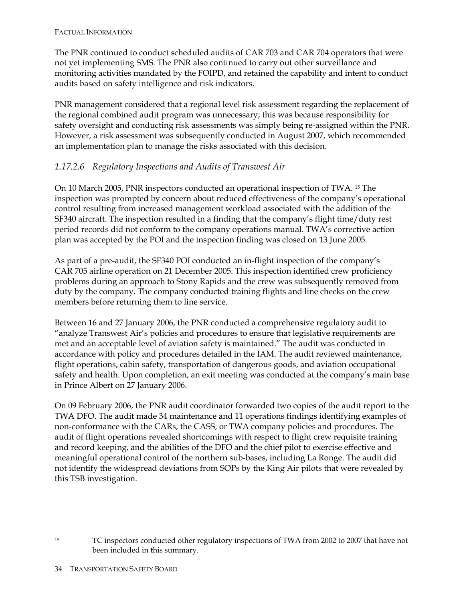The PNR continued to conduct scheduled audits of CAR 703 and CAR 704 operators that were not yet implementing SMS. The PNR also continued to carry out other surveillance and monitoring activities mandated by the FOIPD, and retained the capability and intent to conduct audits based on safety intelligence and risk indicators.

PNR management considered that a regional level risk assessment regarding the replacement of the regional combined audit program was unnecessary; this was because responsibility for safety oversight and conducting risk assessments was simply being re-assigned within the PNR. However, a risk assessment was subsequently conducted in August 2007, which recommended an implementation plan to manage the risks associated with this decision.

#### *1.17.2.6 Regulatory Inspections and Audits of Transwest Air*

On 10 March 2005, PNR inspectors conducted an operational inspection of TWA. 15 The inspection was prompted by concern about reduced effectiveness of the company's operational control resulting from increased management workload associated with the addition of the SF340 aircraft. The inspection resulted in a finding that the company's flight time/duty rest period records did not conform to the company operations manual. TWA's corrective action plan was accepted by the POI and the inspection finding was closed on 13 June 2005.

As part of a pre-audit, the SF340 POI conducted an in-flight inspection of the company's CAR 705 airline operation on 21 December 2005. This inspection identified crew proficiency problems during an approach to Stony Rapids and the crew was subsequently removed from duty by the company. The company conducted training flights and line checks on the crew members before returning them to line service.

Between 16 and 27 January 2006, the PNR conducted a comprehensive regulatory audit to "analyze Transwest Air's policies and procedures to ensure that legislative requirements are met and an acceptable level of aviation safety is maintained." The audit was conducted in accordance with policy and procedures detailed in the IAM. The audit reviewed maintenance, flight operations, cabin safety, transportation of dangerous goods, and aviation occupational safety and health. Upon completion, an exit meeting was conducted at the company's main base in Prince Albert on 27 January 2006.

On 09 February 2006, the PNR audit coordinator forwarded two copies of the audit report to the TWA DFO. The audit made 34 maintenance and 11 operations findings identifying examples of non-conformance with the CARs, the CASS, or TWA company policies and procedures. The audit of flight operations revealed shortcomings with respect to flight crew requisite training and record keeping, and the abilities of the DFO and the chief pilot to exercise effective and meaningful operational control of the northern sub-bases, including La Ronge. The audit did not identify the widespread deviations from SOPs by the King Air pilots that were revealed by this TSB investigation.

-

<sup>&</sup>lt;sup>15</sup> TC inspectors conducted other regulatory inspections of TWA from 2002 to 2007 that have not been included in this summary.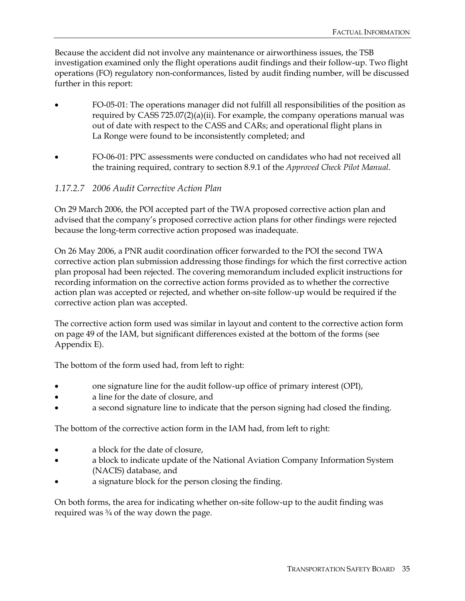Because the accident did not involve any maintenance or airworthiness issues, the TSB investigation examined only the flight operations audit findings and their follow-up. Two flight operations (FO) regulatory non-conformances, listed by audit finding number, will be discussed further in this report:

- FO-05-01: The operations manager did not fulfill all responsibilities of the position as required by CASS 725.07(2)(a)(ii). For example, the company operations manual was out of date with respect to the CASS and CARs; and operational flight plans in La Ronge were found to be inconsistently completed; and
- FO-06-01: PPC assessments were conducted on candidates who had not received all the training required, contrary to section 8.9.1 of the *Approved Check Pilot Manual*.

#### *1.17.2.7 2006 Audit Corrective Action Plan*

On 29 March 2006, the POI accepted part of the TWA proposed corrective action plan and advised that the company's proposed corrective action plans for other findings were rejected because the long-term corrective action proposed was inadequate.

On 26 May 2006, a PNR audit coordination officer forwarded to the POI the second TWA corrective action plan submission addressing those findings for which the first corrective action plan proposal had been rejected. The covering memorandum included explicit instructions for recording information on the corrective action forms provided as to whether the corrective action plan was accepted or rejected, and whether on-site follow-up would be required if the corrective action plan was accepted.

The corrective action form used was similar in layout and content to the corrective action form on page 49 of the IAM, but significant differences existed at the bottom of the forms (see Appendix E).

The bottom of the form used had, from left to right:

- one signature line for the audit follow-up office of primary interest (OPI),
- a line for the date of closure, and
- a second signature line to indicate that the person signing had closed the finding.

The bottom of the corrective action form in the IAM had, from left to right:

- a block for the date of closure,
- a block to indicate update of the National Aviation Company Information System (NACIS) database, and
- a signature block for the person closing the finding.

On both forms, the area for indicating whether on-site follow-up to the audit finding was required was ¾ of the way down the page.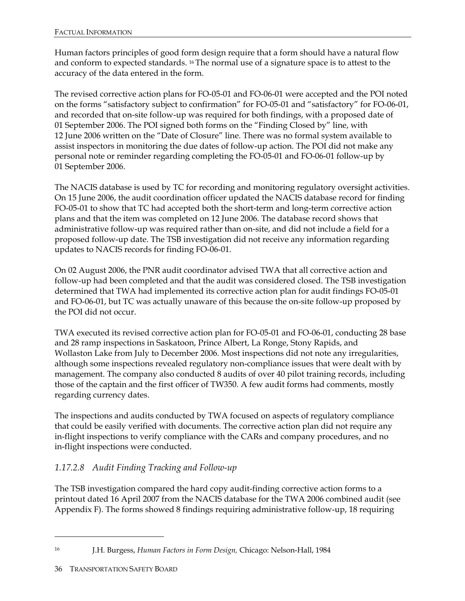Human factors principles of good form design require that a form should have a natural flow and conform to expected standards. 16 The normal use of a signature space is to attest to the accuracy of the data entered in the form.

The revised corrective action plans for FO-05-01 and FO-06-01 were accepted and the POI noted on the forms "satisfactory subject to confirmation" for FO-05-01 and "satisfactory" for FO-06-01, and recorded that on-site follow-up was required for both findings, with a proposed date of 01 September 2006. The POI signed both forms on the "Finding Closed by" line, with 12 June 2006 written on the "Date of Closure" line. There was no formal system available to assist inspectors in monitoring the due dates of follow-up action. The POI did not make any personal note or reminder regarding completing the FO-05-01 and FO-06-01 follow-up by 01 September 2006.

The NACIS database is used by TC for recording and monitoring regulatory oversight activities. On 15 June 2006, the audit coordination officer updated the NACIS database record for finding FO-05-01 to show that TC had accepted both the short-term and long-term corrective action plans and that the item was completed on 12 June 2006. The database record shows that administrative follow-up was required rather than on-site, and did not include a field for a proposed follow-up date. The TSB investigation did not receive any information regarding updates to NACIS records for finding FO-06-01.

On 02 August 2006, the PNR audit coordinator advised TWA that all corrective action and follow-up had been completed and that the audit was considered closed. The TSB investigation determined that TWA had implemented its corrective action plan for audit findings FO-05-01 and FO-06-01, but TC was actually unaware of this because the on-site follow-up proposed by the POI did not occur.

TWA executed its revised corrective action plan for FO-05-01 and FO-06-01, conducting 28 base and 28 ramp inspections in Saskatoon, Prince Albert, La Ronge, Stony Rapids, and Wollaston Lake from July to December 2006. Most inspections did not note any irregularities, although some inspections revealed regulatory non-compliance issues that were dealt with by management. The company also conducted 8 audits of over 40 pilot training records, including those of the captain and the first officer of TW350. A few audit forms had comments, mostly regarding currency dates.

The inspections and audits conducted by TWA focused on aspects of regulatory compliance that could be easily verified with documents. The corrective action plan did not require any in-flight inspections to verify compliance with the CARs and company procedures, and no in-flight inspections were conducted.

### *1.17.2.8 Audit Finding Tracking and Follow-up*

The TSB investigation compared the hard copy audit-finding corrective action forms to a printout dated 16 April 2007 from the NACIS database for the TWA 2006 combined audit (see Appendix F). The forms showed 8 findings requiring administrative follow-up, 18 requiring

<sup>16</sup> J.H. Burgess, *Human Factors in Form Design,* Chicago: Nelson-Hall, 1984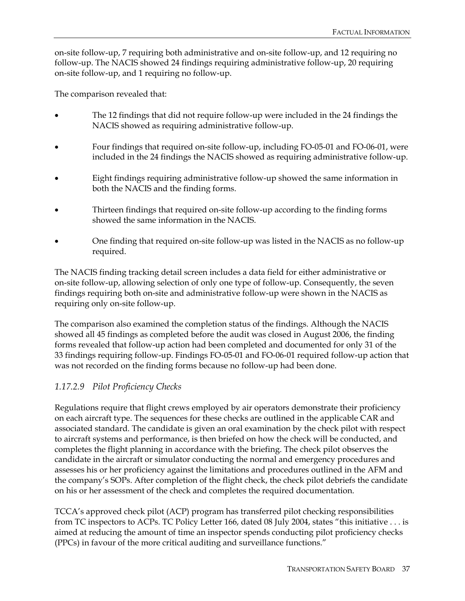on-site follow-up, 7 requiring both administrative and on-site follow-up, and 12 requiring no follow-up. The NACIS showed 24 findings requiring administrative follow-up, 20 requiring on-site follow-up, and 1 requiring no follow-up.

The comparison revealed that:

- The 12 findings that did not require follow-up were included in the 24 findings the NACIS showed as requiring administrative follow-up.
- Four findings that required on-site follow-up, including FO-05-01 and FO-06-01, were included in the 24 findings the NACIS showed as requiring administrative follow-up.
- Eight findings requiring administrative follow-up showed the same information in both the NACIS and the finding forms.
- Thirteen findings that required on-site follow-up according to the finding forms showed the same information in the NACIS.
- One finding that required on-site follow-up was listed in the NACIS as no follow-up required.

The NACIS finding tracking detail screen includes a data field for either administrative or on-site follow-up, allowing selection of only one type of follow-up. Consequently, the seven findings requiring both on-site and administrative follow-up were shown in the NACIS as requiring only on-site follow-up.

The comparison also examined the completion status of the findings. Although the NACIS showed all 45 findings as completed before the audit was closed in August 2006, the finding forms revealed that follow-up action had been completed and documented for only 31 of the 33 findings requiring follow-up. Findings FO-05-01 and FO-06-01 required follow-up action that was not recorded on the finding forms because no follow-up had been done.

#### *1.17.2.9 Pilot Proficiency Checks*

Regulations require that flight crews employed by air operators demonstrate their proficiency on each aircraft type. The sequences for these checks are outlined in the applicable CAR and associated standard. The candidate is given an oral examination by the check pilot with respect to aircraft systems and performance, is then briefed on how the check will be conducted, and completes the flight planning in accordance with the briefing. The check pilot observes the candidate in the aircraft or simulator conducting the normal and emergency procedures and assesses his or her proficiency against the limitations and procedures outlined in the AFM and the company's SOPs. After completion of the flight check, the check pilot debriefs the candidate on his or her assessment of the check and completes the required documentation.

TCCA's approved check pilot (ACP) program has transferred pilot checking responsibilities from TC inspectors to ACPs. TC Policy Letter 166, dated 08 July 2004, states "this initiative . . . is aimed at reducing the amount of time an inspector spends conducting pilot proficiency checks (PPCs) in favour of the more critical auditing and surveillance functions."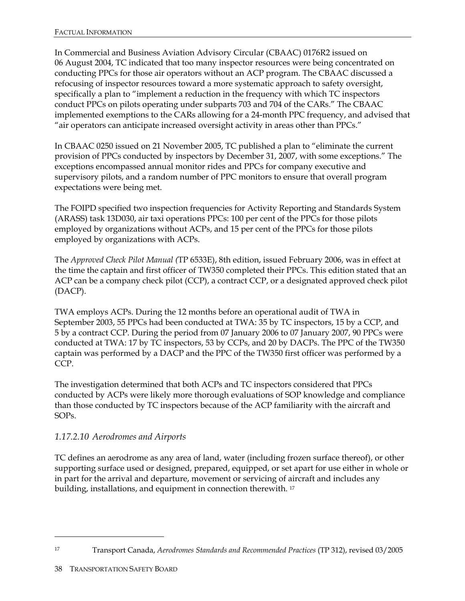In Commercial and Business Aviation Advisory Circular (CBAAC) 0176R2 issued on 06 August 2004, TC indicated that too many inspector resources were being concentrated on conducting PPCs for those air operators without an ACP program. The CBAAC discussed a refocusing of inspector resources toward a more systematic approach to safety oversight, specifically a plan to "implement a reduction in the frequency with which TC inspectors conduct PPCs on pilots operating under subparts 703 and 704 of the CARs." The CBAAC implemented exemptions to the CARs allowing for a 24-month PPC frequency, and advised that "air operators can anticipate increased oversight activity in areas other than PPCs."

In CBAAC 0250 issued on 21 November 2005, TC published a plan to "eliminate the current provision of PPCs conducted by inspectors by December 31, 2007, with some exceptions." The exceptions encompassed annual monitor rides and PPCs for company executive and supervisory pilots, and a random number of PPC monitors to ensure that overall program expectations were being met.

The FOIPD specified two inspection frequencies for Activity Reporting and Standards System (ARASS) task 13D030, air taxi operations PPCs: 100 per cent of the PPCs for those pilots employed by organizations without ACPs, and 15 per cent of the PPCs for those pilots employed by organizations with ACPs.

The *Approved Check Pilot Manual (*TP 6533E), 8th edition, issued February 2006, was in effect at the time the captain and first officer of TW350 completed their PPCs. This edition stated that an ACP can be a company check pilot (CCP), a contract CCP, or a designated approved check pilot (DACP).

TWA employs ACPs. During the 12 months before an operational audit of TWA in September 2003, 55 PPCs had been conducted at TWA: 35 by TC inspectors, 15 by a CCP, and 5 by a contract CCP. During the period from 07 January 2006 to 07 January 2007, 90 PPCs were conducted at TWA: 17 by TC inspectors, 53 by CCPs, and 20 by DACPs. The PPC of the TW350 captain was performed by a DACP and the PPC of the TW350 first officer was performed by a CCP.

The investigation determined that both ACPs and TC inspectors considered that PPCs conducted by ACPs were likely more thorough evaluations of SOP knowledge and compliance than those conducted by TC inspectors because of the ACP familiarity with the aircraft and SOPs.

#### *1.17.2.10 Aerodromes and Airports*

TC defines an aerodrome as any area of land, water (including frozen surface thereof), or other supporting surface used or designed, prepared, equipped, or set apart for use either in whole or in part for the arrival and departure, movement or servicing of aircraft and includes any building, installations, and equipment in connection therewith. <sup>17</sup>

<sup>17</sup> Transport Canada, *Aerodromes Standards and Recommended Practices* (TP 312), revised 03/2005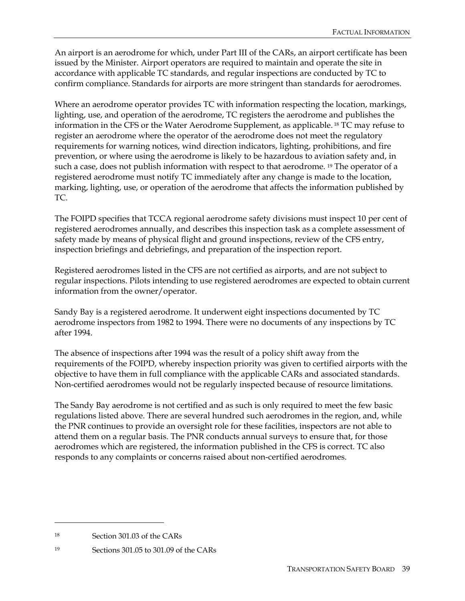An airport is an aerodrome for which, under Part III of the CARs, an airport certificate has been issued by the Minister. Airport operators are required to maintain and operate the site in accordance with applicable TC standards, and regular inspections are conducted by TC to confirm compliance. Standards for airports are more stringent than standards for aerodromes.

Where an aerodrome operator provides TC with information respecting the location, markings, lighting, use, and operation of the aerodrome, TC registers the aerodrome and publishes the information in the CFS or the Water Aerodrome Supplement, as applicable. 18 TC may refuse to register an aerodrome where the operator of the aerodrome does not meet the regulatory requirements for warning notices, wind direction indicators, lighting, prohibitions, and fire prevention, or where using the aerodrome is likely to be hazardous to aviation safety and, in such a case, does not publish information with respect to that aerodrome. <sup>19</sup> The operator of a registered aerodrome must notify TC immediately after any change is made to the location, marking, lighting, use, or operation of the aerodrome that affects the information published by TC.

The FOIPD specifies that TCCA regional aerodrome safety divisions must inspect 10 per cent of registered aerodromes annually, and describes this inspection task as a complete assessment of safety made by means of physical flight and ground inspections, review of the CFS entry, inspection briefings and debriefings, and preparation of the inspection report.

Registered aerodromes listed in the CFS are not certified as airports, and are not subject to regular inspections. Pilots intending to use registered aerodromes are expected to obtain current information from the owner/operator.

Sandy Bay is a registered aerodrome. It underwent eight inspections documented by TC aerodrome inspectors from 1982 to 1994. There were no documents of any inspections by TC after 1994.

The absence of inspections after 1994 was the result of a policy shift away from the requirements of the FOIPD, whereby inspection priority was given to certified airports with the objective to have them in full compliance with the applicable CARs and associated standards. Non-certified aerodromes would not be regularly inspected because of resource limitations.

The Sandy Bay aerodrome is not certified and as such is only required to meet the few basic regulations listed above. There are several hundred such aerodromes in the region, and, while the PNR continues to provide an oversight role for these facilities, inspectors are not able to attend them on a regular basis. The PNR conducts annual surveys to ensure that, for those aerodromes which are registered, the information published in the CFS is correct. TC also responds to any complaints or concerns raised about non-certified aerodromes.

<sup>18</sup> Section 301.03 of the CARs

<sup>19</sup> Sections 301.05 to 301.09 of the CARs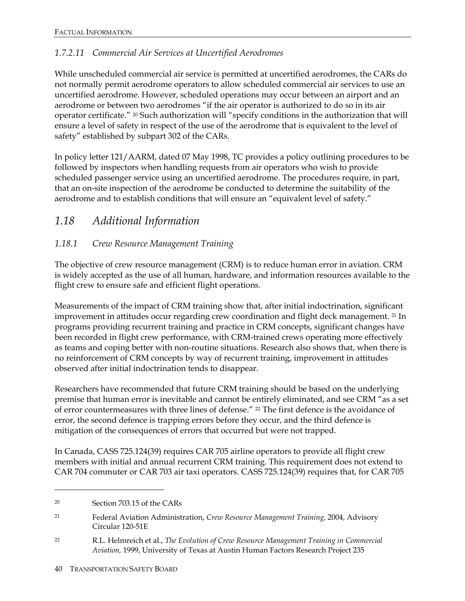#### *1.7.2.11 Commercial Air Services at Uncertified Aerodromes*

While unscheduled commercial air service is permitted at uncertified aerodromes, the CARs do not normally permit aerodrome operators to allow scheduled commercial air services to use an uncertified aerodrome. However, scheduled operations may occur between an airport and an aerodrome or between two aerodromes "if the air operator is authorized to do so in its air operator certificate." 20 Such authorization will "specify conditions in the authorization that will ensure a level of safety in respect of the use of the aerodrome that is equivalent to the level of safety" established by subpart 302 of the CARs.

In policy letter 121/AARM, dated 07 May 1998, TC provides a policy outlining procedures to be followed by inspectors when handling requests from air operators who wish to provide scheduled passenger service using an uncertified aerodrome. The procedures require, in part, that an on-site inspection of the aerodrome be conducted to determine the suitability of the aerodrome and to establish conditions that will ensure an "equivalent level of safety."

### *1.18 Additional Information*

#### *1.18.1 Crew Resource Management Training*

The objective of crew resource management (CRM) is to reduce human error in aviation. CRM is widely accepted as the use of all human, hardware, and information resources available to the flight crew to ensure safe and efficient flight operations.

Measurements of the impact of CRM training show that, after initial indoctrination, significant improvement in attitudes occur regarding crew coordination and flight deck management. <sup>21</sup> In programs providing recurrent training and practice in CRM concepts, significant changes have been recorded in flight crew performance, with CRM-trained crews operating more effectively as teams and coping better with non-routine situations. Research also shows that, when there is no reinforcement of CRM concepts by way of recurrent training, improvement in attitudes observed after initial indoctrination tends to disappear.

Researchers have recommended that future CRM training should be based on the underlying premise that human error is inevitable and cannot be entirely eliminated, and see CRM "as a set of error countermeasures with three lines of defense." 22 The first defence is the avoidance of error, the second defence is trapping errors before they occur, and the third defence is mitigation of the consequences of errors that occurred but were not trapped.

In Canada, CASS 725.124(39) requires CAR 705 airline operators to provide all flight crew members with initial and annual recurrent CRM training. This requirement does not extend to CAR 704 commuter or CAR 703 air taxi operators. CASS 725.124(39) requires that, for CAR 705

<sup>20</sup> Section 703.15 of the CARs

<sup>21</sup> Federal Aviation Administration, *Crew Resource Management Training,* 2004, Advisory Circular 120-51E

<sup>22</sup> R.L. Helmreich et al., *The Evolution of Crew Resource Management Training in Commercial Aviation,* 1999, University of Texas at Austin Human Factors Research Project 235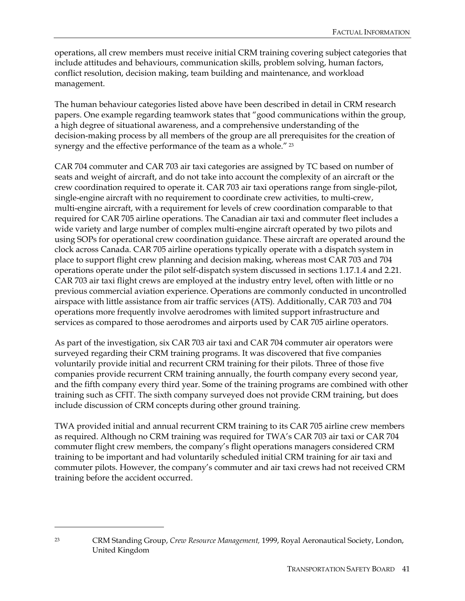operations, all crew members must receive initial CRM training covering subject categories that include attitudes and behaviours, communication skills, problem solving, human factors, conflict resolution, decision making, team building and maintenance, and workload management.

The human behaviour categories listed above have been described in detail in CRM research papers. One example regarding teamwork states that "good communications within the group, a high degree of situational awareness, and a comprehensive understanding of the decision-making process by all members of the group are all prerequisites for the creation of synergy and the effective performance of the team as a whole." <sup>23</sup>

CAR 704 commuter and CAR 703 air taxi categories are assigned by TC based on number of seats and weight of aircraft, and do not take into account the complexity of an aircraft or the crew coordination required to operate it. CAR 703 air taxi operations range from single-pilot, single-engine aircraft with no requirement to coordinate crew activities, to multi-crew, multi-engine aircraft, with a requirement for levels of crew coordination comparable to that required for CAR 705 airline operations. The Canadian air taxi and commuter fleet includes a wide variety and large number of complex multi-engine aircraft operated by two pilots and using SOPs for operational crew coordination guidance. These aircraft are operated around the clock across Canada. CAR 705 airline operations typically operate with a dispatch system in place to support flight crew planning and decision making, whereas most CAR 703 and 704 operations operate under the pilot self-dispatch system discussed in sections 1.17.1.4 and 2.21. CAR 703 air taxi flight crews are employed at the industry entry level, often with little or no previous commercial aviation experience. Operations are commonly conducted in uncontrolled airspace with little assistance from air traffic services (ATS). Additionally, CAR 703 and 704 operations more frequently involve aerodromes with limited support infrastructure and services as compared to those aerodromes and airports used by CAR 705 airline operators.

As part of the investigation, six CAR 703 air taxi and CAR 704 commuter air operators were surveyed regarding their CRM training programs. It was discovered that five companies voluntarily provide initial and recurrent CRM training for their pilots. Three of those five companies provide recurrent CRM training annually, the fourth company every second year, and the fifth company every third year. Some of the training programs are combined with other training such as CFIT. The sixth company surveyed does not provide CRM training, but does include discussion of CRM concepts during other ground training.

TWA provided initial and annual recurrent CRM training to its CAR 705 airline crew members as required. Although no CRM training was required for TWA's CAR 703 air taxi or CAR 704 commuter flight crew members, the company's flight operations managers considered CRM training to be important and had voluntarily scheduled initial CRM training for air taxi and commuter pilots. However, the company's commuter and air taxi crews had not received CRM training before the accident occurred.

-

<sup>23</sup> CRM Standing Group, *Crew Resource Management,* 1999, Royal Aeronautical Society, London, United Kingdom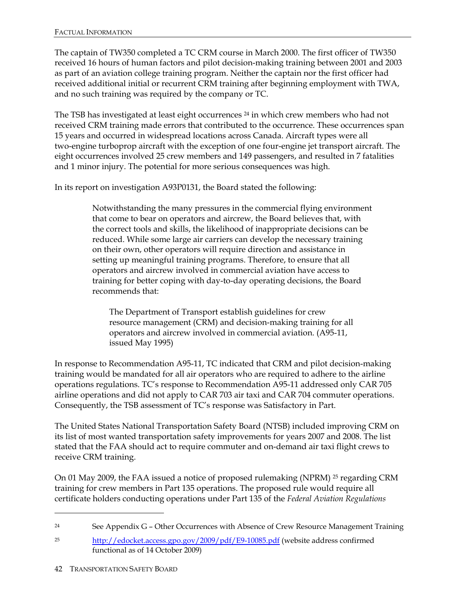The captain of TW350 completed a TC CRM course in March 2000. The first officer of TW350 received 16 hours of human factors and pilot decision-making training between 2001 and 2003 as part of an aviation college training program. Neither the captain nor the first officer had received additional initial or recurrent CRM training after beginning employment with TWA, and no such training was required by the company or TC.

The TSB has investigated at least eight occurrences <sup>24</sup> in which crew members who had not received CRM training made errors that contributed to the occurrence. These occurrences span 15 years and occurred in widespread locations across Canada. Aircraft types were all two-engine turboprop aircraft with the exception of one four-engine jet transport aircraft. The eight occurrences involved 25 crew members and 149 passengers, and resulted in 7 fatalities and 1 minor injury. The potential for more serious consequences was high.

In its report on investigation A93P0131, the Board stated the following:

Notwithstanding the many pressures in the commercial flying environment that come to bear on operators and aircrew, the Board believes that, with the correct tools and skills, the likelihood of inappropriate decisions can be reduced. While some large air carriers can develop the necessary training on their own, other operators will require direction and assistance in setting up meaningful training programs. Therefore, to ensure that all operators and aircrew involved in commercial aviation have access to training for better coping with day-to-day operating decisions, the Board recommends that:

The Department of Transport establish guidelines for crew resource management (CRM) and decision-making training for all operators and aircrew involved in commercial aviation. (A95-11, issued May 1995)

In response to Recommendation A95-11, TC indicated that CRM and pilot decision-making training would be mandated for all air operators who are required to adhere to the airline operations regulations. TC's response to Recommendation A95-11 addressed only CAR 705 airline operations and did not apply to CAR 703 air taxi and CAR 704 commuter operations. Consequently, the TSB assessment of TC's response was Satisfactory in Part.

The United States National Transportation Safety Board (NTSB) included improving CRM on its list of most wanted transportation safety improvements for years 2007 and 2008. The list stated that the FAA should act to require commuter and on-demand air taxi flight crews to receive CRM training.

On 01 May 2009, the FAA issued a notice of proposed rulemaking (NPRM) 25 regarding CRM training for crew members in Part 135 operations. The proposed rule would require all certificate holders conducting operations under Part 135 of the *Federal Aviation Regulations*

<sup>&</sup>lt;sup>24</sup> See Appendix G – Other Occurrences with Absence of Crew Resource Management Training

<sup>&</sup>lt;sup>25</sup> http://edocket.access.gpo.gov/2009/pdf/E9-10085.pdf (website address confirmed functional as of 14 October 2009)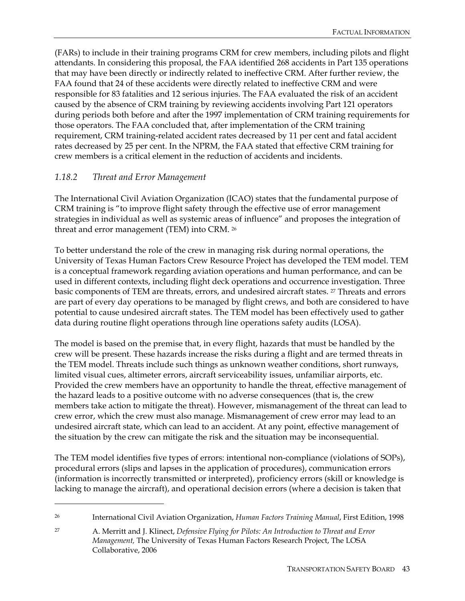(FARs) to include in their training programs CRM for crew members, including pilots and flight attendants. In considering this proposal, the FAA identified 268 accidents in Part 135 operations that may have been directly or indirectly related to ineffective CRM. After further review, the FAA found that 24 of these accidents were directly related to ineffective CRM and were responsible for 83 fatalities and 12 serious injuries. The FAA evaluated the risk of an accident caused by the absence of CRM training by reviewing accidents involving Part 121 operators during periods both before and after the 1997 implementation of CRM training requirements for those operators. The FAA concluded that, after implementation of the CRM training requirement, CRM training-related accident rates decreased by 11 per cent and fatal accident rates decreased by 25 per cent. In the NPRM, the FAA stated that effective CRM training for crew members is a critical element in the reduction of accidents and incidents.

#### *1.18.2 Threat and Error Management*

 $\overline{a}$ 

The International Civil Aviation Organization (ICAO) states that the fundamental purpose of CRM training is "to improve flight safety through the effective use of error management strategies in individual as well as systemic areas of influence" and proposes the integration of threat and error management (TEM) into CRM. 26

To better understand the role of the crew in managing risk during normal operations, the University of Texas Human Factors Crew Resource Project has developed the TEM model. TEM is a conceptual framework regarding aviation operations and human performance, and can be used in different contexts, including flight deck operations and occurrence investigation. Three basic components of TEM are threats, errors, and undesired aircraft states. 27 Threats and errors are part of every day operations to be managed by flight crews, and both are considered to have potential to cause undesired aircraft states. The TEM model has been effectively used to gather data during routine flight operations through line operations safety audits (LOSA).

The model is based on the premise that, in every flight, hazards that must be handled by the crew will be present. These hazards increase the risks during a flight and are termed threats in the TEM model. Threats include such things as unknown weather conditions, short runways, limited visual cues, altimeter errors, aircraft serviceability issues, unfamiliar airports, etc. Provided the crew members have an opportunity to handle the threat, effective management of the hazard leads to a positive outcome with no adverse consequences (that is, the crew members take action to mitigate the threat). However, mismanagement of the threat can lead to crew error, which the crew must also manage. Mismanagement of crew error may lead to an undesired aircraft state, which can lead to an accident. At any point, effective management of the situation by the crew can mitigate the risk and the situation may be inconsequential.

The TEM model identifies five types of errors: intentional non-compliance (violations of SOPs), procedural errors (slips and lapses in the application of procedures), communication errors (information is incorrectly transmitted or interpreted), proficiency errors (skill or knowledge is lacking to manage the aircraft), and operational decision errors (where a decision is taken that

<sup>26</sup> International Civil Aviation Organization, *Human Factors Training Manual*, First Edition, 1998

<sup>27</sup> A. Merritt and J. Klinect, *Defensive Flying for Pilots: An Introduction to Threat and Error Management,* The University of Texas Human Factors Research Project, The LOSA Collaborative, 2006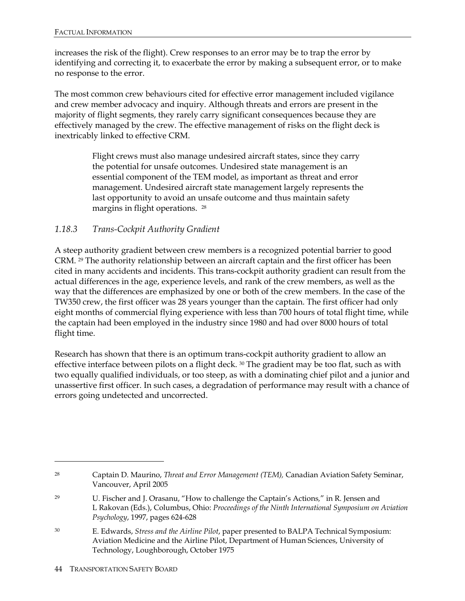increases the risk of the flight). Crew responses to an error may be to trap the error by identifying and correcting it, to exacerbate the error by making a subsequent error, or to make no response to the error.

The most common crew behaviours cited for effective error management included vigilance and crew member advocacy and inquiry. Although threats and errors are present in the majority of flight segments, they rarely carry significant consequences because they are effectively managed by the crew. The effective management of risks on the flight deck is inextricably linked to effective CRM.

> Flight crews must also manage undesired aircraft states, since they carry the potential for unsafe outcomes. Undesired state management is an essential component of the TEM model, as important as threat and error management. Undesired aircraft state management largely represents the last opportunity to avoid an unsafe outcome and thus maintain safety margins in flight operations. 28

#### *1.18.3 Trans-Cockpit Authority Gradient*

A steep authority gradient between crew members is a recognized potential barrier to good CRM. 29 The authority relationship between an aircraft captain and the first officer has been cited in many accidents and incidents. This trans-cockpit authority gradient can result from the actual differences in the age, experience levels, and rank of the crew members, as well as the way that the differences are emphasized by one or both of the crew members. In the case of the TW350 crew, the first officer was 28 years younger than the captain. The first officer had only eight months of commercial flying experience with less than 700 hours of total flight time, while the captain had been employed in the industry since 1980 and had over 8000 hours of total flight time.

Research has shown that there is an optimum trans-cockpit authority gradient to allow an effective interface between pilots on a flight deck. <sup>30</sup> The gradient may be too flat, such as with two equally qualified individuals, or too steep, as with a dominating chief pilot and a junior and unassertive first officer. In such cases, a degradation of performance may result with a chance of errors going undetected and uncorrected.

30 E. Edwards, *Stress and the Airline Pilot*, paper presented to BALPA Technical Symposium: Aviation Medicine and the Airline Pilot, Department of Human Sciences, University of Technology, Loughborough, October 1975

<sup>28</sup> Captain D. Maurino, *Threat and Error Management (TEM),* Canadian Aviation Safety Seminar, Vancouver, April 2005

<sup>29</sup> U. Fischer and J. Orasanu, "How to challenge the Captain's Actions*,*" in R. Jensen and L Rakovan (Eds.), Columbus, Ohio: *Proceedings of the Ninth International Symposium on Aviation Psychology*, 1997, pages 624-628

<sup>44</sup> TRANSPORTATION SAFETY BOARD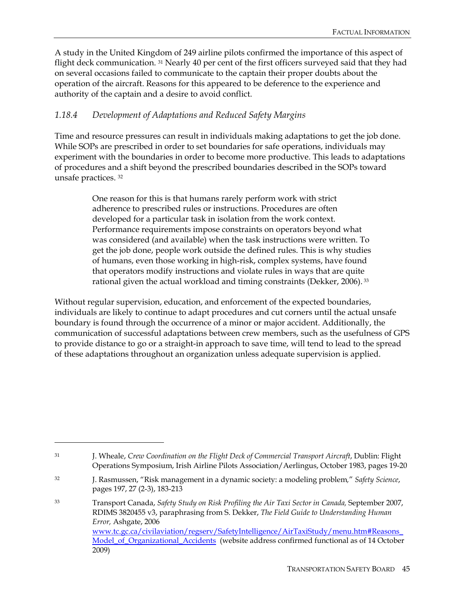A study in the United Kingdom of 249 airline pilots confirmed the importance of this aspect of flight deck communication. 31 Nearly 40 per cent of the first officers surveyed said that they had on several occasions failed to communicate to the captain their proper doubts about the operation of the aircraft. Reasons for this appeared to be deference to the experience and authority of the captain and a desire to avoid conflict.

#### *1.18.4 Development of Adaptations and Reduced Safety Margins*

Time and resource pressures can result in individuals making adaptations to get the job done. While SOPs are prescribed in order to set boundaries for safe operations, individuals may experiment with the boundaries in order to become more productive. This leads to adaptations of procedures and a shift beyond the prescribed boundaries described in the SOPs toward unsafe practices. 32

> One reason for this is that humans rarely perform work with strict adherence to prescribed rules or instructions. Procedures are often developed for a particular task in isolation from the work context. Performance requirements impose constraints on operators beyond what was considered (and available) when the task instructions were written. To get the job done, people work outside the defined rules. This is why studies of humans, even those working in high-risk, complex systems, have found that operators modify instructions and violate rules in ways that are quite rational given the actual workload and timing constraints (Dekker, 2006). 33

Without regular supervision, education, and enforcement of the expected boundaries, individuals are likely to continue to adapt procedures and cut corners until the actual unsafe boundary is found through the occurrence of a minor or major accident. Additionally, the communication of successful adaptations between crew members, such as the usefulness of GPS to provide distance to go or a straight-in approach to save time, will tend to lead to the spread of these adaptations throughout an organization unless adequate supervision is applied.

<sup>31</sup> J. Wheale, *Crew Coordination on the Flight Deck of Commercial Transport Aircraft*, Dublin: Flight Operations Symposium, Irish Airline Pilots Association/Aerlingus, October 1983, pages 19-20

<sup>32</sup> J. Rasmussen, "Risk management in a dynamic society: a modeling problem*,*" *Safety Science*, pages 197, 27 (2-3), 183-213

<sup>33</sup> Transport Canada, *Safety Study on Risk Profiling the Air Taxi Sector in Canada,* September 2007, RDIMS 3820455 v3, paraphrasing from S. Dekker, *The Field Guide to Understanding Human Error,* Ashgate, 2006 www.tc.gc.ca/civilaviation/regserv/SafetyIntelligence/AirTaxiStudy/menu.htm#Reasons\_ Model\_of\_Organizational\_Accidents (website address confirmed functional as of 14 October 2009)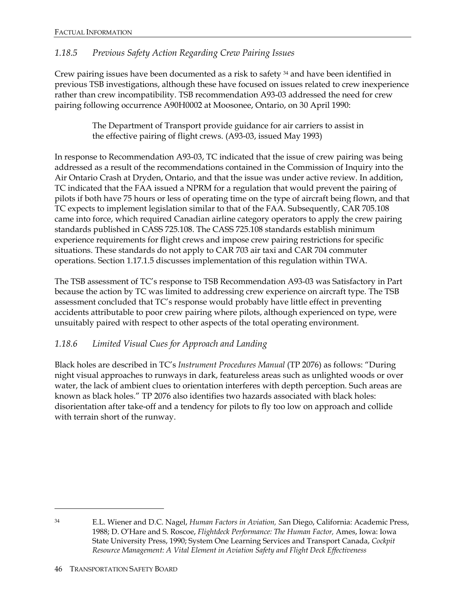#### *1.18.5 Previous Safety Action Regarding Crew Pairing Issues*

Crew pairing issues have been documented as a risk to safety 34 and have been identified in previous TSB investigations, although these have focused on issues related to crew inexperience rather than crew incompatibility. TSB recommendation A93-03 addressed the need for crew pairing following occurrence A90H0002 at Moosonee, Ontario, on 30 April 1990:

> The Department of Transport provide guidance for air carriers to assist in the effective pairing of flight crews. (A93-03, issued May 1993)

In response to Recommendation A93-03, TC indicated that the issue of crew pairing was being addressed as a result of the recommendations contained in the Commission of Inquiry into the Air Ontario Crash at Dryden, Ontario, and that the issue was under active review. In addition, TC indicated that the FAA issued a NPRM for a regulation that would prevent the pairing of pilots if both have 75 hours or less of operating time on the type of aircraft being flown, and that TC expects to implement legislation similar to that of the FAA. Subsequently, CAR 705.108 came into force, which required Canadian airline category operators to apply the crew pairing standards published in CASS 725.108. The CASS 725.108 standards establish minimum experience requirements for flight crews and impose crew pairing restrictions for specific situations. These standards do not apply to CAR 703 air taxi and CAR 704 commuter operations. Section 1.17.1.5 discusses implementation of this regulation within TWA.

The TSB assessment of TC's response to TSB Recommendation A93-03 was Satisfactory in Part because the action by TC was limited to addressing crew experience on aircraft type. The TSB assessment concluded that TC's response would probably have little effect in preventing accidents attributable to poor crew pairing where pilots, although experienced on type, were unsuitably paired with respect to other aspects of the total operating environment.

#### *1.18.6 Limited Visual Cues for Approach and Landing*

Black holes are described in TC's *Instrument Procedures Manual* (TP 2076) as follows: "During night visual approaches to runways in dark, featureless areas such as unlighted woods or over water, the lack of ambient clues to orientation interferes with depth perception. Such areas are known as black holes." TP 2076 also identifies two hazards associated with black holes: disorientation after take-off and a tendency for pilots to fly too low on approach and collide with terrain short of the runway.

<sup>34</sup> E.L. Wiener and D.C. Nagel, *Human Factors in Aviation, S*an Diego, California: Academic Press, 1988; D. O'Hare and S. Roscoe, *Flightdeck Performance: The Human Factor,* Ames, Iowa: Iowa State University Press, 1990; System One Learning Services and Transport Canada, *Cockpit Resource Management: A Vital Element in Aviation Safety and Flight Deck Effectiveness*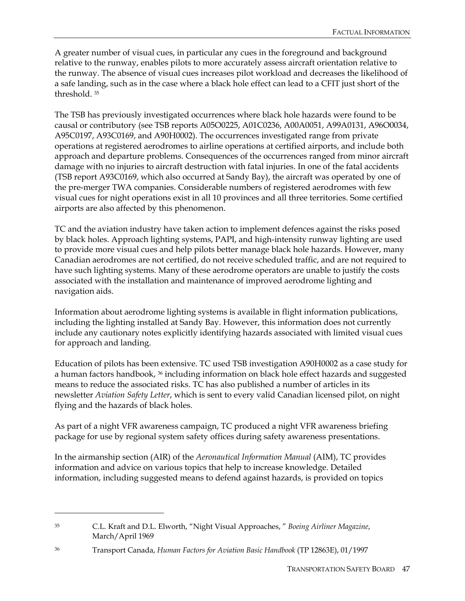A greater number of visual cues, in particular any cues in the foreground and background relative to the runway, enables pilots to more accurately assess aircraft orientation relative to the runway. The absence of visual cues increases pilot workload and decreases the likelihood of a safe landing, such as in the case where a black hole effect can lead to a CFIT just short of the threshold. 35

The TSB has previously investigated occurrences where black hole hazards were found to be causal or contributory (see TSB reports A05O0225, A01C0236, A00A0051, A99A0131, A96O0034, A95C0197, A93C0169, and A90H0002). The occurrences investigated range from private operations at registered aerodromes to airline operations at certified airports, and include both approach and departure problems. Consequences of the occurrences ranged from minor aircraft damage with no injuries to aircraft destruction with fatal injuries. In one of the fatal accidents (TSB report A93C0169, which also occurred at Sandy Bay), the aircraft was operated by one of the pre-merger TWA companies. Considerable numbers of registered aerodromes with few visual cues for night operations exist in all 10 provinces and all three territories. Some certified airports are also affected by this phenomenon.

TC and the aviation industry have taken action to implement defences against the risks posed by black holes. Approach lighting systems, PAPI, and high-intensity runway lighting are used to provide more visual cues and help pilots better manage black hole hazards. However, many Canadian aerodromes are not certified, do not receive scheduled traffic, and are not required to have such lighting systems. Many of these aerodrome operators are unable to justify the costs associated with the installation and maintenance of improved aerodrome lighting and navigation aids.

Information about aerodrome lighting systems is available in flight information publications, including the lighting installed at Sandy Bay. However, this information does not currently include any cautionary notes explicitly identifying hazards associated with limited visual cues for approach and landing.

Education of pilots has been extensive. TC used TSB investigation A90H0002 as a case study for a human factors handbook, <sup>36</sup> including information on black hole effect hazards and suggested means to reduce the associated risks. TC has also published a number of articles in its newsletter *Aviation Safety Letter*, which is sent to every valid Canadian licensed pilot, on night flying and the hazards of black holes.

As part of a night VFR awareness campaign, TC produced a night VFR awareness briefing package for use by regional system safety offices during safety awareness presentations.

In the airmanship section (AIR) of the *Aeronautical Information Manual* (AIM), TC provides information and advice on various topics that help to increase knowledge. Detailed information, including suggested means to defend against hazards, is provided on topics

<u>.</u>

<sup>35</sup> C.L. Kraft and D.L. Elworth, "Night Visual Approaches, " *Boeing Airliner Magazine*, March/April 1969

<sup>36</sup> Transport Canada, *Human Factors for Aviation Basic Handbook* (TP 12863E), 01/1997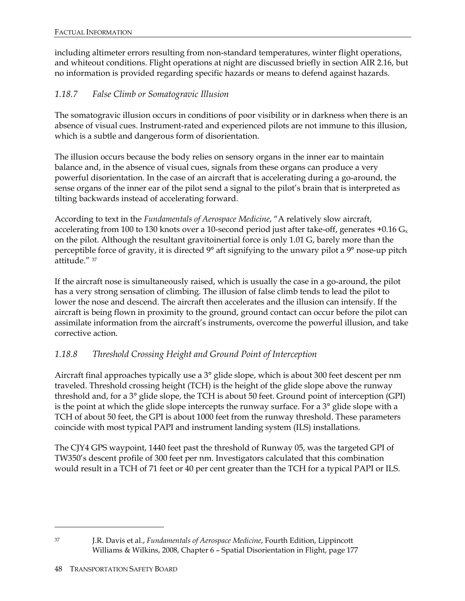including altimeter errors resulting from non-standard temperatures, winter flight operations, and whiteout conditions. Flight operations at night are discussed briefly in section AIR 2.16, but no information is provided regarding specific hazards or means to defend against hazards.

### *1.18.7 False Climb or Somatogravic Illusion*

The somatogravic illusion occurs in conditions of poor visibility or in darkness when there is an absence of visual cues. Instrument-rated and experienced pilots are not immune to this illusion, which is a subtle and dangerous form of disorientation.

The illusion occurs because the body relies on sensory organs in the inner ear to maintain balance and, in the absence of visual cues, signals from these organs can produce a very powerful disorientation. In the case of an aircraft that is accelerating during a go-around, the sense organs of the inner ear of the pilot send a signal to the pilot's brain that is interpreted as tilting backwards instead of accelerating forward.

According to text in the *Fundamentals of Aerospace Medicine*, "A relatively slow aircraft, accelerating from 100 to 130 knots over a 10-second period just after take-off, generates  $+0.16$  G<sub>x</sub> on the pilot. Although the resultant gravitoinertial force is only 1.01 G, barely more than the perceptible force of gravity, it is directed 9° aft signifying to the unwary pilot a 9° nose-up pitch attitude." 37

If the aircraft nose is simultaneously raised, which is usually the case in a go-around, the pilot has a very strong sensation of climbing. The illusion of false climb tends to lead the pilot to lower the nose and descend. The aircraft then accelerates and the illusion can intensify. If the aircraft is being flown in proximity to the ground, ground contact can occur before the pilot can assimilate information from the aircraft's instruments, overcome the powerful illusion, and take corrective action.

#### *1.18.8 Threshold Crossing Height and Ground Point of Interception*

Aircraft final approaches typically use a 3° glide slope, which is about 300 feet descent per nm traveled. Threshold crossing height (TCH) is the height of the glide slope above the runway threshold and, for a 3° glide slope, the TCH is about 50 feet. Ground point of interception (GPI) is the point at which the glide slope intercepts the runway surface. For a 3° glide slope with a TCH of about 50 feet, the GPI is about 1000 feet from the runway threshold. These parameters coincide with most typical PAPI and instrument landing system (ILS) installations.

The CJY4 GPS waypoint, 1440 feet past the threshold of Runway 05, was the targeted GPI of TW350's descent profile of 300 feet per nm. Investigators calculated that this combination would result in a TCH of 71 feet or 40 per cent greater than the TCH for a typical PAPI or ILS.

 $\overline{a}$ 

<sup>37</sup> J.R. Davis et al., *Fundamentals of Aerospace Medicine*, Fourth Edition, Lippincott Williams & Wilkins, 2008, Chapter 6 – Spatial Disorientation in Flight, page 177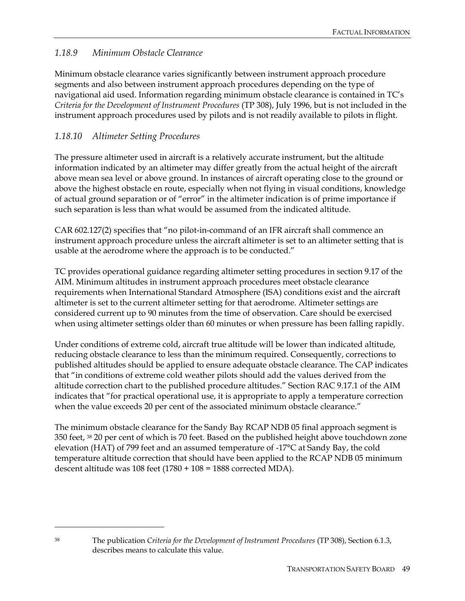#### *1.18.9 Minimum Obstacle Clearance*

Minimum obstacle clearance varies significantly between instrument approach procedure segments and also between instrument approach procedures depending on the type of navigational aid used. Information regarding minimum obstacle clearance is contained in TC's *Criteria for the Development of Instrument Procedures* (TP 308), July 1996, but is not included in the instrument approach procedures used by pilots and is not readily available to pilots in flight.

#### *1.18.10 Altimeter Setting Procedures*

The pressure altimeter used in aircraft is a relatively accurate instrument, but the altitude information indicated by an altimeter may differ greatly from the actual height of the aircraft above mean sea level or above ground. In instances of aircraft operating close to the ground or above the highest obstacle en route, especially when not flying in visual conditions, knowledge of actual ground separation or of "error" in the altimeter indication is of prime importance if such separation is less than what would be assumed from the indicated altitude.

CAR 602.127(2) specifies that "no pilot-in-command of an IFR aircraft shall commence an instrument approach procedure unless the aircraft altimeter is set to an altimeter setting that is usable at the aerodrome where the approach is to be conducted."

TC provides operational guidance regarding altimeter setting procedures in section 9.17 of the AIM. Minimum altitudes in instrument approach procedures meet obstacle clearance requirements when International Standard Atmosphere (ISA) conditions exist and the aircraft altimeter is set to the current altimeter setting for that aerodrome. Altimeter settings are considered current up to 90 minutes from the time of observation. Care should be exercised when using altimeter settings older than 60 minutes or when pressure has been falling rapidly.

Under conditions of extreme cold, aircraft true altitude will be lower than indicated altitude, reducing obstacle clearance to less than the minimum required. Consequently, corrections to published altitudes should be applied to ensure adequate obstacle clearance. The CAP indicates that "in conditions of extreme cold weather pilots should add the values derived from the altitude correction chart to the published procedure altitudes." Section RAC 9.17.1 of the AIM indicates that "for practical operational use, it is appropriate to apply a temperature correction when the value exceeds 20 per cent of the associated minimum obstacle clearance."

The minimum obstacle clearance for the Sandy Bay RCAP NDB 05 final approach segment is 350 feet, 38 20 per cent of which is 70 feet. Based on the published height above touchdown zone elevation (HAT) of 799 feet and an assumed temperature of -17°C at Sandy Bay, the cold temperature altitude correction that should have been applied to the RCAP NDB 05 minimum descent altitude was 108 feet (1780 + 108 = 1888 corrected MDA).

-

<sup>38</sup> The publication *Criteria for the Development of Instrument Procedures* (TP 308), Section 6.1.3, describes means to calculate this value.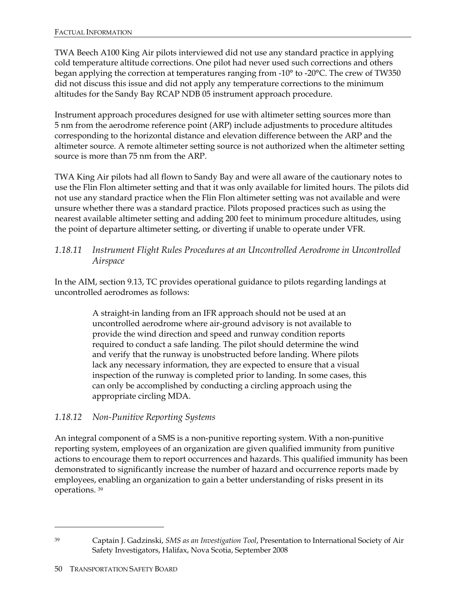TWA Beech A100 King Air pilots interviewed did not use any standard practice in applying cold temperature altitude corrections. One pilot had never used such corrections and others began applying the correction at temperatures ranging from -10° to -20°C. The crew of TW350 did not discuss this issue and did not apply any temperature corrections to the minimum altitudes for the Sandy Bay RCAP NDB 05 instrument approach procedure.

Instrument approach procedures designed for use with altimeter setting sources more than 5 nm from the aerodrome reference point (ARP) include adjustments to procedure altitudes corresponding to the horizontal distance and elevation difference between the ARP and the altimeter source. A remote altimeter setting source is not authorized when the altimeter setting source is more than 75 nm from the ARP.

TWA King Air pilots had all flown to Sandy Bay and were all aware of the cautionary notes to use the Flin Flon altimeter setting and that it was only available for limited hours. The pilots did not use any standard practice when the Flin Flon altimeter setting was not available and were unsure whether there was a standard practice. Pilots proposed practices such as using the nearest available altimeter setting and adding 200 feet to minimum procedure altitudes, using the point of departure altimeter setting, or diverting if unable to operate under VFR.

#### *1.18.11 Instrument Flight Rules Procedures at an Uncontrolled Aerodrome in Uncontrolled Airspace*

In the AIM, section 9.13, TC provides operational guidance to pilots regarding landings at uncontrolled aerodromes as follows:

> A straight-in landing from an IFR approach should not be used at an uncontrolled aerodrome where air-ground advisory is not available to provide the wind direction and speed and runway condition reports required to conduct a safe landing. The pilot should determine the wind and verify that the runway is unobstructed before landing. Where pilots lack any necessary information, they are expected to ensure that a visual inspection of the runway is completed prior to landing. In some cases, this can only be accomplished by conducting a circling approach using the appropriate circling MDA.

### *1.18.12 Non-Punitive Reporting Systems*

An integral component of a SMS is a non-punitive reporting system. With a non-punitive reporting system, employees of an organization are given qualified immunity from punitive actions to encourage them to report occurrences and hazards. This qualified immunity has been demonstrated to significantly increase the number of hazard and occurrence reports made by employees, enabling an organization to gain a better understanding of risks present in its operations. 39

<sup>-</sup>

<sup>39</sup> Captain J. Gadzinski, *SMS as an Investigation Tool*, Presentation to International Society of Air Safety Investigators, Halifax, Nova Scotia, September 2008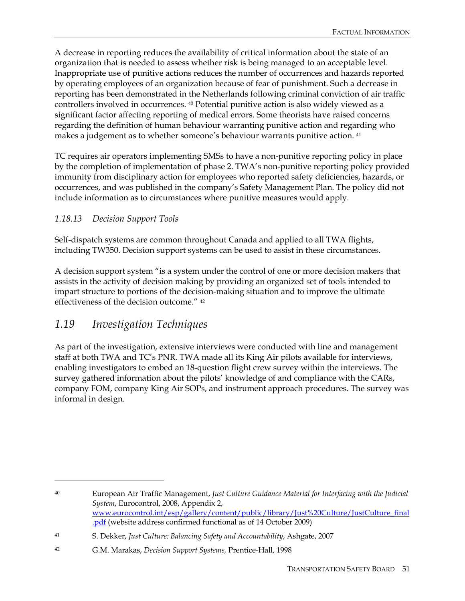A decrease in reporting reduces the availability of critical information about the state of an organization that is needed to assess whether risk is being managed to an acceptable level. Inappropriate use of punitive actions reduces the number of occurrences and hazards reported by operating employees of an organization because of fear of punishment. Such a decrease in reporting has been demonstrated in the Netherlands following criminal conviction of air traffic controllers involved in occurrences. 40 Potential punitive action is also widely viewed as a significant factor affecting reporting of medical errors. Some theorists have raised concerns regarding the definition of human behaviour warranting punitive action and regarding who makes a judgement as to whether someone's behaviour warrants punitive action. 41

TC requires air operators implementing SMSs to have a non-punitive reporting policy in place by the completion of implementation of phase 2. TWA's non-punitive reporting policy provided immunity from disciplinary action for employees who reported safety deficiencies, hazards, or occurrences, and was published in the company's Safety Management Plan. The policy did not include information as to circumstances where punitive measures would apply.

#### *1.18.13 Decision Support Tools*

Self-dispatch systems are common throughout Canada and applied to all TWA flights, including TW350. Decision support systems can be used to assist in these circumstances.

A decision support system "is a system under the control of one or more decision makers that assists in the activity of decision making by providing an organized set of tools intended to impart structure to portions of the decision-making situation and to improve the ultimate effectiveness of the decision outcome." 42

# *1.19 Investigation Techniques*

 $\overline{a}$ 

As part of the investigation, extensive interviews were conducted with line and management staff at both TWA and TC's PNR. TWA made all its King Air pilots available for interviews, enabling investigators to embed an 18-question flight crew survey within the interviews. The survey gathered information about the pilots' knowledge of and compliance with the CARs, company FOM, company King Air SOPs, and instrument approach procedures. The survey was informal in design.

<sup>40</sup> European Air Traffic Management, *Just Culture Guidance Material for Interfacing with the Judicial System*, Eurocontrol, 2008, Appendix 2, www.eurocontrol.int/esp/gallery/content/public/library/Just%20Culture/JustCulture\_final .pdf (website address confirmed functional as of 14 October 2009)

<sup>41</sup> S. Dekker, *Just Culture: Balancing Safety and Accountability*, Ashgate, 2007

<sup>42</sup> G.M. Marakas, *Decision Support Systems,* Prentice-Hall, 1998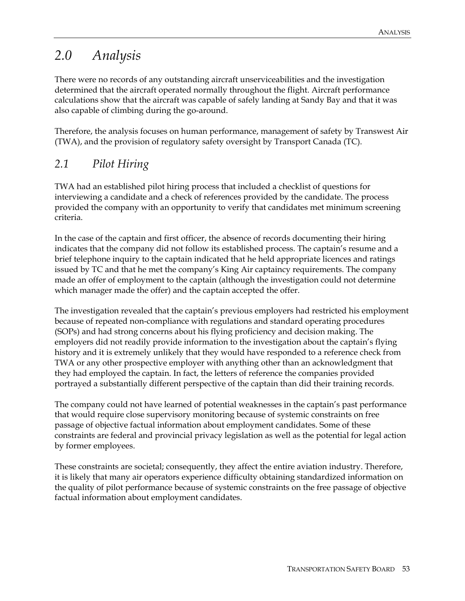# *2.0 Analysis*

There were no records of any outstanding aircraft unserviceabilities and the investigation determined that the aircraft operated normally throughout the flight. Aircraft performance calculations show that the aircraft was capable of safely landing at Sandy Bay and that it was also capable of climbing during the go-around.

Therefore, the analysis focuses on human performance, management of safety by Transwest Air (TWA), and the provision of regulatory safety oversight by Transport Canada (TC).

### *2.1 Pilot Hiring*

TWA had an established pilot hiring process that included a checklist of questions for interviewing a candidate and a check of references provided by the candidate. The process provided the company with an opportunity to verify that candidates met minimum screening criteria.

In the case of the captain and first officer, the absence of records documenting their hiring indicates that the company did not follow its established process. The captain's resume and a brief telephone inquiry to the captain indicated that he held appropriate licences and ratings issued by TC and that he met the company's King Air captaincy requirements. The company made an offer of employment to the captain (although the investigation could not determine which manager made the offer) and the captain accepted the offer.

The investigation revealed that the captain's previous employers had restricted his employment because of repeated non-compliance with regulations and standard operating procedures (SOPs) and had strong concerns about his flying proficiency and decision making. The employers did not readily provide information to the investigation about the captain's flying history and it is extremely unlikely that they would have responded to a reference check from TWA or any other prospective employer with anything other than an acknowledgment that they had employed the captain. In fact, the letters of reference the companies provided portrayed a substantially different perspective of the captain than did their training records.

The company could not have learned of potential weaknesses in the captain's past performance that would require close supervisory monitoring because of systemic constraints on free passage of objective factual information about employment candidates. Some of these constraints are federal and provincial privacy legislation as well as the potential for legal action by former employees.

These constraints are societal; consequently, they affect the entire aviation industry. Therefore, it is likely that many air operators experience difficulty obtaining standardized information on the quality of pilot performance because of systemic constraints on the free passage of objective factual information about employment candidates.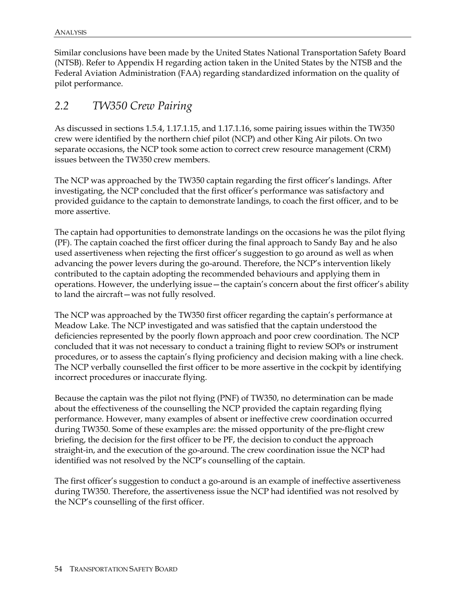Similar conclusions have been made by the United States National Transportation Safety Board (NTSB). Refer to Appendix H regarding action taken in the United States by the NTSB and the Federal Aviation Administration (FAA) regarding standardized information on the quality of pilot performance.

# *2.2 TW350 Crew Pairing*

As discussed in sections 1.5.4, 1.17.1.15, and 1.17.1.16, some pairing issues within the TW350 crew were identified by the northern chief pilot (NCP) and other King Air pilots. On two separate occasions, the NCP took some action to correct crew resource management (CRM) issues between the TW350 crew members.

The NCP was approached by the TW350 captain regarding the first officer's landings. After investigating, the NCP concluded that the first officer's performance was satisfactory and provided guidance to the captain to demonstrate landings, to coach the first officer, and to be more assertive.

The captain had opportunities to demonstrate landings on the occasions he was the pilot flying (PF). The captain coached the first officer during the final approach to Sandy Bay and he also used assertiveness when rejecting the first officer's suggestion to go around as well as when advancing the power levers during the go-around. Therefore, the NCP's intervention likely contributed to the captain adopting the recommended behaviours and applying them in operations. However, the underlying issue—the captain's concern about the first officer's ability to land the aircraft—was not fully resolved.

The NCP was approached by the TW350 first officer regarding the captain's performance at Meadow Lake. The NCP investigated and was satisfied that the captain understood the deficiencies represented by the poorly flown approach and poor crew coordination. The NCP concluded that it was not necessary to conduct a training flight to review SOPs or instrument procedures, or to assess the captain's flying proficiency and decision making with a line check. The NCP verbally counselled the first officer to be more assertive in the cockpit by identifying incorrect procedures or inaccurate flying.

Because the captain was the pilot not flying (PNF) of TW350, no determination can be made about the effectiveness of the counselling the NCP provided the captain regarding flying performance. However, many examples of absent or ineffective crew coordination occurred during TW350. Some of these examples are: the missed opportunity of the pre-flight crew briefing, the decision for the first officer to be PF, the decision to conduct the approach straight-in, and the execution of the go-around. The crew coordination issue the NCP had identified was not resolved by the NCP's counselling of the captain.

The first officer's suggestion to conduct a go-around is an example of ineffective assertiveness during TW350. Therefore, the assertiveness issue the NCP had identified was not resolved by the NCP's counselling of the first officer.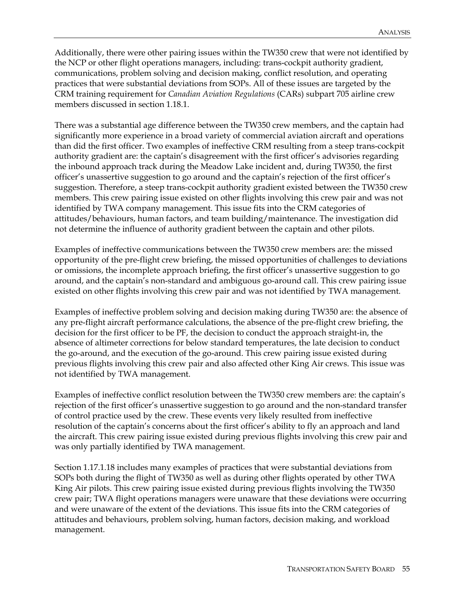Additionally, there were other pairing issues within the TW350 crew that were not identified by the NCP or other flight operations managers, including: trans-cockpit authority gradient, communications, problem solving and decision making, conflict resolution, and operating practices that were substantial deviations from SOPs. All of these issues are targeted by the CRM training requirement for *Canadian Aviation Regulations* (CARs) subpart 705 airline crew members discussed in section 1.18.1.

There was a substantial age difference between the TW350 crew members, and the captain had significantly more experience in a broad variety of commercial aviation aircraft and operations than did the first officer. Two examples of ineffective CRM resulting from a steep trans-cockpit authority gradient are: the captain's disagreement with the first officer's advisories regarding the inbound approach track during the Meadow Lake incident and, during TW350, the first officer's unassertive suggestion to go around and the captain's rejection of the first officer's suggestion. Therefore, a steep trans-cockpit authority gradient existed between the TW350 crew members. This crew pairing issue existed on other flights involving this crew pair and was not identified by TWA company management. This issue fits into the CRM categories of attitudes/behaviours, human factors, and team building/maintenance. The investigation did not determine the influence of authority gradient between the captain and other pilots.

Examples of ineffective communications between the TW350 crew members are: the missed opportunity of the pre-flight crew briefing, the missed opportunities of challenges to deviations or omissions, the incomplete approach briefing, the first officer's unassertive suggestion to go around, and the captain's non-standard and ambiguous go-around call. This crew pairing issue existed on other flights involving this crew pair and was not identified by TWA management.

Examples of ineffective problem solving and decision making during TW350 are: the absence of any pre-flight aircraft performance calculations, the absence of the pre-flight crew briefing, the decision for the first officer to be PF, the decision to conduct the approach straight-in, the absence of altimeter corrections for below standard temperatures, the late decision to conduct the go-around, and the execution of the go-around. This crew pairing issue existed during previous flights involving this crew pair and also affected other King Air crews. This issue was not identified by TWA management.

Examples of ineffective conflict resolution between the TW350 crew members are: the captain's rejection of the first officer's unassertive suggestion to go around and the non-standard transfer of control practice used by the crew. These events very likely resulted from ineffective resolution of the captain's concerns about the first officer's ability to fly an approach and land the aircraft. This crew pairing issue existed during previous flights involving this crew pair and was only partially identified by TWA management.

Section 1.17.1.18 includes many examples of practices that were substantial deviations from SOPs both during the flight of TW350 as well as during other flights operated by other TWA King Air pilots. This crew pairing issue existed during previous flights involving the TW350 crew pair; TWA flight operations managers were unaware that these deviations were occurring and were unaware of the extent of the deviations. This issue fits into the CRM categories of attitudes and behaviours, problem solving, human factors, decision making, and workload management.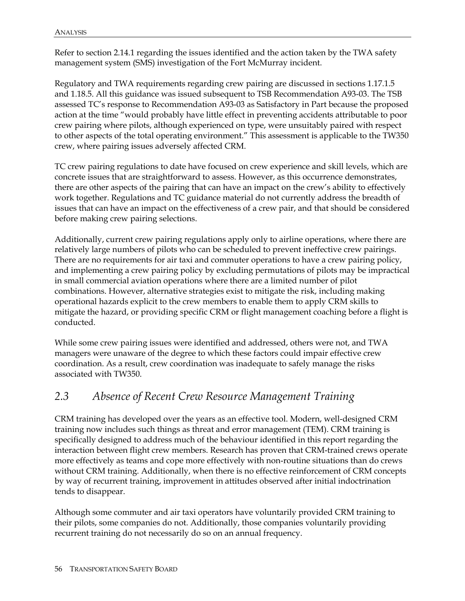Refer to section 2.14.1 regarding the issues identified and the action taken by the TWA safety management system (SMS) investigation of the Fort McMurray incident.

Regulatory and TWA requirements regarding crew pairing are discussed in sections 1.17.1.5 and 1.18.5. All this guidance was issued subsequent to TSB Recommendation A93-03. The TSB assessed TC's response to Recommendation A93-03 as Satisfactory in Part because the proposed action at the time "would probably have little effect in preventing accidents attributable to poor crew pairing where pilots, although experienced on type, were unsuitably paired with respect to other aspects of the total operating environment." This assessment is applicable to the TW350 crew, where pairing issues adversely affected CRM.

TC crew pairing regulations to date have focused on crew experience and skill levels, which are concrete issues that are straightforward to assess. However, as this occurrence demonstrates, there are other aspects of the pairing that can have an impact on the crew's ability to effectively work together. Regulations and TC guidance material do not currently address the breadth of issues that can have an impact on the effectiveness of a crew pair, and that should be considered before making crew pairing selections.

Additionally, current crew pairing regulations apply only to airline operations, where there are relatively large numbers of pilots who can be scheduled to prevent ineffective crew pairings. There are no requirements for air taxi and commuter operations to have a crew pairing policy, and implementing a crew pairing policy by excluding permutations of pilots may be impractical in small commercial aviation operations where there are a limited number of pilot combinations. However, alternative strategies exist to mitigate the risk, including making operational hazards explicit to the crew members to enable them to apply CRM skills to mitigate the hazard, or providing specific CRM or flight management coaching before a flight is conducted.

While some crew pairing issues were identified and addressed, others were not, and TWA managers were unaware of the degree to which these factors could impair effective crew coordination. As a result, crew coordination was inadequate to safely manage the risks associated with TW350.

# *2.3 Absence of Recent Crew Resource Management Training*

CRM training has developed over the years as an effective tool. Modern, well-designed CRM training now includes such things as threat and error management (TEM). CRM training is specifically designed to address much of the behaviour identified in this report regarding the interaction between flight crew members. Research has proven that CRM-trained crews operate more effectively as teams and cope more effectively with non-routine situations than do crews without CRM training. Additionally, when there is no effective reinforcement of CRM concepts by way of recurrent training, improvement in attitudes observed after initial indoctrination tends to disappear.

Although some commuter and air taxi operators have voluntarily provided CRM training to their pilots, some companies do not. Additionally, those companies voluntarily providing recurrent training do not necessarily do so on an annual frequency.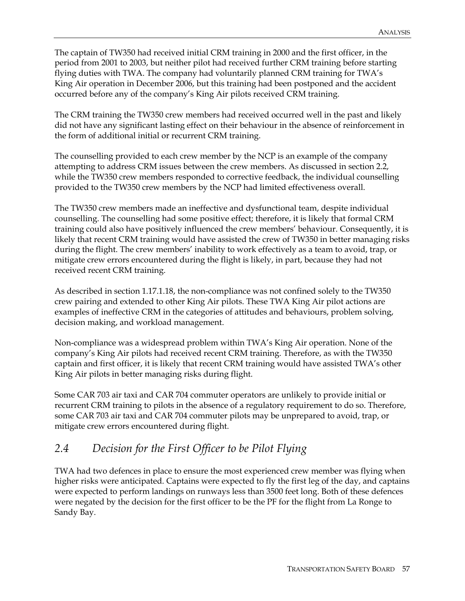The captain of TW350 had received initial CRM training in 2000 and the first officer, in the period from 2001 to 2003, but neither pilot had received further CRM training before starting flying duties with TWA. The company had voluntarily planned CRM training for TWA's King Air operation in December 2006, but this training had been postponed and the accident occurred before any of the company's King Air pilots received CRM training.

The CRM training the TW350 crew members had received occurred well in the past and likely did not have any significant lasting effect on their behaviour in the absence of reinforcement in the form of additional initial or recurrent CRM training.

The counselling provided to each crew member by the NCP is an example of the company attempting to address CRM issues between the crew members. As discussed in section 2.2, while the TW350 crew members responded to corrective feedback, the individual counselling provided to the TW350 crew members by the NCP had limited effectiveness overall.

The TW350 crew members made an ineffective and dysfunctional team, despite individual counselling. The counselling had some positive effect; therefore, it is likely that formal CRM training could also have positively influenced the crew members' behaviour. Consequently, it is likely that recent CRM training would have assisted the crew of TW350 in better managing risks during the flight. The crew members' inability to work effectively as a team to avoid, trap, or mitigate crew errors encountered during the flight is likely, in part, because they had not received recent CRM training.

As described in section 1.17.1.18, the non-compliance was not confined solely to the TW350 crew pairing and extended to other King Air pilots. These TWA King Air pilot actions are examples of ineffective CRM in the categories of attitudes and behaviours, problem solving, decision making, and workload management.

Non-compliance was a widespread problem within TWA's King Air operation. None of the company's King Air pilots had received recent CRM training. Therefore, as with the TW350 captain and first officer, it is likely that recent CRM training would have assisted TWA's other King Air pilots in better managing risks during flight.

Some CAR 703 air taxi and CAR 704 commuter operators are unlikely to provide initial or recurrent CRM training to pilots in the absence of a regulatory requirement to do so. Therefore, some CAR 703 air taxi and CAR 704 commuter pilots may be unprepared to avoid, trap, or mitigate crew errors encountered during flight.

# *2.4 Decision for the First Officer to be Pilot Flying*

TWA had two defences in place to ensure the most experienced crew member was flying when higher risks were anticipated. Captains were expected to fly the first leg of the day, and captains were expected to perform landings on runways less than 3500 feet long. Both of these defences were negated by the decision for the first officer to be the PF for the flight from La Ronge to Sandy Bay.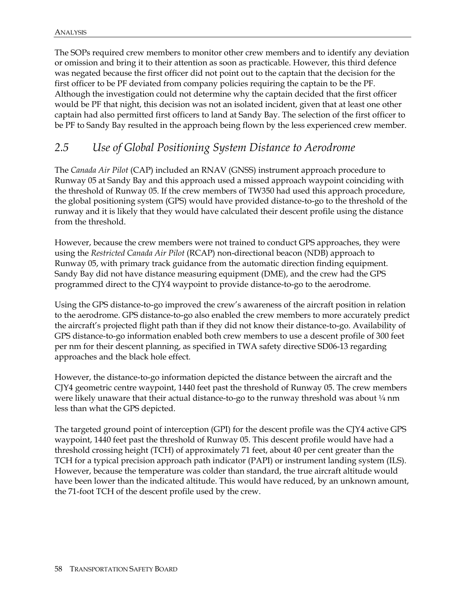The SOPs required crew members to monitor other crew members and to identify any deviation or omission and bring it to their attention as soon as practicable. However, this third defence was negated because the first officer did not point out to the captain that the decision for the first officer to be PF deviated from company policies requiring the captain to be the PF. Although the investigation could not determine why the captain decided that the first officer would be PF that night, this decision was not an isolated incident, given that at least one other captain had also permitted first officers to land at Sandy Bay. The selection of the first officer to be PF to Sandy Bay resulted in the approach being flown by the less experienced crew member.

# *2.5 Use of Global Positioning System Distance to Aerodrome*

The *Canada Air Pilot* (CAP) included an RNAV (GNSS) instrument approach procedure to Runway 05 at Sandy Bay and this approach used a missed approach waypoint coinciding with the threshold of Runway 05. If the crew members of TW350 had used this approach procedure, the global positioning system (GPS) would have provided distance-to-go to the threshold of the runway and it is likely that they would have calculated their descent profile using the distance from the threshold.

However, because the crew members were not trained to conduct GPS approaches, they were using the *Restricted Canada Air Pilot* (RCAP) non-directional beacon (NDB) approach to Runway 05, with primary track guidance from the automatic direction finding equipment. Sandy Bay did not have distance measuring equipment (DME), and the crew had the GPS programmed direct to the CJY4 waypoint to provide distance-to-go to the aerodrome.

Using the GPS distance-to-go improved the crew's awareness of the aircraft position in relation to the aerodrome. GPS distance-to-go also enabled the crew members to more accurately predict the aircraft's projected flight path than if they did not know their distance-to-go. Availability of GPS distance-to-go information enabled both crew members to use a descent profile of 300 feet per nm for their descent planning, as specified in TWA safety directive SD06-13 regarding approaches and the black hole effect.

However, the distance-to-go information depicted the distance between the aircraft and the CJY4 geometric centre waypoint, 1440 feet past the threshold of Runway 05. The crew members were likely unaware that their actual distance-to-go to the runway threshold was about  $\frac{1}{4}$  nm less than what the GPS depicted.

The targeted ground point of interception (GPI) for the descent profile was the CJY4 active GPS waypoint, 1440 feet past the threshold of Runway 05. This descent profile would have had a threshold crossing height (TCH) of approximately 71 feet, about 40 per cent greater than the TCH for a typical precision approach path indicator (PAPI) or instrument landing system (ILS). However, because the temperature was colder than standard, the true aircraft altitude would have been lower than the indicated altitude. This would have reduced, by an unknown amount, the 71-foot TCH of the descent profile used by the crew.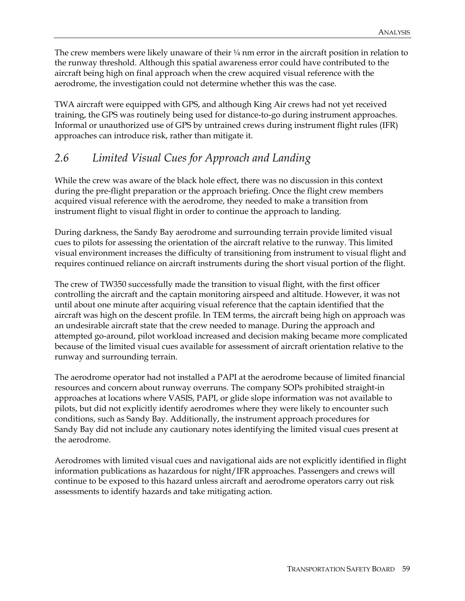The crew members were likely unaware of their  $\frac{1}{4}$  nm error in the aircraft position in relation to the runway threshold. Although this spatial awareness error could have contributed to the aircraft being high on final approach when the crew acquired visual reference with the aerodrome, the investigation could not determine whether this was the case.

TWA aircraft were equipped with GPS, and although King Air crews had not yet received training, the GPS was routinely being used for distance-to-go during instrument approaches. Informal or unauthorized use of GPS by untrained crews during instrument flight rules (IFR) approaches can introduce risk, rather than mitigate it.

### *2.6 Limited Visual Cues for Approach and Landing*

While the crew was aware of the black hole effect, there was no discussion in this context during the pre-flight preparation or the approach briefing. Once the flight crew members acquired visual reference with the aerodrome, they needed to make a transition from instrument flight to visual flight in order to continue the approach to landing.

During darkness, the Sandy Bay aerodrome and surrounding terrain provide limited visual cues to pilots for assessing the orientation of the aircraft relative to the runway. This limited visual environment increases the difficulty of transitioning from instrument to visual flight and requires continued reliance on aircraft instruments during the short visual portion of the flight.

The crew of TW350 successfully made the transition to visual flight, with the first officer controlling the aircraft and the captain monitoring airspeed and altitude. However, it was not until about one minute after acquiring visual reference that the captain identified that the aircraft was high on the descent profile. In TEM terms, the aircraft being high on approach was an undesirable aircraft state that the crew needed to manage. During the approach and attempted go-around, pilot workload increased and decision making became more complicated because of the limited visual cues available for assessment of aircraft orientation relative to the runway and surrounding terrain.

The aerodrome operator had not installed a PAPI at the aerodrome because of limited financial resources and concern about runway overruns. The company SOPs prohibited straight-in approaches at locations where VASIS, PAPI, or glide slope information was not available to pilots, but did not explicitly identify aerodromes where they were likely to encounter such conditions, such as Sandy Bay. Additionally, the instrument approach procedures for Sandy Bay did not include any cautionary notes identifying the limited visual cues present at the aerodrome.

Aerodromes with limited visual cues and navigational aids are not explicitly identified in flight information publications as hazardous for night/IFR approaches. Passengers and crews will continue to be exposed to this hazard unless aircraft and aerodrome operators carry out risk assessments to identify hazards and take mitigating action.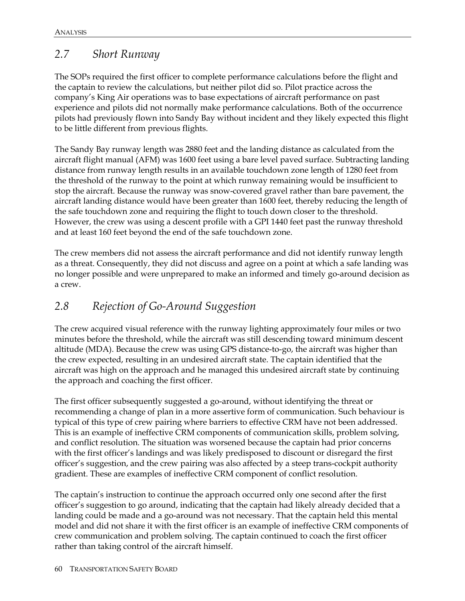# *2.7 Short Runway*

The SOPs required the first officer to complete performance calculations before the flight and the captain to review the calculations, but neither pilot did so. Pilot practice across the company's King Air operations was to base expectations of aircraft performance on past experience and pilots did not normally make performance calculations. Both of the occurrence pilots had previously flown into Sandy Bay without incident and they likely expected this flight to be little different from previous flights.

The Sandy Bay runway length was 2880 feet and the landing distance as calculated from the aircraft flight manual (AFM) was 1600 feet using a bare level paved surface. Subtracting landing distance from runway length results in an available touchdown zone length of 1280 feet from the threshold of the runway to the point at which runway remaining would be insufficient to stop the aircraft. Because the runway was snow-covered gravel rather than bare pavement, the aircraft landing distance would have been greater than 1600 feet, thereby reducing the length of the safe touchdown zone and requiring the flight to touch down closer to the threshold. However, the crew was using a descent profile with a GPI 1440 feet past the runway threshold and at least 160 feet beyond the end of the safe touchdown zone.

The crew members did not assess the aircraft performance and did not identify runway length as a threat. Consequently, they did not discuss and agree on a point at which a safe landing was no longer possible and were unprepared to make an informed and timely go-around decision as a crew.

# *2.8 Rejection of Go-Around Suggestion*

The crew acquired visual reference with the runway lighting approximately four miles or two minutes before the threshold, while the aircraft was still descending toward minimum descent altitude (MDA). Because the crew was using GPS distance-to-go, the aircraft was higher than the crew expected, resulting in an undesired aircraft state. The captain identified that the aircraft was high on the approach and he managed this undesired aircraft state by continuing the approach and coaching the first officer.

The first officer subsequently suggested a go-around, without identifying the threat or recommending a change of plan in a more assertive form of communication. Such behaviour is typical of this type of crew pairing where barriers to effective CRM have not been addressed. This is an example of ineffective CRM components of communication skills, problem solving, and conflict resolution. The situation was worsened because the captain had prior concerns with the first officer's landings and was likely predisposed to discount or disregard the first officer's suggestion, and the crew pairing was also affected by a steep trans-cockpit authority gradient. These are examples of ineffective CRM component of conflict resolution.

The captain's instruction to continue the approach occurred only one second after the first officer's suggestion to go around, indicating that the captain had likely already decided that a landing could be made and a go-around was not necessary. That the captain held this mental model and did not share it with the first officer is an example of ineffective CRM components of crew communication and problem solving. The captain continued to coach the first officer rather than taking control of the aircraft himself.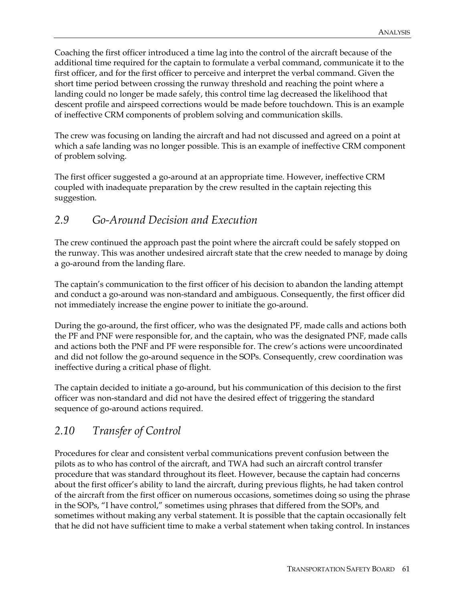Coaching the first officer introduced a time lag into the control of the aircraft because of the additional time required for the captain to formulate a verbal command, communicate it to the first officer, and for the first officer to perceive and interpret the verbal command. Given the short time period between crossing the runway threshold and reaching the point where a landing could no longer be made safely, this control time lag decreased the likelihood that descent profile and airspeed corrections would be made before touchdown. This is an example of ineffective CRM components of problem solving and communication skills.

The crew was focusing on landing the aircraft and had not discussed and agreed on a point at which a safe landing was no longer possible. This is an example of ineffective CRM component of problem solving.

The first officer suggested a go-around at an appropriate time. However, ineffective CRM coupled with inadequate preparation by the crew resulted in the captain rejecting this suggestion.

### *2.9 Go-Around Decision and Execution*

The crew continued the approach past the point where the aircraft could be safely stopped on the runway. This was another undesired aircraft state that the crew needed to manage by doing a go-around from the landing flare.

The captain's communication to the first officer of his decision to abandon the landing attempt and conduct a go-around was non-standard and ambiguous. Consequently, the first officer did not immediately increase the engine power to initiate the go-around.

During the go-around, the first officer, who was the designated PF, made calls and actions both the PF and PNF were responsible for, and the captain, who was the designated PNF, made calls and actions both the PNF and PF were responsible for. The crew's actions were uncoordinated and did not follow the go-around sequence in the SOPs. Consequently, crew coordination was ineffective during a critical phase of flight.

The captain decided to initiate a go-around, but his communication of this decision to the first officer was non-standard and did not have the desired effect of triggering the standard sequence of go-around actions required.

# *2.10 Transfer of Control*

Procedures for clear and consistent verbal communications prevent confusion between the pilots as to who has control of the aircraft, and TWA had such an aircraft control transfer procedure that was standard throughout its fleet. However, because the captain had concerns about the first officer's ability to land the aircraft, during previous flights, he had taken control of the aircraft from the first officer on numerous occasions, sometimes doing so using the phrase in the SOPs, "I have control," sometimes using phrases that differed from the SOPs, and sometimes without making any verbal statement. It is possible that the captain occasionally felt that he did not have sufficient time to make a verbal statement when taking control. In instances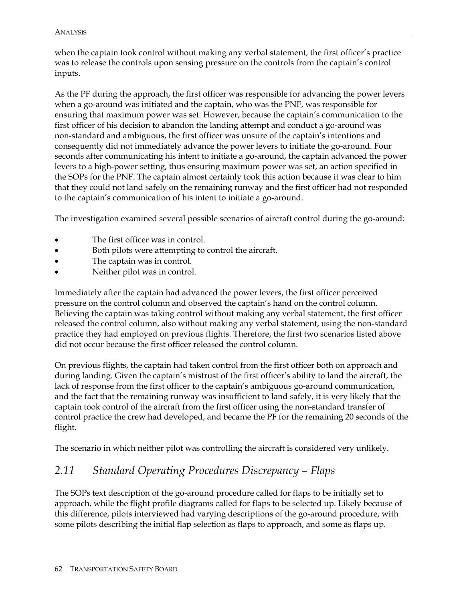when the captain took control without making any verbal statement, the first officer's practice was to release the controls upon sensing pressure on the controls from the captain's control inputs.

As the PF during the approach, the first officer was responsible for advancing the power levers when a go-around was initiated and the captain, who was the PNF, was responsible for ensuring that maximum power was set. However, because the captain's communication to the first officer of his decision to abandon the landing attempt and conduct a go-around was non-standard and ambiguous, the first officer was unsure of the captain's intentions and consequently did not immediately advance the power levers to initiate the go-around. Four seconds after communicating his intent to initiate a go-around, the captain advanced the power levers to a high-power setting, thus ensuring maximum power was set, an action specified in the SOPs for the PNF. The captain almost certainly took this action because it was clear to him that they could not land safely on the remaining runway and the first officer had not responded to the captain's communication of his intent to initiate a go-around.

The investigation examined several possible scenarios of aircraft control during the go-around:

- The first officer was in control.
- Both pilots were attempting to control the aircraft.
- The captain was in control.
- Neither pilot was in control.

Immediately after the captain had advanced the power levers, the first officer perceived pressure on the control column and observed the captain's hand on the control column. Believing the captain was taking control without making any verbal statement, the first officer released the control column, also without making any verbal statement, using the non-standard practice they had employed on previous flights. Therefore, the first two scenarios listed above did not occur because the first officer released the control column.

On previous flights, the captain had taken control from the first officer both on approach and during landing. Given the captain's mistrust of the first officer's ability to land the aircraft, the lack of response from the first officer to the captain's ambiguous go-around communication, and the fact that the remaining runway was insufficient to land safely, it is very likely that the captain took control of the aircraft from the first officer using the non-standard transfer of control practice the crew had developed, and became the PF for the remaining 20 seconds of the flight.

The scenario in which neither pilot was controlling the aircraft is considered very unlikely.

# *2.11 Standard Operating Procedures Discrepancy – Flaps*

The SOPs text description of the go-around procedure called for flaps to be initially set to approach, while the flight profile diagrams called for flaps to be selected up. Likely because of this difference, pilots interviewed had varying descriptions of the go-around procedure, with some pilots describing the initial flap selection as flaps to approach, and some as flaps up.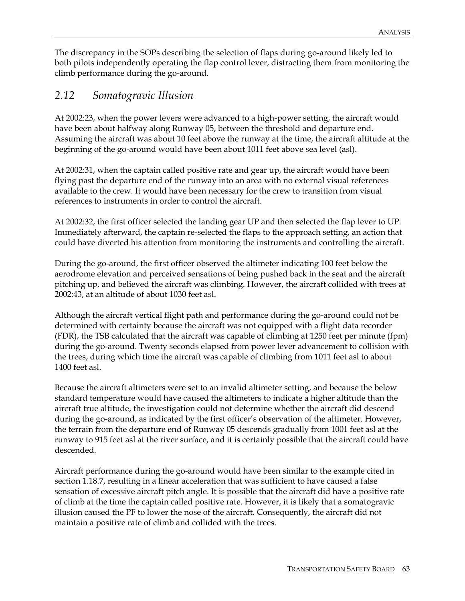The discrepancy in the SOPs describing the selection of flaps during go-around likely led to both pilots independently operating the flap control lever, distracting them from monitoring the climb performance during the go-around.

### *2.12 Somatogravic Illusion*

At 2002:23, when the power levers were advanced to a high-power setting, the aircraft would have been about halfway along Runway 05, between the threshold and departure end. Assuming the aircraft was about 10 feet above the runway at the time, the aircraft altitude at the beginning of the go-around would have been about 1011 feet above sea level (asl).

At 2002:31, when the captain called positive rate and gear up, the aircraft would have been flying past the departure end of the runway into an area with no external visual references available to the crew. It would have been necessary for the crew to transition from visual references to instruments in order to control the aircraft.

At 2002:32, the first officer selected the landing gear UP and then selected the flap lever to UP. Immediately afterward, the captain re-selected the flaps to the approach setting, an action that could have diverted his attention from monitoring the instruments and controlling the aircraft.

During the go-around, the first officer observed the altimeter indicating 100 feet below the aerodrome elevation and perceived sensations of being pushed back in the seat and the aircraft pitching up, and believed the aircraft was climbing. However, the aircraft collided with trees at 2002:43, at an altitude of about 1030 feet asl.

Although the aircraft vertical flight path and performance during the go-around could not be determined with certainty because the aircraft was not equipped with a flight data recorder (FDR), the TSB calculated that the aircraft was capable of climbing at 1250 feet per minute (fpm) during the go-around. Twenty seconds elapsed from power lever advancement to collision with the trees, during which time the aircraft was capable of climbing from 1011 feet asl to about 1400 feet asl.

Because the aircraft altimeters were set to an invalid altimeter setting, and because the below standard temperature would have caused the altimeters to indicate a higher altitude than the aircraft true altitude, the investigation could not determine whether the aircraft did descend during the go-around, as indicated by the first officer's observation of the altimeter. However, the terrain from the departure end of Runway 05 descends gradually from 1001 feet asl at the runway to 915 feet asl at the river surface, and it is certainly possible that the aircraft could have descended.

Aircraft performance during the go-around would have been similar to the example cited in section 1.18.7, resulting in a linear acceleration that was sufficient to have caused a false sensation of excessive aircraft pitch angle. It is possible that the aircraft did have a positive rate of climb at the time the captain called positive rate. However, it is likely that a somatogravic illusion caused the PF to lower the nose of the aircraft. Consequently, the aircraft did not maintain a positive rate of climb and collided with the trees.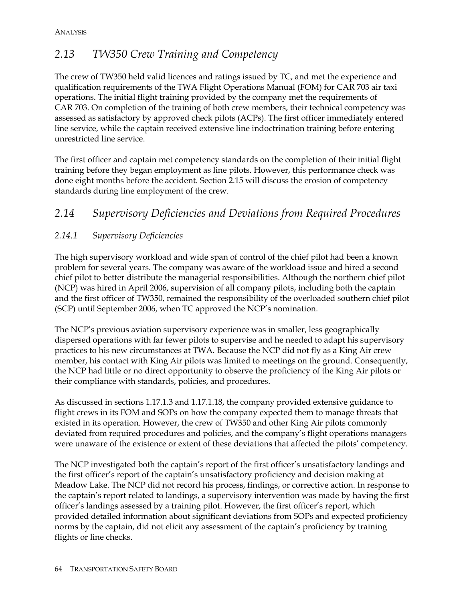# *2.13 TW350 Crew Training and Competency*

The crew of TW350 held valid licences and ratings issued by TC, and met the experience and qualification requirements of the TWA Flight Operations Manual (FOM) for CAR 703 air taxi operations. The initial flight training provided by the company met the requirements of CAR 703. On completion of the training of both crew members, their technical competency was assessed as satisfactory by approved check pilots (ACPs). The first officer immediately entered line service, while the captain received extensive line indoctrination training before entering unrestricted line service.

The first officer and captain met competency standards on the completion of their initial flight training before they began employment as line pilots. However, this performance check was done eight months before the accident. Section 2.15 will discuss the erosion of competency standards during line employment of the crew.

### *2.14 Supervisory Deficiencies and Deviations from Required Procedures*

#### *2.14.1 Supervisory Deficiencies*

The high supervisory workload and wide span of control of the chief pilot had been a known problem for several years. The company was aware of the workload issue and hired a second chief pilot to better distribute the managerial responsibilities. Although the northern chief pilot (NCP) was hired in April 2006, supervision of all company pilots, including both the captain and the first officer of TW350, remained the responsibility of the overloaded southern chief pilot (SCP) until September 2006, when TC approved the NCP's nomination.

The NCP's previous aviation supervisory experience was in smaller, less geographically dispersed operations with far fewer pilots to supervise and he needed to adapt his supervisory practices to his new circumstances at TWA. Because the NCP did not fly as a King Air crew member, his contact with King Air pilots was limited to meetings on the ground. Consequently, the NCP had little or no direct opportunity to observe the proficiency of the King Air pilots or their compliance with standards, policies, and procedures.

As discussed in sections 1.17.1.3 and 1.17.1.18, the company provided extensive guidance to flight crews in its FOM and SOPs on how the company expected them to manage threats that existed in its operation. However, the crew of TW350 and other King Air pilots commonly deviated from required procedures and policies, and the company's flight operations managers were unaware of the existence or extent of these deviations that affected the pilots' competency.

The NCP investigated both the captain's report of the first officer's unsatisfactory landings and the first officer's report of the captain's unsatisfactory proficiency and decision making at Meadow Lake. The NCP did not record his process, findings, or corrective action. In response to the captain's report related to landings, a supervisory intervention was made by having the first officer's landings assessed by a training pilot. However, the first officer's report, which provided detailed information about significant deviations from SOPs and expected proficiency norms by the captain, did not elicit any assessment of the captain's proficiency by training flights or line checks.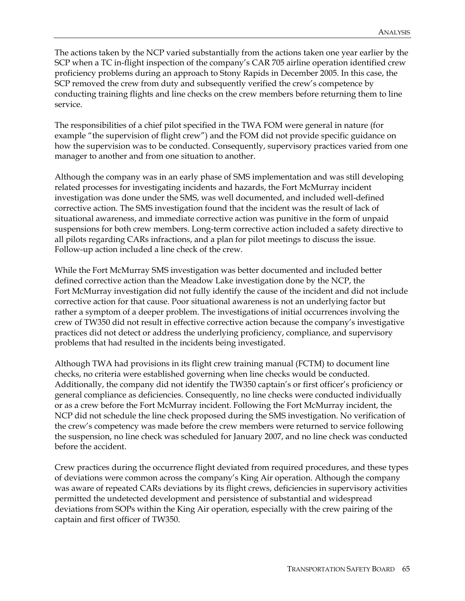The actions taken by the NCP varied substantially from the actions taken one year earlier by the SCP when a TC in-flight inspection of the company's CAR 705 airline operation identified crew proficiency problems during an approach to Stony Rapids in December 2005. In this case, the SCP removed the crew from duty and subsequently verified the crew's competence by conducting training flights and line checks on the crew members before returning them to line service.

The responsibilities of a chief pilot specified in the TWA FOM were general in nature (for example "the supervision of flight crew") and the FOM did not provide specific guidance on how the supervision was to be conducted. Consequently, supervisory practices varied from one manager to another and from one situation to another.

Although the company was in an early phase of SMS implementation and was still developing related processes for investigating incidents and hazards, the Fort McMurray incident investigation was done under the SMS, was well documented, and included well-defined corrective action. The SMS investigation found that the incident was the result of lack of situational awareness, and immediate corrective action was punitive in the form of unpaid suspensions for both crew members. Long-term corrective action included a safety directive to all pilots regarding CARs infractions, and a plan for pilot meetings to discuss the issue. Follow-up action included a line check of the crew.

While the Fort McMurray SMS investigation was better documented and included better defined corrective action than the Meadow Lake investigation done by the NCP, the Fort McMurray investigation did not fully identify the cause of the incident and did not include corrective action for that cause. Poor situational awareness is not an underlying factor but rather a symptom of a deeper problem. The investigations of initial occurrences involving the crew of TW350 did not result in effective corrective action because the company's investigative practices did not detect or address the underlying proficiency, compliance, and supervisory problems that had resulted in the incidents being investigated.

Although TWA had provisions in its flight crew training manual (FCTM) to document line checks, no criteria were established governing when line checks would be conducted. Additionally, the company did not identify the TW350 captain's or first officer's proficiency or general compliance as deficiencies. Consequently, no line checks were conducted individually or as a crew before the Fort McMurray incident. Following the Fort McMurray incident, the NCP did not schedule the line check proposed during the SMS investigation. No verification of the crew's competency was made before the crew members were returned to service following the suspension, no line check was scheduled for January 2007, and no line check was conducted before the accident.

Crew practices during the occurrence flight deviated from required procedures, and these types of deviations were common across the company's King Air operation. Although the company was aware of repeated CARs deviations by its flight crews, deficiencies in supervisory activities permitted the undetected development and persistence of substantial and widespread deviations from SOPs within the King Air operation, especially with the crew pairing of the captain and first officer of TW350.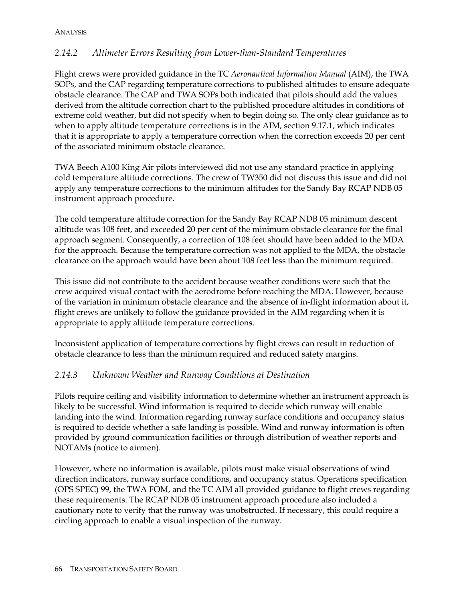### *2.14.2 Altimeter Errors Resulting from Lower-than-Standard Temperatures*

Flight crews were provided guidance in the TC *Aeronautical Information Manual* (AIM), the TWA SOPs, and the CAP regarding temperature corrections to published altitudes to ensure adequate obstacle clearance. The CAP and TWA SOPs both indicated that pilots should add the values derived from the altitude correction chart to the published procedure altitudes in conditions of extreme cold weather, but did not specify when to begin doing so. The only clear guidance as to when to apply altitude temperature corrections is in the AIM, section 9.17.1, which indicates that it is appropriate to apply a temperature correction when the correction exceeds 20 per cent of the associated minimum obstacle clearance.

TWA Beech A100 King Air pilots interviewed did not use any standard practice in applying cold temperature altitude corrections. The crew of TW350 did not discuss this issue and did not apply any temperature corrections to the minimum altitudes for the Sandy Bay RCAP NDB 05 instrument approach procedure.

The cold temperature altitude correction for the Sandy Bay RCAP NDB 05 minimum descent altitude was 108 feet, and exceeded 20 per cent of the minimum obstacle clearance for the final approach segment. Consequently, a correction of 108 feet should have been added to the MDA for the approach. Because the temperature correction was not applied to the MDA, the obstacle clearance on the approach would have been about 108 feet less than the minimum required.

This issue did not contribute to the accident because weather conditions were such that the crew acquired visual contact with the aerodrome before reaching the MDA. However, because of the variation in minimum obstacle clearance and the absence of in-flight information about it, flight crews are unlikely to follow the guidance provided in the AIM regarding when it is appropriate to apply altitude temperature corrections.

Inconsistent application of temperature corrections by flight crews can result in reduction of obstacle clearance to less than the minimum required and reduced safety margins.

### *2.14.3 Unknown Weather and Runway Conditions at Destination*

Pilots require ceiling and visibility information to determine whether an instrument approach is likely to be successful. Wind information is required to decide which runway will enable landing into the wind. Information regarding runway surface conditions and occupancy status is required to decide whether a safe landing is possible. Wind and runway information is often provided by ground communication facilities or through distribution of weather reports and NOTAMs (notice to airmen).

However, where no information is available, pilots must make visual observations of wind direction indicators, runway surface conditions, and occupancy status. Operations specification (OPS SPEC) 99, the TWA FOM, and the TC AIM all provided guidance to flight crews regarding these requirements. The RCAP NDB 05 instrument approach procedure also included a cautionary note to verify that the runway was unobstructed. If necessary, this could require a circling approach to enable a visual inspection of the runway.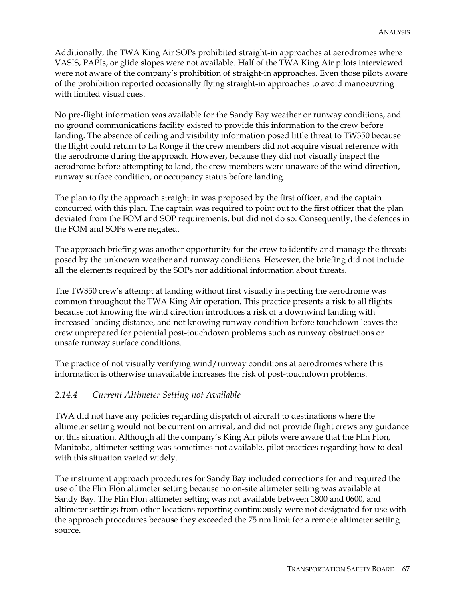Additionally, the TWA King Air SOPs prohibited straight-in approaches at aerodromes where VASIS, PAPIs, or glide slopes were not available. Half of the TWA King Air pilots interviewed were not aware of the company's prohibition of straight-in approaches. Even those pilots aware of the prohibition reported occasionally flying straight-in approaches to avoid manoeuvring with limited visual cues.

No pre-flight information was available for the Sandy Bay weather or runway conditions, and no ground communications facility existed to provide this information to the crew before landing. The absence of ceiling and visibility information posed little threat to TW350 because the flight could return to La Ronge if the crew members did not acquire visual reference with the aerodrome during the approach. However, because they did not visually inspect the aerodrome before attempting to land, the crew members were unaware of the wind direction, runway surface condition, or occupancy status before landing.

The plan to fly the approach straight in was proposed by the first officer, and the captain concurred with this plan. The captain was required to point out to the first officer that the plan deviated from the FOM and SOP requirements, but did not do so. Consequently, the defences in the FOM and SOPs were negated.

The approach briefing was another opportunity for the crew to identify and manage the threats posed by the unknown weather and runway conditions. However, the briefing did not include all the elements required by the SOPs nor additional information about threats.

The TW350 crew's attempt at landing without first visually inspecting the aerodrome was common throughout the TWA King Air operation. This practice presents a risk to all flights because not knowing the wind direction introduces a risk of a downwind landing with increased landing distance, and not knowing runway condition before touchdown leaves the crew unprepared for potential post-touchdown problems such as runway obstructions or unsafe runway surface conditions.

The practice of not visually verifying wind/runway conditions at aerodromes where this information is otherwise unavailable increases the risk of post-touchdown problems.

#### *2.14.4 Current Altimeter Setting not Available*

TWA did not have any policies regarding dispatch of aircraft to destinations where the altimeter setting would not be current on arrival, and did not provide flight crews any guidance on this situation. Although all the company's King Air pilots were aware that the Flin Flon, Manitoba, altimeter setting was sometimes not available, pilot practices regarding how to deal with this situation varied widely.

The instrument approach procedures for Sandy Bay included corrections for and required the use of the Flin Flon altimeter setting because no on-site altimeter setting was available at Sandy Bay. The Flin Flon altimeter setting was not available between 1800 and 0600, and altimeter settings from other locations reporting continuously were not designated for use with the approach procedures because they exceeded the 75 nm limit for a remote altimeter setting source.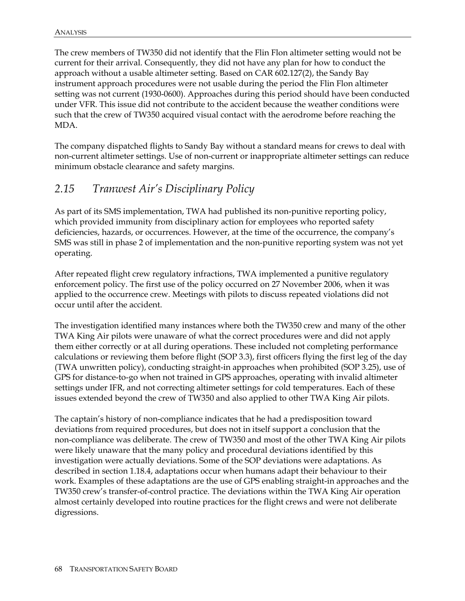The crew members of TW350 did not identify that the Flin Flon altimeter setting would not be current for their arrival. Consequently, they did not have any plan for how to conduct the approach without a usable altimeter setting. Based on CAR 602.127(2), the Sandy Bay instrument approach procedures were not usable during the period the Flin Flon altimeter setting was not current (1930-0600). Approaches during this period should have been conducted under VFR. This issue did not contribute to the accident because the weather conditions were such that the crew of TW350 acquired visual contact with the aerodrome before reaching the MDA.

The company dispatched flights to Sandy Bay without a standard means for crews to deal with non-current altimeter settings. Use of non-current or inappropriate altimeter settings can reduce minimum obstacle clearance and safety margins.

### *2.15 Tranwest Air's Disciplinary Policy*

As part of its SMS implementation, TWA had published its non-punitive reporting policy, which provided immunity from disciplinary action for employees who reported safety deficiencies, hazards, or occurrences. However, at the time of the occurrence, the company's SMS was still in phase 2 of implementation and the non-punitive reporting system was not yet operating.

After repeated flight crew regulatory infractions, TWA implemented a punitive regulatory enforcement policy. The first use of the policy occurred on 27 November 2006, when it was applied to the occurrence crew. Meetings with pilots to discuss repeated violations did not occur until after the accident.

The investigation identified many instances where both the TW350 crew and many of the other TWA King Air pilots were unaware of what the correct procedures were and did not apply them either correctly or at all during operations. These included not completing performance calculations or reviewing them before flight (SOP 3.3), first officers flying the first leg of the day (TWA unwritten policy), conducting straight-in approaches when prohibited (SOP 3.25), use of GPS for distance-to-go when not trained in GPS approaches, operating with invalid altimeter settings under IFR, and not correcting altimeter settings for cold temperatures. Each of these issues extended beyond the crew of TW350 and also applied to other TWA King Air pilots.

The captain's history of non-compliance indicates that he had a predisposition toward deviations from required procedures, but does not in itself support a conclusion that the non-compliance was deliberate. The crew of TW350 and most of the other TWA King Air pilots were likely unaware that the many policy and procedural deviations identified by this investigation were actually deviations. Some of the SOP deviations were adaptations. As described in section 1.18.4, adaptations occur when humans adapt their behaviour to their work. Examples of these adaptations are the use of GPS enabling straight-in approaches and the TW350 crew's transfer-of-control practice. The deviations within the TWA King Air operation almost certainly developed into routine practices for the flight crews and were not deliberate digressions.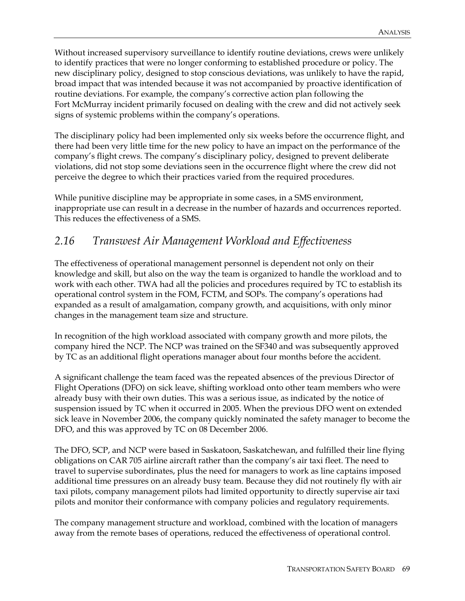Without increased supervisory surveillance to identify routine deviations, crews were unlikely to identify practices that were no longer conforming to established procedure or policy. The new disciplinary policy, designed to stop conscious deviations, was unlikely to have the rapid, broad impact that was intended because it was not accompanied by proactive identification of routine deviations. For example, the company's corrective action plan following the Fort McMurray incident primarily focused on dealing with the crew and did not actively seek signs of systemic problems within the company's operations.

The disciplinary policy had been implemented only six weeks before the occurrence flight, and there had been very little time for the new policy to have an impact on the performance of the company's flight crews. The company's disciplinary policy, designed to prevent deliberate violations, did not stop some deviations seen in the occurrence flight where the crew did not perceive the degree to which their practices varied from the required procedures.

While punitive discipline may be appropriate in some cases, in a SMS environment, inappropriate use can result in a decrease in the number of hazards and occurrences reported. This reduces the effectiveness of a SMS.

### *2.16 Transwest Air Management Workload and Effectiveness*

The effectiveness of operational management personnel is dependent not only on their knowledge and skill, but also on the way the team is organized to handle the workload and to work with each other. TWA had all the policies and procedures required by TC to establish its operational control system in the FOM, FCTM, and SOPs. The company's operations had expanded as a result of amalgamation, company growth, and acquisitions, with only minor changes in the management team size and structure.

In recognition of the high workload associated with company growth and more pilots, the company hired the NCP. The NCP was trained on the SF340 and was subsequently approved by TC as an additional flight operations manager about four months before the accident.

A significant challenge the team faced was the repeated absences of the previous Director of Flight Operations (DFO) on sick leave, shifting workload onto other team members who were already busy with their own duties. This was a serious issue, as indicated by the notice of suspension issued by TC when it occurred in 2005. When the previous DFO went on extended sick leave in November 2006, the company quickly nominated the safety manager to become the DFO, and this was approved by TC on 08 December 2006.

The DFO, SCP, and NCP were based in Saskatoon, Saskatchewan, and fulfilled their line flying obligations on CAR 705 airline aircraft rather than the company's air taxi fleet. The need to travel to supervise subordinates, plus the need for managers to work as line captains imposed additional time pressures on an already busy team. Because they did not routinely fly with air taxi pilots, company management pilots had limited opportunity to directly supervise air taxi pilots and monitor their conformance with company policies and regulatory requirements.

The company management structure and workload, combined with the location of managers away from the remote bases of operations, reduced the effectiveness of operational control.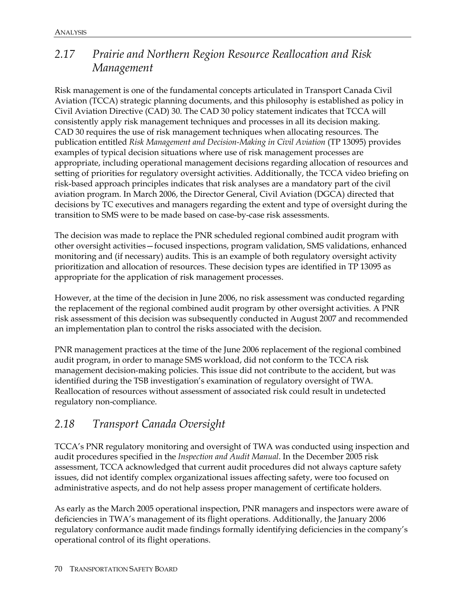### *2.17 Prairie and Northern Region Resource Reallocation and Risk Management*

Risk management is one of the fundamental concepts articulated in Transport Canada Civil Aviation (TCCA) strategic planning documents, and this philosophy is established as policy in Civil Aviation Directive (CAD) 30. The CAD 30 policy statement indicates that TCCA will consistently apply risk management techniques and processes in all its decision making. CAD 30 requires the use of risk management techniques when allocating resources. The publication entitled *Risk Management and Decision-Making in Civil Aviation* (TP 13095) provides examples of typical decision situations where use of risk management processes are appropriate, including operational management decisions regarding allocation of resources and setting of priorities for regulatory oversight activities. Additionally, the TCCA video briefing on risk-based approach principles indicates that risk analyses are a mandatory part of the civil aviation program. In March 2006, the Director General, Civil Aviation (DGCA) directed that decisions by TC executives and managers regarding the extent and type of oversight during the transition to SMS were to be made based on case-by-case risk assessments.

The decision was made to replace the PNR scheduled regional combined audit program with other oversight activities—focused inspections, program validation, SMS validations, enhanced monitoring and (if necessary) audits. This is an example of both regulatory oversight activity prioritization and allocation of resources. These decision types are identified in TP 13095 as appropriate for the application of risk management processes.

However, at the time of the decision in June 2006, no risk assessment was conducted regarding the replacement of the regional combined audit program by other oversight activities. A PNR risk assessment of this decision was subsequently conducted in August 2007 and recommended an implementation plan to control the risks associated with the decision.

PNR management practices at the time of the June 2006 replacement of the regional combined audit program, in order to manage SMS workload, did not conform to the TCCA risk management decision-making policies. This issue did not contribute to the accident, but was identified during the TSB investigation's examination of regulatory oversight of TWA. Reallocation of resources without assessment of associated risk could result in undetected regulatory non-compliance.

### *2.18 Transport Canada Oversight*

TCCA's PNR regulatory monitoring and oversight of TWA was conducted using inspection and audit procedures specified in the *Inspection and Audit Manual*. In the December 2005 risk assessment, TCCA acknowledged that current audit procedures did not always capture safety issues, did not identify complex organizational issues affecting safety, were too focused on administrative aspects, and do not help assess proper management of certificate holders.

As early as the March 2005 operational inspection, PNR managers and inspectors were aware of deficiencies in TWA's management of its flight operations. Additionally, the January 2006 regulatory conformance audit made findings formally identifying deficiencies in the company's operational control of its flight operations.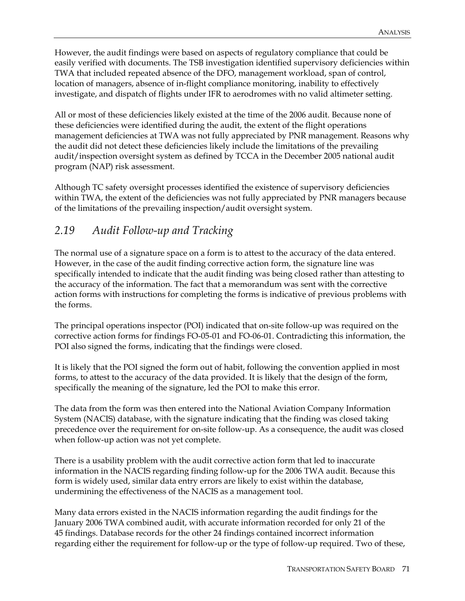However, the audit findings were based on aspects of regulatory compliance that could be easily verified with documents. The TSB investigation identified supervisory deficiencies within TWA that included repeated absence of the DFO, management workload, span of control, location of managers, absence of in-flight compliance monitoring, inability to effectively investigate, and dispatch of flights under IFR to aerodromes with no valid altimeter setting.

All or most of these deficiencies likely existed at the time of the 2006 audit. Because none of these deficiencies were identified during the audit, the extent of the flight operations management deficiencies at TWA was not fully appreciated by PNR management. Reasons why the audit did not detect these deficiencies likely include the limitations of the prevailing audit/inspection oversight system as defined by TCCA in the December 2005 national audit program (NAP) risk assessment.

Although TC safety oversight processes identified the existence of supervisory deficiencies within TWA, the extent of the deficiencies was not fully appreciated by PNR managers because of the limitations of the prevailing inspection/audit oversight system.

### *2.19 Audit Follow-up and Tracking*

The normal use of a signature space on a form is to attest to the accuracy of the data entered. However, in the case of the audit finding corrective action form, the signature line was specifically intended to indicate that the audit finding was being closed rather than attesting to the accuracy of the information. The fact that a memorandum was sent with the corrective action forms with instructions for completing the forms is indicative of previous problems with the forms.

The principal operations inspector (POI) indicated that on-site follow-up was required on the corrective action forms for findings FO-05-01 and FO-06-01. Contradicting this information, the POI also signed the forms, indicating that the findings were closed.

It is likely that the POI signed the form out of habit, following the convention applied in most forms, to attest to the accuracy of the data provided. It is likely that the design of the form, specifically the meaning of the signature, led the POI to make this error.

The data from the form was then entered into the National Aviation Company Information System (NACIS) database, with the signature indicating that the finding was closed taking precedence over the requirement for on-site follow-up. As a consequence, the audit was closed when follow-up action was not yet complete.

There is a usability problem with the audit corrective action form that led to inaccurate information in the NACIS regarding finding follow-up for the 2006 TWA audit. Because this form is widely used, similar data entry errors are likely to exist within the database, undermining the effectiveness of the NACIS as a management tool.

Many data errors existed in the NACIS information regarding the audit findings for the January 2006 TWA combined audit, with accurate information recorded for only 21 of the 45 findings. Database records for the other 24 findings contained incorrect information regarding either the requirement for follow-up or the type of follow-up required. Two of these,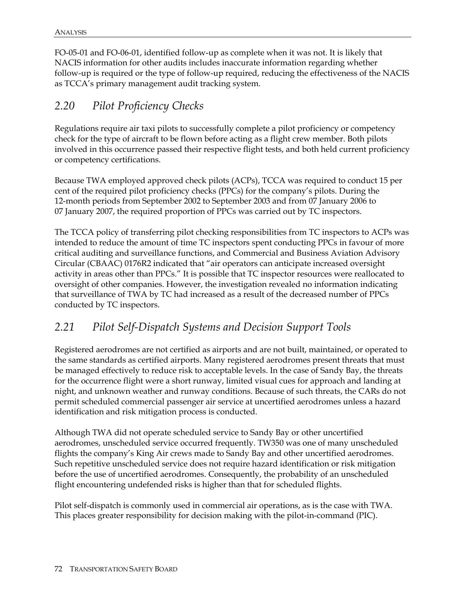FO-05-01 and FO-06-01, identified follow-up as complete when it was not. It is likely that NACIS information for other audits includes inaccurate information regarding whether follow-up is required or the type of follow-up required, reducing the effectiveness of the NACIS as TCCA's primary management audit tracking system.

### *2.20 Pilot Proficiency Checks*

Regulations require air taxi pilots to successfully complete a pilot proficiency or competency check for the type of aircraft to be flown before acting as a flight crew member. Both pilots involved in this occurrence passed their respective flight tests, and both held current proficiency or competency certifications.

Because TWA employed approved check pilots (ACPs), TCCA was required to conduct 15 per cent of the required pilot proficiency checks (PPCs) for the company's pilots. During the 12-month periods from September 2002 to September 2003 and from 07 January 2006 to 07 January 2007, the required proportion of PPCs was carried out by TC inspectors.

The TCCA policy of transferring pilot checking responsibilities from TC inspectors to ACPs was intended to reduce the amount of time TC inspectors spent conducting PPCs in favour of more critical auditing and surveillance functions, and Commercial and Business Aviation Advisory Circular (CBAAC) 0176R2 indicated that "air operators can anticipate increased oversight activity in areas other than PPCs." It is possible that TC inspector resources were reallocated to oversight of other companies. However, the investigation revealed no information indicating that surveillance of TWA by TC had increased as a result of the decreased number of PPCs conducted by TC inspectors.

### *2.21 Pilot Self-Dispatch Systems and Decision Support Tools*

Registered aerodromes are not certified as airports and are not built, maintained, or operated to the same standards as certified airports. Many registered aerodromes present threats that must be managed effectively to reduce risk to acceptable levels. In the case of Sandy Bay, the threats for the occurrence flight were a short runway, limited visual cues for approach and landing at night, and unknown weather and runway conditions. Because of such threats, the CARs do not permit scheduled commercial passenger air service at uncertified aerodromes unless a hazard identification and risk mitigation process is conducted.

Although TWA did not operate scheduled service to Sandy Bay or other uncertified aerodromes, unscheduled service occurred frequently. TW350 was one of many unscheduled flights the company's King Air crews made to Sandy Bay and other uncertified aerodromes. Such repetitive unscheduled service does not require hazard identification or risk mitigation before the use of uncertified aerodromes. Consequently, the probability of an unscheduled flight encountering undefended risks is higher than that for scheduled flights.

Pilot self-dispatch is commonly used in commercial air operations, as is the case with TWA. This places greater responsibility for decision making with the pilot-in-command (PIC).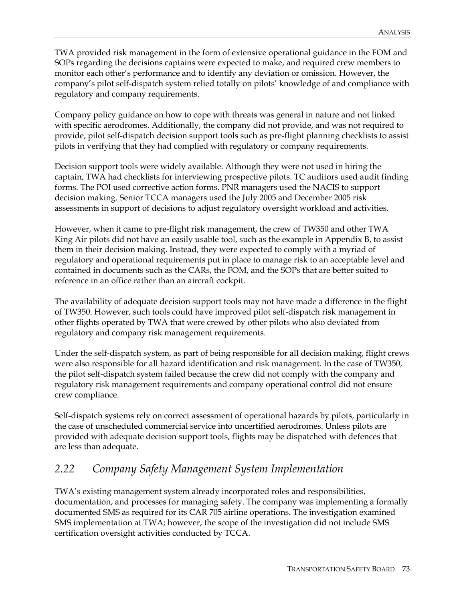TWA provided risk management in the form of extensive operational guidance in the FOM and SOPs regarding the decisions captains were expected to make, and required crew members to monitor each other's performance and to identify any deviation or omission. However, the company's pilot self-dispatch system relied totally on pilots' knowledge of and compliance with regulatory and company requirements.

Company policy guidance on how to cope with threats was general in nature and not linked with specific aerodromes. Additionally, the company did not provide, and was not required to provide, pilot self-dispatch decision support tools such as pre-flight planning checklists to assist pilots in verifying that they had complied with regulatory or company requirements.

Decision support tools were widely available. Although they were not used in hiring the captain, TWA had checklists for interviewing prospective pilots. TC auditors used audit finding forms. The POI used corrective action forms. PNR managers used the NACIS to support decision making. Senior TCCA managers used the July 2005 and December 2005 risk assessments in support of decisions to adjust regulatory oversight workload and activities.

However, when it came to pre-flight risk management, the crew of TW350 and other TWA King Air pilots did not have an easily usable tool, such as the example in Appendix B, to assist them in their decision making. Instead, they were expected to comply with a myriad of regulatory and operational requirements put in place to manage risk to an acceptable level and contained in documents such as the CARs, the FOM, and the SOPs that are better suited to reference in an office rather than an aircraft cockpit.

The availability of adequate decision support tools may not have made a difference in the flight of TW350. However, such tools could have improved pilot self-dispatch risk management in other flights operated by TWA that were crewed by other pilots who also deviated from regulatory and company risk management requirements.

Under the self-dispatch system, as part of being responsible for all decision making, flight crews were also responsible for all hazard identification and risk management. In the case of TW350, the pilot self-dispatch system failed because the crew did not comply with the company and regulatory risk management requirements and company operational control did not ensure crew compliance.

Self-dispatch systems rely on correct assessment of operational hazards by pilots, particularly in the case of unscheduled commercial service into uncertified aerodromes. Unless pilots are provided with adequate decision support tools, flights may be dispatched with defences that are less than adequate.

### *2.22 Company Safety Management System Implementation*

TWA's existing management system already incorporated roles and responsibilities, documentation, and processes for managing safety. The company was implementing a formally documented SMS as required for its CAR 705 airline operations. The investigation examined SMS implementation at TWA; however, the scope of the investigation did not include SMS certification oversight activities conducted by TCCA.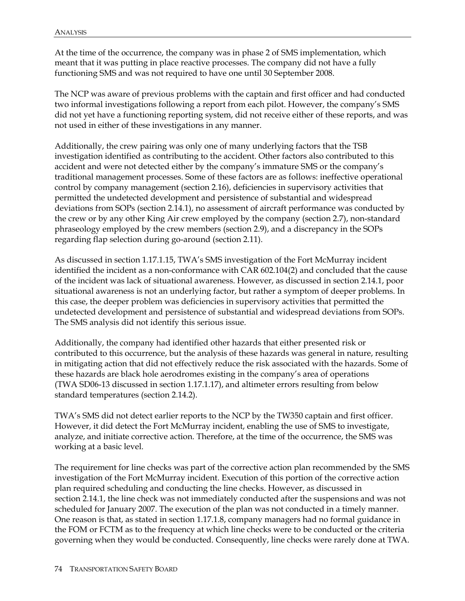At the time of the occurrence, the company was in phase 2 of SMS implementation, which meant that it was putting in place reactive processes. The company did not have a fully functioning SMS and was not required to have one until 30 September 2008.

The NCP was aware of previous problems with the captain and first officer and had conducted two informal investigations following a report from each pilot. However, the company's SMS did not yet have a functioning reporting system, did not receive either of these reports, and was not used in either of these investigations in any manner.

Additionally, the crew pairing was only one of many underlying factors that the TSB investigation identified as contributing to the accident. Other factors also contributed to this accident and were not detected either by the company's immature SMS or the company's traditional management processes. Some of these factors are as follows: ineffective operational control by company management (section 2.16), deficiencies in supervisory activities that permitted the undetected development and persistence of substantial and widespread deviations from SOPs (section 2.14.1), no assessment of aircraft performance was conducted by the crew or by any other King Air crew employed by the company (section 2.7), non-standard phraseology employed by the crew members (section 2.9), and a discrepancy in the SOPs regarding flap selection during go-around (section 2.11).

As discussed in section 1.17.1.15, TWA's SMS investigation of the Fort McMurray incident identified the incident as a non-conformance with CAR 602.104(2) and concluded that the cause of the incident was lack of situational awareness. However, as discussed in section 2.14.1, poor situational awareness is not an underlying factor, but rather a symptom of deeper problems. In this case, the deeper problem was deficiencies in supervisory activities that permitted the undetected development and persistence of substantial and widespread deviations from SOPs. The SMS analysis did not identify this serious issue.

Additionally, the company had identified other hazards that either presented risk or contributed to this occurrence, but the analysis of these hazards was general in nature, resulting in mitigating action that did not effectively reduce the risk associated with the hazards. Some of these hazards are black hole aerodromes existing in the company's area of operations (TWA SD06-13 discussed in section 1.17.1.17), and altimeter errors resulting from below standard temperatures (section 2.14.2).

TWA's SMS did not detect earlier reports to the NCP by the TW350 captain and first officer. However, it did detect the Fort McMurray incident, enabling the use of SMS to investigate, analyze, and initiate corrective action. Therefore, at the time of the occurrence, the SMS was working at a basic level.

The requirement for line checks was part of the corrective action plan recommended by the SMS investigation of the Fort McMurray incident. Execution of this portion of the corrective action plan required scheduling and conducting the line checks. However, as discussed in section 2.14.1, the line check was not immediately conducted after the suspensions and was not scheduled for January 2007. The execution of the plan was not conducted in a timely manner. One reason is that, as stated in section 1.17.1.8, company managers had no formal guidance in the FOM or FCTM as to the frequency at which line checks were to be conducted or the criteria governing when they would be conducted. Consequently, line checks were rarely done at TWA.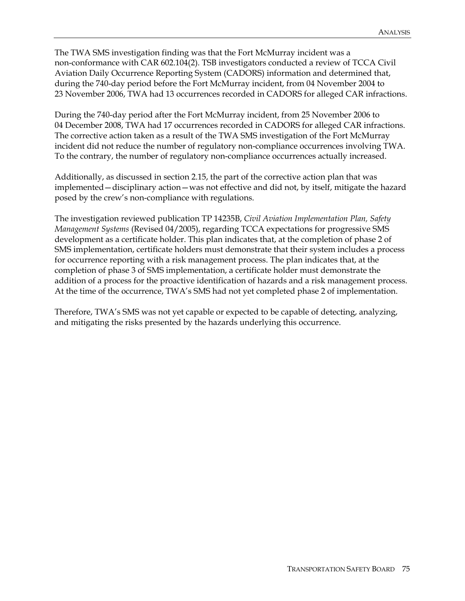The TWA SMS investigation finding was that the Fort McMurray incident was a non-conformance with CAR 602.104(2). TSB investigators conducted a review of TCCA Civil Aviation Daily Occurrence Reporting System (CADORS) information and determined that, during the 740-day period before the Fort McMurray incident, from 04 November 2004 to 23 November 2006, TWA had 13 occurrences recorded in CADORS for alleged CAR infractions.

During the 740-day period after the Fort McMurray incident, from 25 November 2006 to 04 December 2008, TWA had 17 occurrences recorded in CADORS for alleged CAR infractions. The corrective action taken as a result of the TWA SMS investigation of the Fort McMurray incident did not reduce the number of regulatory non-compliance occurrences involving TWA. To the contrary, the number of regulatory non-compliance occurrences actually increased.

Additionally, as discussed in section 2.15, the part of the corrective action plan that was implemented—disciplinary action—was not effective and did not, by itself, mitigate the hazard posed by the crew's non-compliance with regulations.

The investigation reviewed publication TP 14235B, *Civil Aviation Implementation Plan, Safety Management Systems* (Revised 04/2005), regarding TCCA expectations for progressive SMS development as a certificate holder. This plan indicates that, at the completion of phase 2 of SMS implementation, certificate holders must demonstrate that their system includes a process for occurrence reporting with a risk management process. The plan indicates that, at the completion of phase 3 of SMS implementation, a certificate holder must demonstrate the addition of a process for the proactive identification of hazards and a risk management process. At the time of the occurrence, TWA's SMS had not yet completed phase 2 of implementation.

Therefore, TWA's SMS was not yet capable or expected to be capable of detecting, analyzing, and mitigating the risks presented by the hazards underlying this occurrence.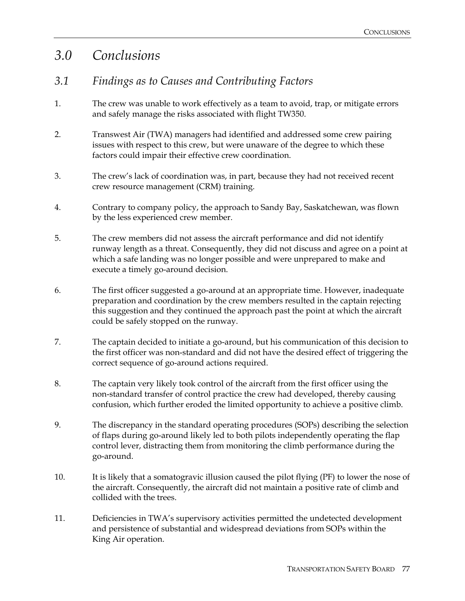## *3.0 Conclusions*

### *3.1 Findings as to Causes and Contributing Factors*

- 1. The crew was unable to work effectively as a team to avoid, trap, or mitigate errors and safely manage the risks associated with flight TW350.
- 2. Transwest Air (TWA) managers had identified and addressed some crew pairing issues with respect to this crew, but were unaware of the degree to which these factors could impair their effective crew coordination.
- 3. The crew's lack of coordination was, in part, because they had not received recent crew resource management (CRM) training.
- 4. Contrary to company policy, the approach to Sandy Bay, Saskatchewan, was flown by the less experienced crew member.
- 5. The crew members did not assess the aircraft performance and did not identify runway length as a threat. Consequently, they did not discuss and agree on a point at which a safe landing was no longer possible and were unprepared to make and execute a timely go-around decision.
- 6. The first officer suggested a go-around at an appropriate time. However, inadequate preparation and coordination by the crew members resulted in the captain rejecting this suggestion and they continued the approach past the point at which the aircraft could be safely stopped on the runway.
- 7. The captain decided to initiate a go-around, but his communication of this decision to the first officer was non-standard and did not have the desired effect of triggering the correct sequence of go-around actions required.
- 8. The captain very likely took control of the aircraft from the first officer using the non-standard transfer of control practice the crew had developed, thereby causing confusion, which further eroded the limited opportunity to achieve a positive climb.
- 9. The discrepancy in the standard operating procedures (SOPs) describing the selection of flaps during go-around likely led to both pilots independently operating the flap control lever, distracting them from monitoring the climb performance during the go-around.
- 10. It is likely that a somatogravic illusion caused the pilot flying (PF) to lower the nose of the aircraft. Consequently, the aircraft did not maintain a positive rate of climb and collided with the trees.
- 11. Deficiencies in TWA's supervisory activities permitted the undetected development and persistence of substantial and widespread deviations from SOPs within the King Air operation.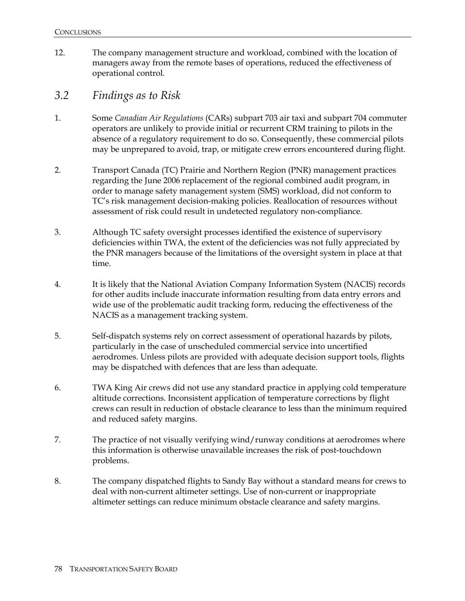12. The company management structure and workload, combined with the location of managers away from the remote bases of operations, reduced the effectiveness of operational control*.*

### *3.2 Findings as to Risk*

- 1. Some *Canadian Air Regulations* (CARs) subpart 703 air taxi and subpart 704 commuter operators are unlikely to provide initial or recurrent CRM training to pilots in the absence of a regulatory requirement to do so. Consequently, these commercial pilots may be unprepared to avoid, trap, or mitigate crew errors encountered during flight.
- 2. Transport Canada (TC) Prairie and Northern Region (PNR) management practices regarding the June 2006 replacement of the regional combined audit program, in order to manage safety management system (SMS) workload, did not conform to TC's risk management decision-making policies. Reallocation of resources without assessment of risk could result in undetected regulatory non-compliance.
- 3. Although TC safety oversight processes identified the existence of supervisory deficiencies within TWA, the extent of the deficiencies was not fully appreciated by the PNR managers because of the limitations of the oversight system in place at that time.
- 4. It is likely that the National Aviation Company Information System (NACIS) records for other audits include inaccurate information resulting from data entry errors and wide use of the problematic audit tracking form, reducing the effectiveness of the NACIS as a management tracking system.
- 5. Self-dispatch systems rely on correct assessment of operational hazards by pilots, particularly in the case of unscheduled commercial service into uncertified aerodromes. Unless pilots are provided with adequate decision support tools, flights may be dispatched with defences that are less than adequate.
- 6. TWA King Air crews did not use any standard practice in applying cold temperature altitude corrections. Inconsistent application of temperature corrections by flight crews can result in reduction of obstacle clearance to less than the minimum required and reduced safety margins.
- 7. The practice of not visually verifying wind/runway conditions at aerodromes where this information is otherwise unavailable increases the risk of post-touchdown problems.
- 8. The company dispatched flights to Sandy Bay without a standard means for crews to deal with non-current altimeter settings. Use of non-current or inappropriate altimeter settings can reduce minimum obstacle clearance and safety margins.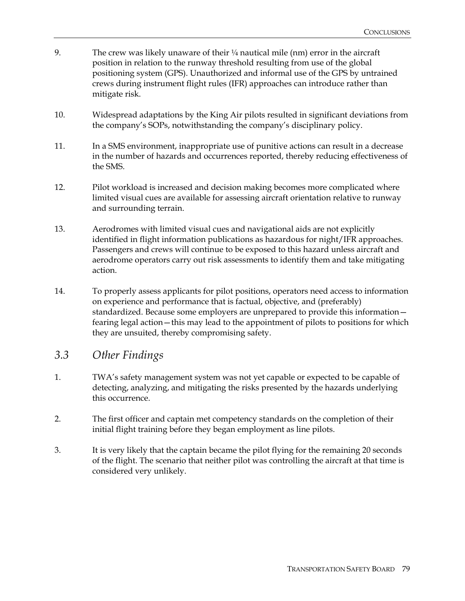- 9. The crew was likely unaware of their  $\frac{1}{4}$  nautical mile (nm) error in the aircraft position in relation to the runway threshold resulting from use of the global positioning system (GPS). Unauthorized and informal use of the GPS by untrained crews during instrument flight rules (IFR) approaches can introduce rather than mitigate risk.
- 10. Widespread adaptations by the King Air pilots resulted in significant deviations from the company's SOPs, notwithstanding the company's disciplinary policy.
- 11. In a SMS environment, inappropriate use of punitive actions can result in a decrease in the number of hazards and occurrences reported, thereby reducing effectiveness of the SMS.
- 12. Pilot workload is increased and decision making becomes more complicated where limited visual cues are available for assessing aircraft orientation relative to runway and surrounding terrain.
- 13. Aerodromes with limited visual cues and navigational aids are not explicitly identified in flight information publications as hazardous for night/IFR approaches. Passengers and crews will continue to be exposed to this hazard unless aircraft and aerodrome operators carry out risk assessments to identify them and take mitigating action.
- 14. To properly assess applicants for pilot positions, operators need access to information on experience and performance that is factual, objective, and (preferably) standardized. Because some employers are unprepared to provide this information fearing legal action—this may lead to the appointment of pilots to positions for which they are unsuited, thereby compromising safety.

### *3.3 Other Findings*

- 1. TWA's safety management system was not yet capable or expected to be capable of detecting, analyzing, and mitigating the risks presented by the hazards underlying this occurrence.
- 2. The first officer and captain met competency standards on the completion of their initial flight training before they began employment as line pilots.
- 3. It is very likely that the captain became the pilot flying for the remaining 20 seconds of the flight. The scenario that neither pilot was controlling the aircraft at that time is considered very unlikely.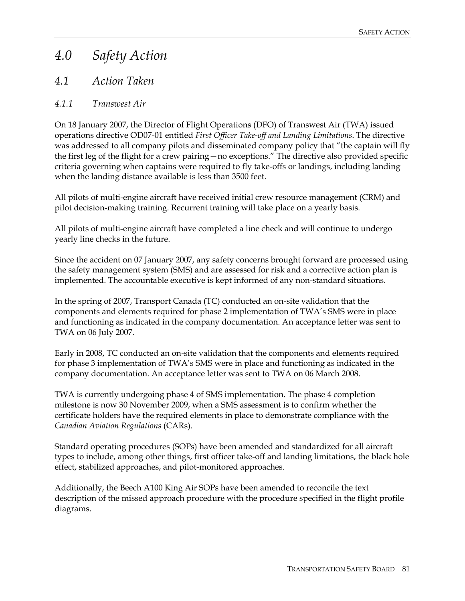# *4.0 Safety Action*

### *4.1 Action Taken*

### *4.1.1 Transwest Air*

On 18 January 2007, the Director of Flight Operations (DFO) of Transwest Air (TWA) issued operations directive OD07-01 entitled *First Officer Take-off and Landing Limitations*. The directive was addressed to all company pilots and disseminated company policy that "the captain will fly the first leg of the flight for a crew pairing—no exceptions." The directive also provided specific criteria governing when captains were required to fly take-offs or landings, including landing when the landing distance available is less than 3500 feet.

All pilots of multi-engine aircraft have received initial crew resource management (CRM) and pilot decision-making training. Recurrent training will take place on a yearly basis.

All pilots of multi-engine aircraft have completed a line check and will continue to undergo yearly line checks in the future.

Since the accident on 07 January 2007, any safety concerns brought forward are processed using the safety management system (SMS) and are assessed for risk and a corrective action plan is implemented. The accountable executive is kept informed of any non-standard situations.

In the spring of 2007, Transport Canada (TC) conducted an on-site validation that the components and elements required for phase 2 implementation of TWA's SMS were in place and functioning as indicated in the company documentation. An acceptance letter was sent to TWA on 06 July 2007.

Early in 2008, TC conducted an on-site validation that the components and elements required for phase 3 implementation of TWA's SMS were in place and functioning as indicated in the company documentation. An acceptance letter was sent to TWA on 06 March 2008.

TWA is currently undergoing phase 4 of SMS implementation. The phase 4 completion milestone is now 30 November 2009, when a SMS assessment is to confirm whether the certificate holders have the required elements in place to demonstrate compliance with the *Canadian Aviation Regulations* (CARs).

Standard operating procedures (SOPs) have been amended and standardized for all aircraft types to include, among other things, first officer take-off and landing limitations, the black hole effect, stabilized approaches, and pilot-monitored approaches.

Additionally, the Beech A100 King Air SOPs have been amended to reconcile the text description of the missed approach procedure with the procedure specified in the flight profile diagrams.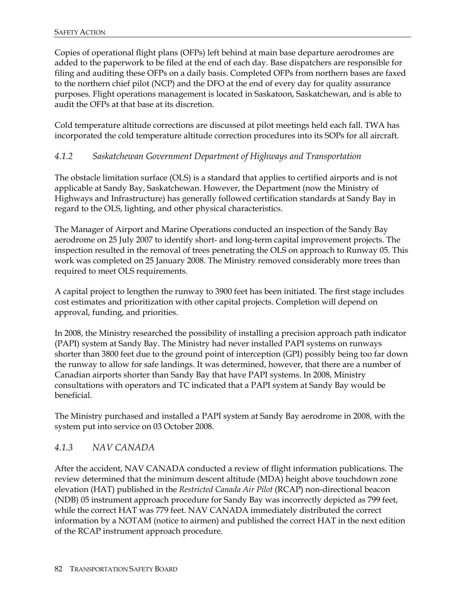Copies of operational flight plans (OFPs) left behind at main base departure aerodromes are added to the paperwork to be filed at the end of each day. Base dispatchers are responsible for filing and auditing these OFPs on a daily basis. Completed OFPs from northern bases are faxed to the northern chief pilot (NCP) and the DFO at the end of every day for quality assurance purposes. Flight operations management is located in Saskatoon, Saskatchewan, and is able to audit the OFPs at that base at its discretion.

Cold temperature altitude corrections are discussed at pilot meetings held each fall. TWA has incorporated the cold temperature altitude correction procedures into its SOPs for all aircraft.

#### *4.1.2 Saskatchewan Government Department of Highways and Transportation*

The obstacle limitation surface (OLS) is a standard that applies to certified airports and is not applicable at Sandy Bay, Saskatchewan. However, the Department (now the Ministry of Highways and Infrastructure) has generally followed certification standards at Sandy Bay in regard to the OLS, lighting, and other physical characteristics.

The Manager of Airport and Marine Operations conducted an inspection of the Sandy Bay aerodrome on 25 July 2007 to identify short- and long-term capital improvement projects. The inspection resulted in the removal of trees penetrating the OLS on approach to Runway 05. This work was completed on 25 January 2008. The Ministry removed considerably more trees than required to meet OLS requirements.

A capital project to lengthen the runway to 3900 feet has been initiated. The first stage includes cost estimates and prioritization with other capital projects. Completion will depend on approval, funding, and priorities.

In 2008, the Ministry researched the possibility of installing a precision approach path indicator (PAPI) system at Sandy Bay. The Ministry had never installed PAPI systems on runways shorter than 3800 feet due to the ground point of interception (GPI) possibly being too far down the runway to allow for safe landings. It was determined, however, that there are a number of Canadian airports shorter than Sandy Bay that have PAPI systems. In 2008, Ministry consultations with operators and TC indicated that a PAPI system at Sandy Bay would be beneficial.

The Ministry purchased and installed a PAPI system at Sandy Bay aerodrome in 2008, with the system put into service on 03 October 2008.

#### *4.1.3 NAV CANADA*

After the accident, NAV CANADA conducted a review of flight information publications. The review determined that the minimum descent altitude (MDA) height above touchdown zone elevation (HAT) published in the *Restricted Canada Air Pilot* (RCAP) non-directional beacon (NDB) 05 instrument approach procedure for Sandy Bay was incorrectly depicted as 799 feet, while the correct HAT was 779 feet. NAV CANADA immediately distributed the correct information by a NOTAM (notice to airmen) and published the correct HAT in the next edition of the RCAP instrument approach procedure.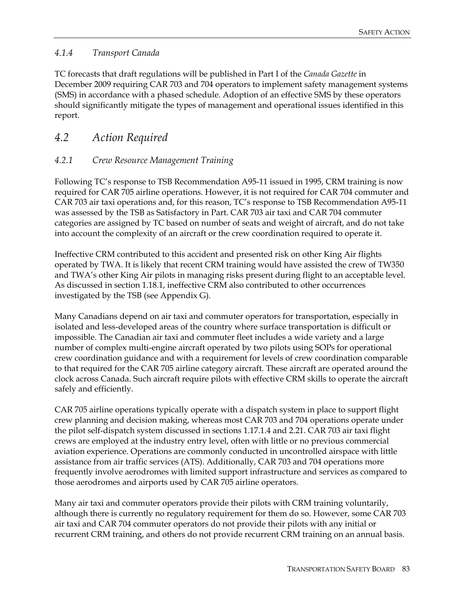#### *4.1.4 Transport Canada*

TC forecasts that draft regulations will be published in Part I of the *Canada Gazette* in December 2009 requiring CAR 703 and 704 operators to implement safety management systems (SMS) in accordance with a phased schedule. Adoption of an effective SMS by these operators should significantly mitigate the types of management and operational issues identified in this report.

### *4.2 Action Required*

#### *4.2.1 Crew Resource Management Training*

Following TC's response to TSB Recommendation A95-11 issued in 1995, CRM training is now required for CAR 705 airline operations. However, it is not required for CAR 704 commuter and CAR 703 air taxi operations and, for this reason, TC's response to TSB Recommendation A95-11 was assessed by the TSB as Satisfactory in Part. CAR 703 air taxi and CAR 704 commuter categories are assigned by TC based on number of seats and weight of aircraft, and do not take into account the complexity of an aircraft or the crew coordination required to operate it.

Ineffective CRM contributed to this accident and presented risk on other King Air flights operated by TWA. It is likely that recent CRM training would have assisted the crew of TW350 and TWA's other King Air pilots in managing risks present during flight to an acceptable level. As discussed in section 1.18.1, ineffective CRM also contributed to other occurrences investigated by the TSB (see Appendix G).

Many Canadians depend on air taxi and commuter operators for transportation, especially in isolated and less-developed areas of the country where surface transportation is difficult or impossible. The Canadian air taxi and commuter fleet includes a wide variety and a large number of complex multi-engine aircraft operated by two pilots using SOPs for operational crew coordination guidance and with a requirement for levels of crew coordination comparable to that required for the CAR 705 airline category aircraft. These aircraft are operated around the clock across Canada. Such aircraft require pilots with effective CRM skills to operate the aircraft safely and efficiently.

CAR 705 airline operations typically operate with a dispatch system in place to support flight crew planning and decision making, whereas most CAR 703 and 704 operations operate under the pilot self-dispatch system discussed in sections 1.17.1.4 and 2.21. CAR 703 air taxi flight crews are employed at the industry entry level, often with little or no previous commercial aviation experience. Operations are commonly conducted in uncontrolled airspace with little assistance from air traffic services (ATS). Additionally, CAR 703 and 704 operations more frequently involve aerodromes with limited support infrastructure and services as compared to those aerodromes and airports used by CAR 705 airline operators.

Many air taxi and commuter operators provide their pilots with CRM training voluntarily, although there is currently no regulatory requirement for them do so. However, some CAR 703 air taxi and CAR 704 commuter operators do not provide their pilots with any initial or recurrent CRM training, and others do not provide recurrent CRM training on an annual basis.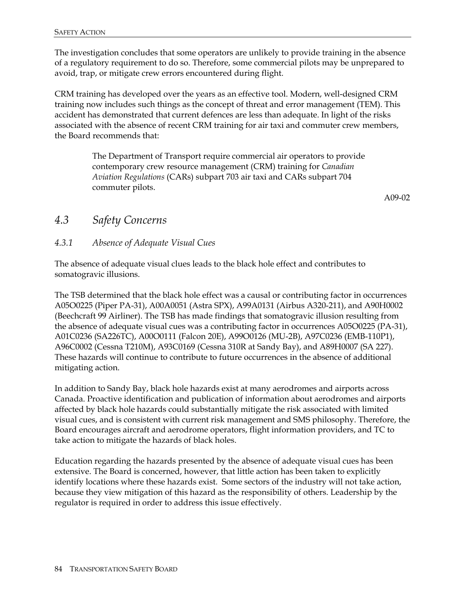The investigation concludes that some operators are unlikely to provide training in the absence of a regulatory requirement to do so. Therefore, some commercial pilots may be unprepared to avoid, trap, or mitigate crew errors encountered during flight.

CRM training has developed over the years as an effective tool. Modern, well-designed CRM training now includes such things as the concept of threat and error management (TEM). This accident has demonstrated that current defences are less than adequate. In light of the risks associated with the absence of recent CRM training for air taxi and commuter crew members, the Board recommends that:

> The Department of Transport require commercial air operators to provide contemporary crew resource management (CRM) training for *Canadian Aviation Regulations* (CARs) subpart 703 air taxi and CARs subpart 704 commuter pilots.

> > A09-02

### *4.3 Safety Concerns*

#### *4.3.1 Absence of Adequate Visual Cues*

The absence of adequate visual clues leads to the black hole effect and contributes to somatogravic illusions.

The TSB determined that the black hole effect was a causal or contributing factor in occurrences A05O0225 (Piper PA-31), A00A0051 (Astra SPX), A99A0131 (Airbus A320-211), and A90H0002 (Beechcraft 99 Airliner). The TSB has made findings that somatogravic illusion resulting from the absence of adequate visual cues was a contributing factor in occurrences A05O0225 (PA-31), A01C0236 (SA226TC), A00O0111 (Falcon 20E), A99O0126 (MU-2B), A97C0236 (EMB-110P1), A96C0002 (Cessna T210M), A93C0169 (Cessna 310R at Sandy Bay), and A89H0007 (SA 227). These hazards will continue to contribute to future occurrences in the absence of additional mitigating action.

In addition to Sandy Bay, black hole hazards exist at many aerodromes and airports across Canada. Proactive identification and publication of information about aerodromes and airports affected by black hole hazards could substantially mitigate the risk associated with limited visual cues, and is consistent with current risk management and SMS philosophy. Therefore, the Board encourages aircraft and aerodrome operators, flight information providers, and TC to take action to mitigate the hazards of black holes.

Education regarding the hazards presented by the absence of adequate visual cues has been extensive. The Board is concerned, however, that little action has been taken to explicitly identify locations where these hazards exist. Some sectors of the industry will not take action, because they view mitigation of this hazard as the responsibility of others. Leadership by the regulator is required in order to address this issue effectively.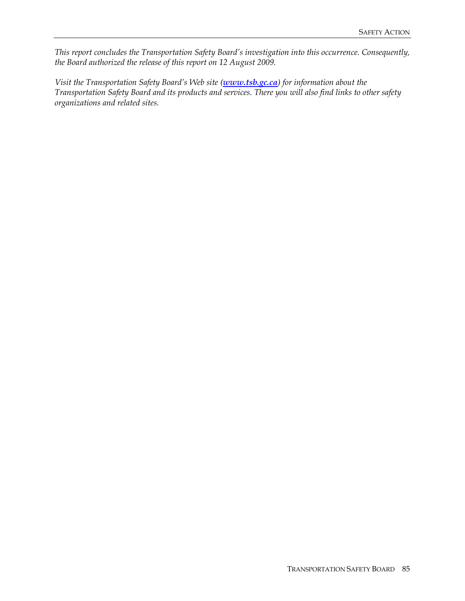*This report concludes the Transportation Safety Board's investigation into this occurrence. Consequently, the Board authorized the release of this report on 12 August 2009.* 

*Visit the Transportation Safety Board's Web site (www.tsb.gc.ca) for information about the Transportation Safety Board and its products and services. There you will also find links to other safety organizations and related sites.*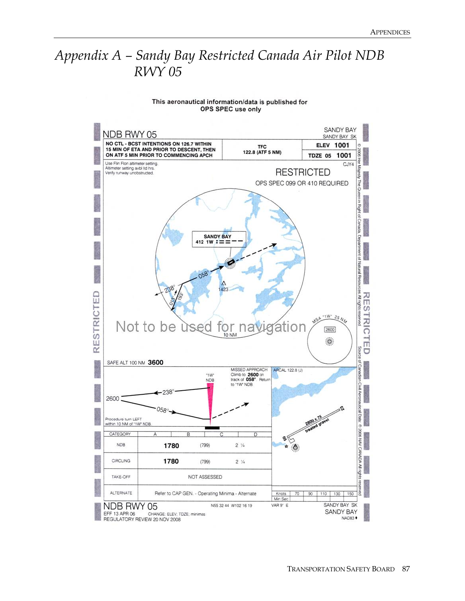# *Appendix A – Sandy Bay Restricted Canada Air Pilot NDB RWY 05*

#### SANDY BAY NDB RWY 05 SANDY BAY SK NO CTL - BCST INTENTIONS ON 126.7 WITHIN **ELEV 1001** TFC<br>122.8 (ATF 5 NM) 15 MIN OF ETA AND PRIOR TO DESCENT, THEN<br>ON ATF 5 MIN PRIOR TO COMMENCING APCH GOO'S TDZE 05 1001 종 Use Flin Flon altimeter setting.  $CJY4$ Altimeter setting avbl ltd hrs<br>Verify runway unobstructed. usalew **RESTRICTED** OPS SPEC 099 OR 410 REQUIRED The Queen in Right of Canada, Department **SANDY BAY** 412 1W  $:=$ of Natural Reso  $058$ S<sub>8</sub>3 ESTRICTED **RESTRICTE** All rights  $\frac{1}{25}M_7$ **BOA ICYSCO ASA** Not to be used for navigation  $2600$ 10 NM  $\ddot{\circ}$  $\alpha$ Source Ū SAFE ALT 100 NM 3600 of Canadian MISSED APPROACH ARCAL 122.8 (J) Climb to 2600 on<br>track of 058°. Retur "IW" **NDB** to "1W" NDB Civil  $-238$  $\overline{3}$ 2600 rical Data: 058° Procedure turn LEFT within 10 NM of "1W" NDB O 2006 NAV CAMADA All CATEGORY ୡୢ **NDB** 1780  $(799)$  $2\frac{1}{4}$ ŵ Ô CIRCLING 1780  $(799)$  $2\frac{1}{4}$ ĝ TAKE-OFF NOT ASSESSED ALTERNATE Refer to CAP GEN. - Operating Minima - Alternate Knots 70 90  $110$ 130 Min:Sec VAR 9° E SANDY BAY SK NDB RWY 05 N55 32 44 W102 16 19 SANDY BAY EFF 13 APR 06 CHANGE: ELEV: TDZE: minimas NAD83<sup>+</sup> REGULATORY REVIEW 20 NOV 2008

#### This aeronautical information/data is published for OPS SPEC use only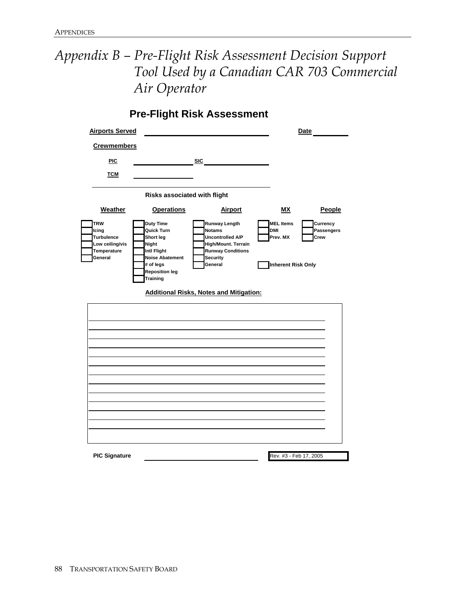# *Appendix B – Pre-Flight Risk Assessment Decision Support Tool Used by a Canadian CAR 703 Commercial Air Operator*

**Pre-Flight Risk Assessment**

| <b>Airports Served</b>                                                                |                                                                                                                                          |                                                                                                                                                                                       | <b>Date</b>                                                             |                                |
|---------------------------------------------------------------------------------------|------------------------------------------------------------------------------------------------------------------------------------------|---------------------------------------------------------------------------------------------------------------------------------------------------------------------------------------|-------------------------------------------------------------------------|--------------------------------|
| <b>Crewmembers</b>                                                                    |                                                                                                                                          |                                                                                                                                                                                       |                                                                         |                                |
| <b>PIC</b>                                                                            |                                                                                                                                          | SIC                                                                                                                                                                                   |                                                                         |                                |
| <b>TCM</b>                                                                            |                                                                                                                                          |                                                                                                                                                                                       |                                                                         |                                |
|                                                                                       | Risks associated with flight                                                                                                             |                                                                                                                                                                                       |                                                                         |                                |
| <b>Weather</b>                                                                        | <b>Operations</b>                                                                                                                        | <b>Airport</b>                                                                                                                                                                        | MΧ                                                                      | People                         |
| <b>TRW</b><br>Icing<br><b>Turbulence</b><br>Low ceiling/vis<br>Temperature<br>General | Duty Time<br>Quick Turn<br>Short leg<br>Night<br>Intl Flight<br><b>Noise Abatement</b><br># of legs<br><b>Reposition leg</b><br>Training | Runway Length<br><b>Notams</b><br>Uncontrolled A/P<br><b>High/Mount. Terrain</b><br><b>Runway Conditions</b><br>Security<br>General<br><b>Additional Risks, Notes and Mitigation:</b> | <b>MEL Items</b><br><b>DMI</b><br>Prev. MX<br><b>Inherent Risk Only</b> | Currency<br>Passengers<br>Crew |
| <b>PIC Signature</b>                                                                  |                                                                                                                                          |                                                                                                                                                                                       | Rev. #3 - Feb 17, 2005                                                  |                                |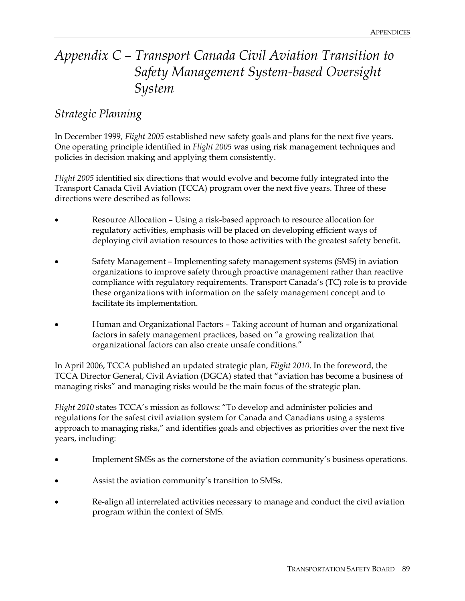# *Appendix C – Transport Canada Civil Aviation Transition to Safety Management System-based Oversight System*

### *Strategic Planning*

In December 1999, *Flight 2005* established new safety goals and plans for the next five years. One operating principle identified in *Flight 2005* was using risk management techniques and policies in decision making and applying them consistently.

*Flight 2005* identified six directions that would evolve and become fully integrated into the Transport Canada Civil Aviation (TCCA) program over the next five years. Three of these directions were described as follows:

- Resource Allocation Using a risk-based approach to resource allocation for regulatory activities, emphasis will be placed on developing efficient ways of deploying civil aviation resources to those activities with the greatest safety benefit.
- Safety Management Implementing safety management systems (SMS) in aviation organizations to improve safety through proactive management rather than reactive compliance with regulatory requirements. Transport Canada's (TC) role is to provide these organizations with information on the safety management concept and to facilitate its implementation.
- Human and Organizational Factors Taking account of human and organizational factors in safety management practices, based on "a growing realization that organizational factors can also create unsafe conditions."

In April 2006, TCCA published an updated strategic plan, *Flight 2010*. In the foreword, the TCCA Director General, Civil Aviation (DGCA) stated that "aviation has become a business of managing risks" and managing risks would be the main focus of the strategic plan.

*Flight 2010* states TCCA's mission as follows: "To develop and administer policies and regulations for the safest civil aviation system for Canada and Canadians using a systems approach to managing risks," and identifies goals and objectives as priorities over the next five years, including:

- Implement SMSs as the cornerstone of the aviation community's business operations.
- Assist the aviation community's transition to SMSs.
- Re-align all interrelated activities necessary to manage and conduct the civil aviation program within the context of SMS.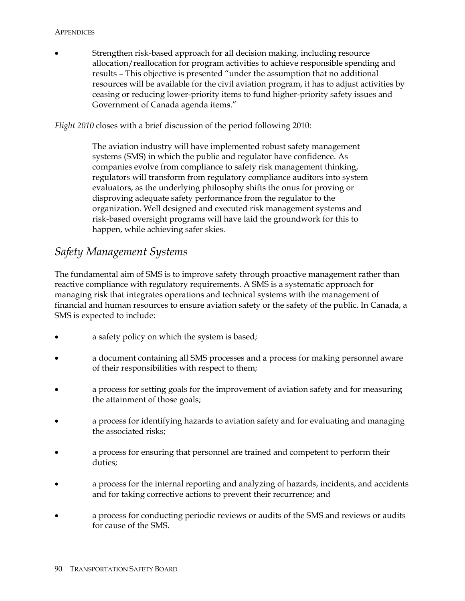Strengthen risk-based approach for all decision making, including resource allocation/reallocation for program activities to achieve responsible spending and results – This objective is presented "under the assumption that no additional resources will be available for the civil aviation program, it has to adjust activities by ceasing or reducing lower-priority items to fund higher-priority safety issues and Government of Canada agenda items."

*Flight 2010* closes with a brief discussion of the period following 2010:

The aviation industry will have implemented robust safety management systems (SMS) in which the public and regulator have confidence. As companies evolve from compliance to safety risk management thinking, regulators will transform from regulatory compliance auditors into system evaluators, as the underlying philosophy shifts the onus for proving or disproving adequate safety performance from the regulator to the organization. Well designed and executed risk management systems and risk-based oversight programs will have laid the groundwork for this to happen, while achieving safer skies.

## *Safety Management Systems*

The fundamental aim of SMS is to improve safety through proactive management rather than reactive compliance with regulatory requirements. A SMS is a systematic approach for managing risk that integrates operations and technical systems with the management of financial and human resources to ensure aviation safety or the safety of the public. In Canada, a SMS is expected to include:

- a safety policy on which the system is based;
- a document containing all SMS processes and a process for making personnel aware of their responsibilities with respect to them;
- a process for setting goals for the improvement of aviation safety and for measuring the attainment of those goals;
- a process for identifying hazards to aviation safety and for evaluating and managing the associated risks;
- a process for ensuring that personnel are trained and competent to perform their duties;
- a process for the internal reporting and analyzing of hazards, incidents, and accidents and for taking corrective actions to prevent their recurrence; and
- a process for conducting periodic reviews or audits of the SMS and reviews or audits for cause of the SMS.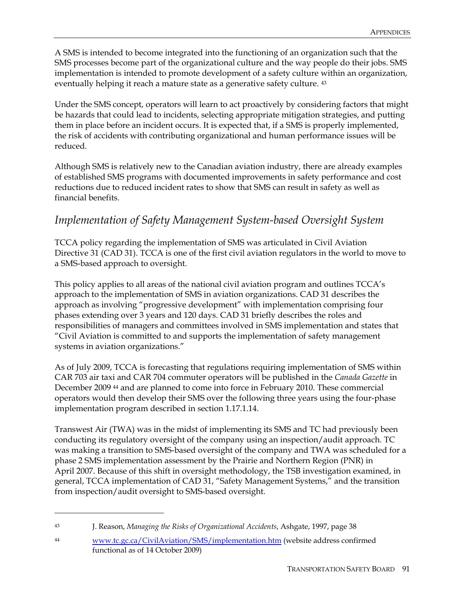A SMS is intended to become integrated into the functioning of an organization such that the SMS processes become part of the organizational culture and the way people do their jobs. SMS implementation is intended to promote development of a safety culture within an organization, eventually helping it reach a mature state as a generative safety culture. <sup>43</sup>

Under the SMS concept, operators will learn to act proactively by considering factors that might be hazards that could lead to incidents, selecting appropriate mitigation strategies, and putting them in place before an incident occurs. It is expected that, if a SMS is properly implemented, the risk of accidents with contributing organizational and human performance issues will be reduced.

Although SMS is relatively new to the Canadian aviation industry, there are already examples of established SMS programs with documented improvements in safety performance and cost reductions due to reduced incident rates to show that SMS can result in safety as well as financial benefits.

### *Implementation of Safety Management System-based Oversight System*

TCCA policy regarding the implementation of SMS was articulated in Civil Aviation Directive 31 (CAD 31). TCCA is one of the first civil aviation regulators in the world to move to a SMS-based approach to oversight.

This policy applies to all areas of the national civil aviation program and outlines TCCA's approach to the implementation of SMS in aviation organizations. CAD 31 describes the approach as involving "progressive development" with implementation comprising four phases extending over 3 years and 120 days. CAD 31 briefly describes the roles and responsibilities of managers and committees involved in SMS implementation and states that "Civil Aviation is committed to and supports the implementation of safety management systems in aviation organizations."

As of July 2009, TCCA is forecasting that regulations requiring implementation of SMS within CAR 703 air taxi and CAR 704 commuter operators will be published in the *Canada Gazette* in December 2009 44 and are planned to come into force in February 2010. These commercial operators would then develop their SMS over the following three years using the four-phase implementation program described in section 1.17.1.14.

Transwest Air (TWA) was in the midst of implementing its SMS and TC had previously been conducting its regulatory oversight of the company using an inspection/audit approach. TC was making a transition to SMS-based oversight of the company and TWA was scheduled for a phase 2 SMS implementation assessment by the Prairie and Northern Region (PNR) in April 2007. Because of this shift in oversight methodology, the TSB investigation examined, in general, TCCA implementation of CAD 31, "Safety Management Systems," and the transition from inspection/audit oversight to SMS-based oversight.

 $\overline{a}$ 

<sup>43</sup> J. Reason, *Managing the Risks of Organizational Accidents*, Ashgate, 1997, page 38

<sup>44</sup> www.tc.gc.ca/CivilAviation/SMS/implementation.htm (website address confirmed functional as of 14 October 2009)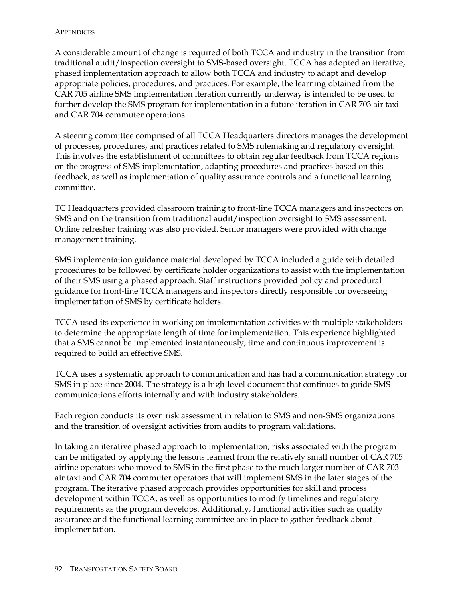A considerable amount of change is required of both TCCA and industry in the transition from traditional audit/inspection oversight to SMS-based oversight. TCCA has adopted an iterative, phased implementation approach to allow both TCCA and industry to adapt and develop appropriate policies, procedures, and practices. For example, the learning obtained from the CAR 705 airline SMS implementation iteration currently underway is intended to be used to further develop the SMS program for implementation in a future iteration in CAR 703 air taxi and CAR 704 commuter operations.

A steering committee comprised of all TCCA Headquarters directors manages the development of processes, procedures, and practices related to SMS rulemaking and regulatory oversight. This involves the establishment of committees to obtain regular feedback from TCCA regions on the progress of SMS implementation, adapting procedures and practices based on this feedback, as well as implementation of quality assurance controls and a functional learning committee.

TC Headquarters provided classroom training to front-line TCCA managers and inspectors on SMS and on the transition from traditional audit/inspection oversight to SMS assessment. Online refresher training was also provided. Senior managers were provided with change management training.

SMS implementation guidance material developed by TCCA included a guide with detailed procedures to be followed by certificate holder organizations to assist with the implementation of their SMS using a phased approach. Staff instructions provided policy and procedural guidance for front-line TCCA managers and inspectors directly responsible for overseeing implementation of SMS by certificate holders.

TCCA used its experience in working on implementation activities with multiple stakeholders to determine the appropriate length of time for implementation. This experience highlighted that a SMS cannot be implemented instantaneously; time and continuous improvement is required to build an effective SMS.

TCCA uses a systematic approach to communication and has had a communication strategy for SMS in place since 2004. The strategy is a high-level document that continues to guide SMS communications efforts internally and with industry stakeholders.

Each region conducts its own risk assessment in relation to SMS and non-SMS organizations and the transition of oversight activities from audits to program validations.

In taking an iterative phased approach to implementation, risks associated with the program can be mitigated by applying the lessons learned from the relatively small number of CAR 705 airline operators who moved to SMS in the first phase to the much larger number of CAR 703 air taxi and CAR 704 commuter operators that will implement SMS in the later stages of the program. The iterative phased approach provides opportunities for skill and process development within TCCA, as well as opportunities to modify timelines and regulatory requirements as the program develops. Additionally, functional activities such as quality assurance and the functional learning committee are in place to gather feedback about implementation.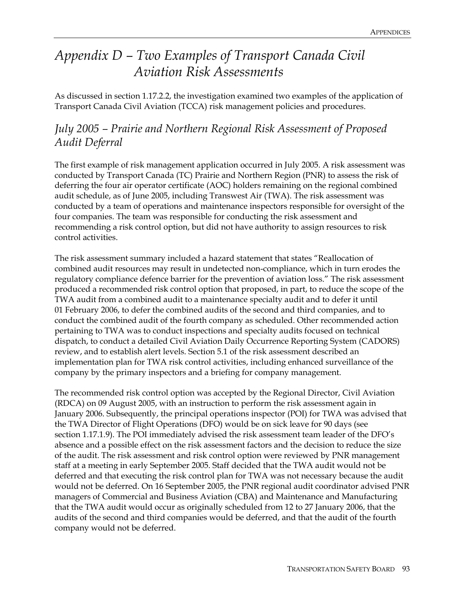# *Appendix D – Two Examples of Transport Canada Civil Aviation Risk Assessments*

As discussed in section 1.17.2.2, the investigation examined two examples of the application of Transport Canada Civil Aviation (TCCA) risk management policies and procedures.

### *July 2005 – Prairie and Northern Regional Risk Assessment of Proposed Audit Deferral*

The first example of risk management application occurred in July 2005. A risk assessment was conducted by Transport Canada (TC) Prairie and Northern Region (PNR) to assess the risk of deferring the four air operator certificate (AOC) holders remaining on the regional combined audit schedule, as of June 2005, including Transwest Air (TWA). The risk assessment was conducted by a team of operations and maintenance inspectors responsible for oversight of the four companies. The team was responsible for conducting the risk assessment and recommending a risk control option, but did not have authority to assign resources to risk control activities.

The risk assessment summary included a hazard statement that states "Reallocation of combined audit resources may result in undetected non-compliance, which in turn erodes the regulatory compliance defence barrier for the prevention of aviation loss." The risk assessment produced a recommended risk control option that proposed, in part, to reduce the scope of the TWA audit from a combined audit to a maintenance specialty audit and to defer it until 01 February 2006, to defer the combined audits of the second and third companies, and to conduct the combined audit of the fourth company as scheduled. Other recommended action pertaining to TWA was to conduct inspections and specialty audits focused on technical dispatch, to conduct a detailed Civil Aviation Daily Occurrence Reporting System (CADORS) review, and to establish alert levels. Section 5.1 of the risk assessment described an implementation plan for TWA risk control activities, including enhanced surveillance of the company by the primary inspectors and a briefing for company management.

The recommended risk control option was accepted by the Regional Director, Civil Aviation (RDCA) on 09 August 2005, with an instruction to perform the risk assessment again in January 2006. Subsequently, the principal operations inspector (POI) for TWA was advised that the TWA Director of Flight Operations (DFO) would be on sick leave for 90 days (see section 1.17.1.9). The POI immediately advised the risk assessment team leader of the DFO's absence and a possible effect on the risk assessment factors and the decision to reduce the size of the audit. The risk assessment and risk control option were reviewed by PNR management staff at a meeting in early September 2005. Staff decided that the TWA audit would not be deferred and that executing the risk control plan for TWA was not necessary because the audit would not be deferred. On 16 September 2005, the PNR regional audit coordinator advised PNR managers of Commercial and Business Aviation (CBA) and Maintenance and Manufacturing that the TWA audit would occur as originally scheduled from 12 to 27 January 2006, that the audits of the second and third companies would be deferred, and that the audit of the fourth company would not be deferred.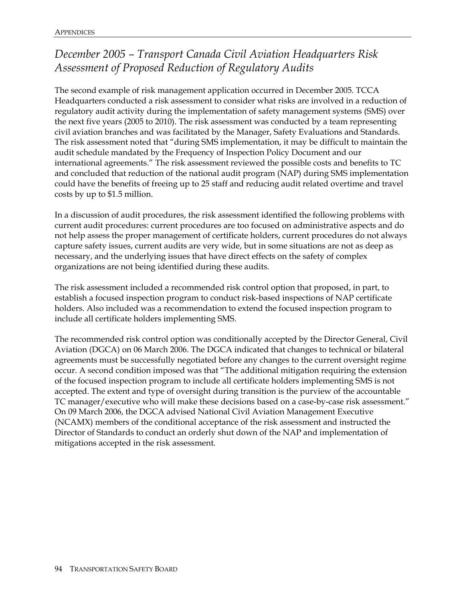## *December 2005 – Transport Canada Civil Aviation Headquarters Risk Assessment of Proposed Reduction of Regulatory Audits*

The second example of risk management application occurred in December 2005. TCCA Headquarters conducted a risk assessment to consider what risks are involved in a reduction of regulatory audit activity during the implementation of safety management systems (SMS) over the next five years (2005 to 2010). The risk assessment was conducted by a team representing civil aviation branches and was facilitated by the Manager, Safety Evaluations and Standards. The risk assessment noted that "during SMS implementation, it may be difficult to maintain the audit schedule mandated by the Frequency of Inspection Policy Document and our international agreements." The risk assessment reviewed the possible costs and benefits to TC and concluded that reduction of the national audit program (NAP) during SMS implementation could have the benefits of freeing up to 25 staff and reducing audit related overtime and travel costs by up to \$1.5 million.

In a discussion of audit procedures, the risk assessment identified the following problems with current audit procedures: current procedures are too focused on administrative aspects and do not help assess the proper management of certificate holders, current procedures do not always capture safety issues, current audits are very wide, but in some situations are not as deep as necessary, and the underlying issues that have direct effects on the safety of complex organizations are not being identified during these audits.

The risk assessment included a recommended risk control option that proposed, in part, to establish a focused inspection program to conduct risk-based inspections of NAP certificate holders. Also included was a recommendation to extend the focused inspection program to include all certificate holders implementing SMS.

The recommended risk control option was conditionally accepted by the Director General, Civil Aviation (DGCA) on 06 March 2006. The DGCA indicated that changes to technical or bilateral agreements must be successfully negotiated before any changes to the current oversight regime occur. A second condition imposed was that "The additional mitigation requiring the extension of the focused inspection program to include all certificate holders implementing SMS is not accepted. The extent and type of oversight during transition is the purview of the accountable TC manager/executive who will make these decisions based on a case-by-case risk assessment." On 09 March 2006, the DGCA advised National Civil Aviation Management Executive (NCAMX) members of the conditional acceptance of the risk assessment and instructed the Director of Standards to conduct an orderly shut down of the NAP and implementation of mitigations accepted in the risk assessment.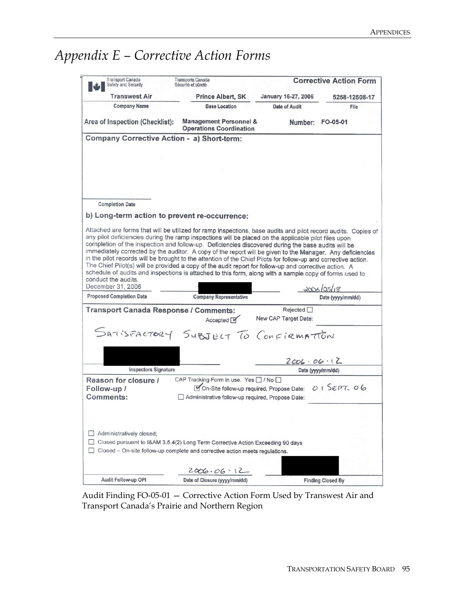# *Appendix E – Corrective Action Forms*

| <b>Transport Canada</b><br>Safety and Security                                                                                                                                                                                                                                                                                                                                                                                                                                                                                                                                                                                                                                                           | <b>Transports Canada</b><br>Sécurité et sûreté                      |                                         | <b>Corrective Action Form</b>   |
|----------------------------------------------------------------------------------------------------------------------------------------------------------------------------------------------------------------------------------------------------------------------------------------------------------------------------------------------------------------------------------------------------------------------------------------------------------------------------------------------------------------------------------------------------------------------------------------------------------------------------------------------------------------------------------------------------------|---------------------------------------------------------------------|-----------------------------------------|---------------------------------|
| Transwest Air                                                                                                                                                                                                                                                                                                                                                                                                                                                                                                                                                                                                                                                                                            | <b>Prince Albert, SK</b>                                            | January 16-27, 2006                     | 5258-12508-17                   |
| <b>Company Name</b>                                                                                                                                                                                                                                                                                                                                                                                                                                                                                                                                                                                                                                                                                      | <b>Base Location</b>                                                | <b>Date of Audit</b>                    | File                            |
| Area of Inspection (Checklist):                                                                                                                                                                                                                                                                                                                                                                                                                                                                                                                                                                                                                                                                          | <b>Management Personnel &amp;</b><br><b>Operations Coordination</b> |                                         | Number: FO-05-01                |
| Company Corrective Action - a) Short-term:                                                                                                                                                                                                                                                                                                                                                                                                                                                                                                                                                                                                                                                               |                                                                     |                                         |                                 |
|                                                                                                                                                                                                                                                                                                                                                                                                                                                                                                                                                                                                                                                                                                          |                                                                     |                                         |                                 |
|                                                                                                                                                                                                                                                                                                                                                                                                                                                                                                                                                                                                                                                                                                          |                                                                     |                                         |                                 |
|                                                                                                                                                                                                                                                                                                                                                                                                                                                                                                                                                                                                                                                                                                          |                                                                     |                                         |                                 |
|                                                                                                                                                                                                                                                                                                                                                                                                                                                                                                                                                                                                                                                                                                          |                                                                     |                                         |                                 |
|                                                                                                                                                                                                                                                                                                                                                                                                                                                                                                                                                                                                                                                                                                          |                                                                     |                                         |                                 |
| <b>Completion Date</b>                                                                                                                                                                                                                                                                                                                                                                                                                                                                                                                                                                                                                                                                                   |                                                                     |                                         |                                 |
|                                                                                                                                                                                                                                                                                                                                                                                                                                                                                                                                                                                                                                                                                                          |                                                                     |                                         |                                 |
| b) Long-term action to prevent re-occurrence:                                                                                                                                                                                                                                                                                                                                                                                                                                                                                                                                                                                                                                                            |                                                                     |                                         |                                 |
| any pilot deficiencies during the ramp inspections will be placed on the applicable pilot files upon<br>completion of the inspection and follow-up. Deficiencies discovered during the base audits will be<br>immediately corrected by the auditor. A copy of the report will be given to the Manager. Any deficiencies<br>in the pilot records will be brought to the attention of the Chief Pilots for follow-up and corrective action.<br>The Chief Pilot(s) will be provided a copy of the audit report for follow-up and corrective action. A<br>schedule of audits and inspections is attached to this form, along with a sample copy of forms used to<br>conduct the audits.<br>December 31, 2006 |                                                                     |                                         |                                 |
| <b>Proposed Completion Date</b>                                                                                                                                                                                                                                                                                                                                                                                                                                                                                                                                                                                                                                                                          | <b>Company Representative</b>                                       |                                         | 2006/05/18<br>Date (yyyy/mm/dd) |
|                                                                                                                                                                                                                                                                                                                                                                                                                                                                                                                                                                                                                                                                                                          |                                                                     |                                         |                                 |
| Transport Canada Response / Comments:                                                                                                                                                                                                                                                                                                                                                                                                                                                                                                                                                                                                                                                                    | Accepted M                                                          | Rejected $\Box$<br>New CAP Target Date: |                                 |
|                                                                                                                                                                                                                                                                                                                                                                                                                                                                                                                                                                                                                                                                                                          |                                                                     |                                         |                                 |
| SATISFACTORY SUBJECT TO CONFIRMATION                                                                                                                                                                                                                                                                                                                                                                                                                                                                                                                                                                                                                                                                     |                                                                     |                                         |                                 |
|                                                                                                                                                                                                                                                                                                                                                                                                                                                                                                                                                                                                                                                                                                          |                                                                     |                                         |                                 |
|                                                                                                                                                                                                                                                                                                                                                                                                                                                                                                                                                                                                                                                                                                          |                                                                     |                                         |                                 |
| <b>Inspectors Signature</b>                                                                                                                                                                                                                                                                                                                                                                                                                                                                                                                                                                                                                                                                              |                                                                     | 2006.06.12                              | Date (yyyy/mm/dd)               |
| Reason for closure /                                                                                                                                                                                                                                                                                                                                                                                                                                                                                                                                                                                                                                                                                     | CAP Tracking Form in use. Yes   / No                                |                                         |                                 |
| Follow-up /                                                                                                                                                                                                                                                                                                                                                                                                                                                                                                                                                                                                                                                                                              | On-Site follow-up required, Propose Date:                           |                                         | 015EPT.06                       |
| Comments:                                                                                                                                                                                                                                                                                                                                                                                                                                                                                                                                                                                                                                                                                                | Administrative follow-up required, Propose Date:                    |                                         |                                 |
|                                                                                                                                                                                                                                                                                                                                                                                                                                                                                                                                                                                                                                                                                                          |                                                                     |                                         |                                 |
|                                                                                                                                                                                                                                                                                                                                                                                                                                                                                                                                                                                                                                                                                                          |                                                                     |                                         |                                 |
|                                                                                                                                                                                                                                                                                                                                                                                                                                                                                                                                                                                                                                                                                                          |                                                                     |                                         |                                 |
| Administratively closed;                                                                                                                                                                                                                                                                                                                                                                                                                                                                                                                                                                                                                                                                                 |                                                                     |                                         |                                 |
| Closed pursuant to I&AM 3.5.4(2) Long Term Corrective Action Exceeding 90 days<br>$\Box$                                                                                                                                                                                                                                                                                                                                                                                                                                                                                                                                                                                                                 |                                                                     |                                         |                                 |
| Closed - On-site follow-up complete and corrective action meets regulations.                                                                                                                                                                                                                                                                                                                                                                                                                                                                                                                                                                                                                             |                                                                     |                                         |                                 |
|                                                                                                                                                                                                                                                                                                                                                                                                                                                                                                                                                                                                                                                                                                          |                                                                     |                                         |                                 |
|                                                                                                                                                                                                                                                                                                                                                                                                                                                                                                                                                                                                                                                                                                          | 2006.06.12                                                          |                                         |                                 |

Audit Finding FO-05-01 — Corrective Action Form Used by Transwest Air and Transport Canada's Prairie and Northern Region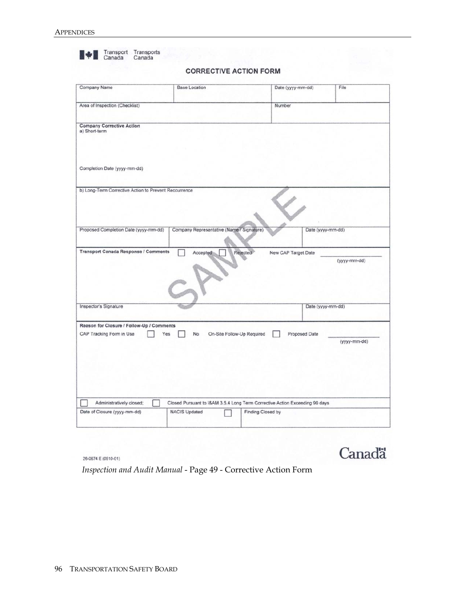|                                                       | <b>CORRECTIVE ACTION FORM</b>             |                                 |              |
|-------------------------------------------------------|-------------------------------------------|---------------------------------|--------------|
| Company Name                                          | <b>Base Location</b>                      | Date (yyyy-mm-dd)               | File         |
| Area of Inspection (Checklist)                        |                                           | Number                          |              |
| <b>Company Corrective Action</b><br>a) Short-term     |                                           |                                 |              |
| Completion Date (yyyy-mm-dd)                          |                                           |                                 |              |
| b) Long-Term Corrective Action to Prevent Reccurrence |                                           |                                 |              |
| Proposed Completion Date (yyyy-mm-dd)                 | Company Representative (Name / Signature) | Date (yyyy-mm-dd)               |              |
| <b>Transport Canada Response / Comments</b>           | Accepted                                  | Rejected<br>New CAP Target Date | (yyyy-mm-dd) |
|                                                       |                                           |                                 |              |
| Inspector's Signature                                 |                                           | Date (yyyy-mm-dd)               |              |
| Reason for Closure / Follow-Up / Comments             |                                           |                                 |              |
|                                                       | On-Site Follow-Up Required<br>Yes<br>No   | Proposed Date                   | (yyyy-mm-dd) |
| CAP Tracking Form in Use                              |                                           |                                 |              |

26-0674 E (0510-01)

# **Canadä**

*Inspection and Audit Manual* - Page 49 - Corrective Action Form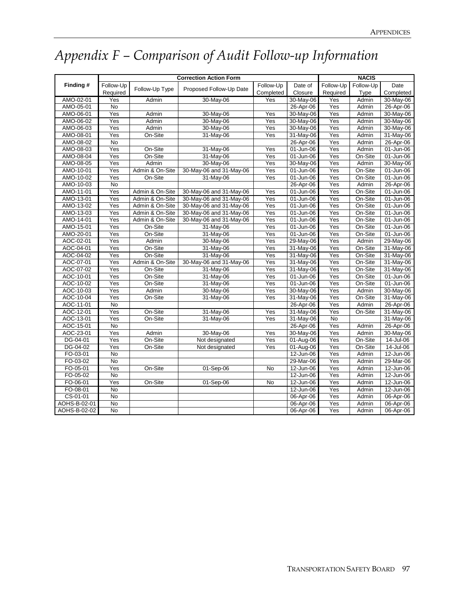# *Appendix F – Comparison of Audit Follow-up Information*

|              |                  |                 | <b>Correction Action Form</b> |           |              |                | <b>NACIS</b> |               |
|--------------|------------------|-----------------|-------------------------------|-----------|--------------|----------------|--------------|---------------|
| Finding#     | Follow-Up        |                 |                               | Follow-Up | Date of      | Follow-Up      | Follow-Up    | Date          |
|              | Required         | Follow-Up Type  | Proposed Follow-Up Date       | Completed | Closure      | Required       | Type         | Completed     |
| AMO-02-01    | Yes              | Admin           | 30-May-06                     | Yes       | 30-May-06    | Yes            | Admin        | 30-May-06     |
| AMO-05-01    | <b>No</b>        |                 |                               |           | 26-Apr-06    | Yes            | Admin        | 26-Apr-06     |
| AMO-06-01    | Yes              | Admin           | 30-May-06                     | Yes       | 30-May-06    | Yes            | Admin        | 30-May-06     |
| AMO-06-02    | Yes              | Admin           | 30-May-06                     | Yes       | 30-May-06    | Yes            | Admin        | 30-May-06     |
| AMO-06-03    | Yes              | Admin           | 30-May-06                     | Yes       | 30-May-06    | Yes            | Admin        | 30-May-06     |
| AMO-08-01    | Yes              | On-Site         | 31-May-06                     | Yes       | 31-May-06    | Yes            | Admin        | 31-May-06     |
| AMO-08-02    | <b>No</b>        |                 |                               |           | 26-Apr-06    | Yes            | Admin        | 26-Apr-06     |
| AMO-08-03    | Yes              | On-Site         | 31-May-06                     | Yes       | 01-Jun-06    | Yes            | Admin        | 01-Jun-06     |
| AMO-08-04    | Yes              | On-Site         | 31-May-06                     | Yes       | 01-Jun-06    | Yes            | On-Site      | 01-Jun-06     |
| AMO-08-05    | Yes              | Admin           | 30-May-06                     | Yes       | 30-May-06    | Yes            | Admin        | 30-May-06     |
| AMO-10-01    | Yes              | Admin & On-Site | 30-May-06 and 31-May-06       | Yes       | 01-Jun-06    | Yes            | On-Site      | 01-Jun-06     |
| AMO-10-02    | Yes              | On-Site         | 31-May-06                     | Yes       | 01-Jun-06    | Yes            | On-Site      | 01-Jun-06     |
| AMO-10-03    | <b>No</b>        |                 |                               |           | 26-Apr-06    | Yes            | Admin        | 26-Apr-06     |
| AMO-11-01    | Yes              | Admin & On-Site | 30-May-06 and 31-May-06       | Yes       | 01-Jun-06    | Yes            | On-Site      | 01-Jun-06     |
| AMO-13-01    | Yes              | Admin & On-Site | 30-May-06 and 31-May-06       | Yes       | 01-Jun-06    | Yes            | On-Site      | 01-Jun-06     |
| AMO-13-02    | $\overline{Yes}$ | Admin & On-Site | 30-May-06 and 31-May-06       | Yes       | $01$ -Jun-06 | Yes            | On-Site      | 01-Jun-06     |
| AMO-13-03    | Yes              | Admin & On-Site | 30-May-06 and 31-May-06       | Yes       | 01-Jun-06    | Yes            | On-Site      | 01-Jun-06     |
| AMO-14-01    | Yes              | Admin & On-Site | 30-May-06 and 31-May-06       | Yes       | 01-Jun-06    | Yes            | On-Site      | 01-Jun-06     |
| AMO-15-01    | Yes              | On-Site         | 31-May-06                     | Yes       | 01-Jun-06    | Yes            | On-Site      | 01-Jun-06     |
| AMO-20-01    | Yes              | On-Site         | 31-May-06                     | Yes       | 01-Jun-06    | Yes            | On-Site      | 01-Jun-06     |
| AOC-02-01    | Yes              | Admin           | 30-May-06                     | Yes       | 29-May-06    | Yes            | Admin        | 29-May-06     |
| AOC-04-01    | Yes              | On-Site         | 31-May-06                     | Yes       | 31-May-06    | Yes            | On-Site      | 31-May-06     |
| AOC-04-02    | Yes              | On-Site         | 31-May-06                     | Yes       | 31-May-06    | Yes            | On-Site      | 31-May-06     |
| AOC-07-01    | Yes              | Admin & On-Site | 30-May-06 and 31-May-06       | Yes       | 31-May-06    | Yes            | On-Site      | 31-May-06     |
| AOC-07-02    | Yes              | On-Site         | 31-May-06                     | Yes       | 31-May-06    | Yes            | On-Site      | 31-May-06     |
| AOC-10-01    | Yes              | On-Site         | 31-May-06                     | Yes       | 01-Jun-06    | Yes            | On-Site      | 01-Jun-06     |
| AOC-10-02    | Yes              | On-Site         | 31-May-06                     | Yes       | 01-Jun-06    | Yes            | On-Site      | 01-Jun-06     |
| AOC-10-03    | Yes              | Admin           | 30-May-06                     | Yes       | 30-May-06    | Yes            | Admin        | 30-May-06     |
| AOC-10-04    | $\overline{Yes}$ | On-Site         | 31-May-06                     | Yes       | 31-May-06    | Yes            | On-Site      | 31-May-06     |
| AOC-11-01    | $\overline{N}$   |                 |                               |           | 26-Apr-06    | Yes            | Admin        | 26-Apr-06     |
| AOC-12-01    | Yes              | On-Site         | 31-May-06                     | Yes       | 31-May-06    | Yes            | On-Site      | 31-May-06     |
| AOC-13-01    | Yes              | On-Site         | 31-May-06                     | Yes       | 31-May-06    | $\overline{N}$ |              | 31-May-06     |
| AOC-15-01    | $\overline{N}$   |                 |                               |           | 26-Apr-06    | Yes            | Admin        | 26-Apr-06     |
| AOC-23-01    | Yes              | Admin           | 30-May-06                     | Yes       | 30-May-06    | Yes            | Admin        | 30-May-06     |
| DG-04-01     | Yes              | On-Site         | Not designated                | Yes       | 01-Aug-06    | Yes            | On-Site      | 14-Jul-06     |
| DG-04-02     | Yes              | On-Site         | Not designated                | Yes       | 01-Aug-06    | Yes            | On-Site      | 14-Jul-06     |
| FO-03-01     | <b>No</b>        |                 |                               |           | 12-Jun-06    | Yes            | Admin        | 12-Jun-06     |
| FO-03-02     | $\overline{N}$   |                 |                               |           | 29-Mar-06    | Yes            | Admin        | 29-Mar-06     |
| FO-05-01     | Yes              | On-Site         | 01-Sep-06                     | No        | 12-Jun-06    | Yes            | Admin        | 12-Jun-06     |
| FO-05-02     | $\overline{N}$   |                 |                               |           | 12-Jun-06    | Yes            | Admin        | $12 - Jun-06$ |
| FO-06-01     | Yes              | On-Site         | 01-Sep-06                     | No        | 12-Jun-06    | Yes            | Admin        | 12-Jun-06     |
| FO-08-01     | No               |                 |                               |           | 12-Jun-06    | Yes            | Admin        | 12-Jun-06     |
| CS-01-01     | <b>No</b>        |                 |                               |           | 06-Apr-06    | Yes            | Admin        | 06-Apr-06     |
| AOHS-B-02-01 | $\overline{N}$   |                 |                               |           | 06-Apr-06    | Yes            | Admin        | 06-Apr-06     |
| AOHS-B-02-02 | <b>No</b>        |                 |                               |           | 06-Apr-06    | Yes            | Admin        | 06-Apr-06     |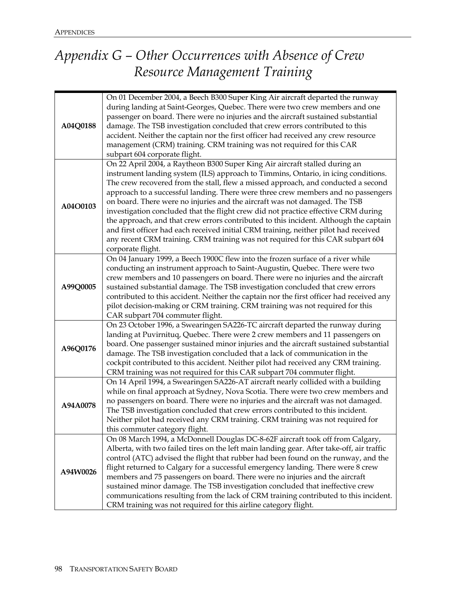# *Appendix G – Other Occurrences with Absence of Crew Resource Management Training*

| A04Q0188 | On 01 December 2004, a Beech B300 Super King Air aircraft departed the runway<br>during landing at Saint-Georges, Quebec. There were two crew members and one<br>passenger on board. There were no injuries and the aircraft sustained substantial<br>damage. The TSB investigation concluded that crew errors contributed to this<br>accident. Neither the captain nor the first officer had received any crew resource<br>management (CRM) training. CRM training was not required for this CAR<br>subpart 604 corporate flight.                                                                                                                                                                                                                                                                       |
|----------|----------------------------------------------------------------------------------------------------------------------------------------------------------------------------------------------------------------------------------------------------------------------------------------------------------------------------------------------------------------------------------------------------------------------------------------------------------------------------------------------------------------------------------------------------------------------------------------------------------------------------------------------------------------------------------------------------------------------------------------------------------------------------------------------------------|
| A04O0103 | On 22 April 2004, a Raytheon B300 Super King Air aircraft stalled during an<br>instrument landing system (ILS) approach to Timmins, Ontario, in icing conditions.<br>The crew recovered from the stall, flew a missed approach, and conducted a second<br>approach to a successful landing. There were three crew members and no passengers<br>on board. There were no injuries and the aircraft was not damaged. The TSB<br>investigation concluded that the flight crew did not practice effective CRM during<br>the approach, and that crew errors contributed to this incident. Although the captain<br>and first officer had each received initial CRM training, neither pilot had received<br>any recent CRM training. CRM training was not required for this CAR subpart 604<br>corporate flight. |
| A99Q0005 | On 04 January 1999, a Beech 1900C flew into the frozen surface of a river while<br>conducting an instrument approach to Saint-Augustin, Quebec. There were two<br>crew members and 10 passengers on board. There were no injuries and the aircraft<br>sustained substantial damage. The TSB investigation concluded that crew errors<br>contributed to this accident. Neither the captain nor the first officer had received any<br>pilot decision-making or CRM training. CRM training was not required for this<br>CAR subpart 704 commuter flight.                                                                                                                                                                                                                                                    |
| A96Q0176 | On 23 October 1996, a Swearingen SA226-TC aircraft departed the runway during<br>landing at Puvirnituq, Quebec. There were 2 crew members and 11 passengers on<br>board. One passenger sustained minor injuries and the aircraft sustained substantial<br>damage. The TSB investigation concluded that a lack of communication in the<br>cockpit contributed to this accident. Neither pilot had received any CRM training.<br>CRM training was not required for this CAR subpart 704 commuter flight.                                                                                                                                                                                                                                                                                                   |
| A94A0078 | On 14 April 1994, a Swearingen SA226-AT aircraft nearly collided with a building<br>while on final approach at Sydney, Nova Scotia. There were two crew members and<br>no passengers on board. There were no injuries and the aircraft was not damaged.<br>The TSB investigation concluded that crew errors contributed to this incident.<br>Neither pilot had received any CRM training. CRM training was not required for<br>this commuter category flight.                                                                                                                                                                                                                                                                                                                                            |
| A94W0026 | On 08 March 1994, a McDonnell Douglas DC-8-62F aircraft took off from Calgary,<br>Alberta, with two failed tires on the left main landing gear. After take-off, air traffic<br>control (ATC) advised the flight that rubber had been found on the runway, and the<br>flight returned to Calgary for a successful emergency landing. There were 8 crew<br>members and 75 passengers on board. There were no injuries and the aircraft<br>sustained minor damage. The TSB investigation concluded that ineffective crew<br>communications resulting from the lack of CRM training contributed to this incident.<br>CRM training was not required for this airline category flight.                                                                                                                         |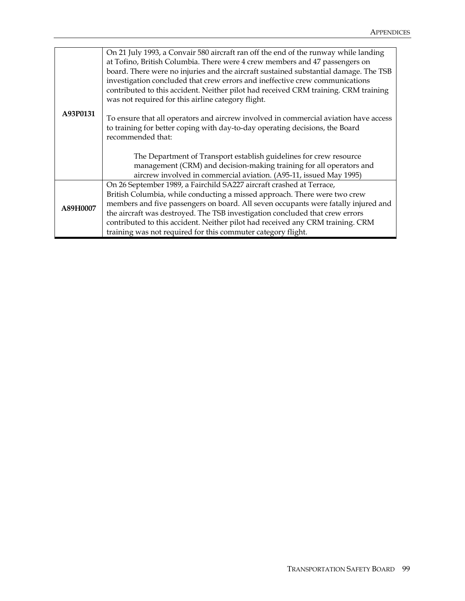|          | On 21 July 1993, a Convair 580 aircraft ran off the end of the runway while landing  |
|----------|--------------------------------------------------------------------------------------|
|          | at Tofino, British Columbia. There were 4 crew members and 47 passengers on          |
|          | board. There were no injuries and the aircraft sustained substantial damage. The TSB |
|          | investigation concluded that crew errors and ineffective crew communications         |
|          | contributed to this accident. Neither pilot had received CRM training. CRM training  |
|          | was not required for this airline category flight.                                   |
| A93P0131 | To ensure that all operators and aircrew involved in commercial aviation have access |
|          | to training for better coping with day-to-day operating decisions, the Board         |
|          | recommended that:                                                                    |
|          |                                                                                      |
|          | The Department of Transport establish guidelines for crew resource                   |
|          | management (CRM) and decision-making training for all operators and                  |
|          | aircrew involved in commercial aviation. (A95-11, issued May 1995)                   |
|          | On 26 September 1989, a Fairchild SA227 aircraft crashed at Terrace,                 |
|          | British Columbia, while conducting a missed approach. There were two crew            |
| A89H0007 | members and five passengers on board. All seven occupants were fatally injured and   |
|          | the aircraft was destroyed. The TSB investigation concluded that crew errors         |
|          | contributed to this accident. Neither pilot had received any CRM training. CRM       |
|          | training was not required for this commuter category flight.                         |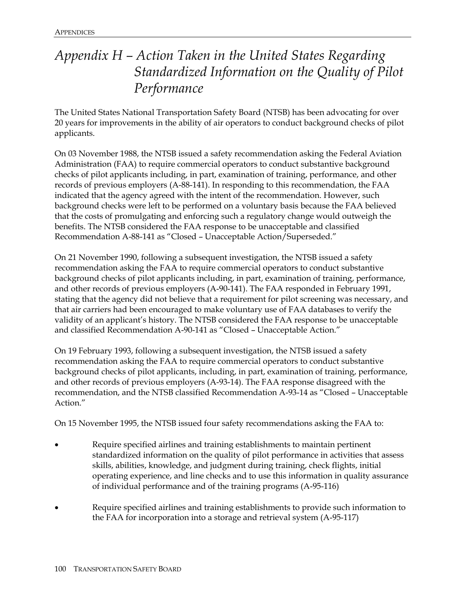# *Appendix H – Action Taken in the United States Regarding Standardized Information on the Quality of Pilot Performance*

The United States National Transportation Safety Board (NTSB) has been advocating for over 20 years for improvements in the ability of air operators to conduct background checks of pilot applicants.

On 03 November 1988, the NTSB issued a safety recommendation asking the Federal Aviation Administration (FAA) to require commercial operators to conduct substantive background checks of pilot applicants including, in part, examination of training, performance, and other records of previous employers (A-88-141). In responding to this recommendation, the FAA indicated that the agency agreed with the intent of the recommendation. However, such background checks were left to be performed on a voluntary basis because the FAA believed that the costs of promulgating and enforcing such a regulatory change would outweigh the benefits. The NTSB considered the FAA response to be unacceptable and classified Recommendation A-88-141 as "Closed – Unacceptable Action/Superseded."

On 21 November 1990, following a subsequent investigation, the NTSB issued a safety recommendation asking the FAA to require commercial operators to conduct substantive background checks of pilot applicants including, in part, examination of training, performance, and other records of previous employers (A-90-141). The FAA responded in February 1991, stating that the agency did not believe that a requirement for pilot screening was necessary, and that air carriers had been encouraged to make voluntary use of FAA databases to verify the validity of an applicant's history. The NTSB considered the FAA response to be unacceptable and classified Recommendation A-90-141 as "Closed – Unacceptable Action."

On 19 February 1993, following a subsequent investigation, the NTSB issued a safety recommendation asking the FAA to require commercial operators to conduct substantive background checks of pilot applicants, including, in part, examination of training, performance, and other records of previous employers (A-93-14). The FAA response disagreed with the recommendation, and the NTSB classified Recommendation A-93-14 as "Closed – Unacceptable Action."

On 15 November 1995, the NTSB issued four safety recommendations asking the FAA to:

- Require specified airlines and training establishments to maintain pertinent standardized information on the quality of pilot performance in activities that assess skills, abilities, knowledge, and judgment during training, check flights, initial operating experience, and line checks and to use this information in quality assurance of individual performance and of the training programs (A-95-116)
- Require specified airlines and training establishments to provide such information to the FAA for incorporation into a storage and retrieval system (A-95-117)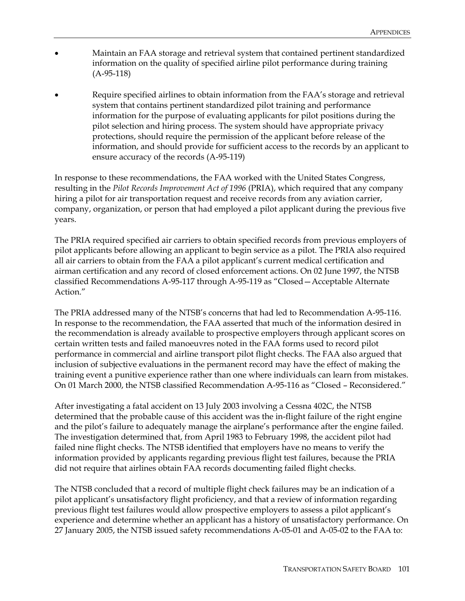- Maintain an FAA storage and retrieval system that contained pertinent standardized information on the quality of specified airline pilot performance during training (A-95-118)
- Require specified airlines to obtain information from the FAA's storage and retrieval system that contains pertinent standardized pilot training and performance information for the purpose of evaluating applicants for pilot positions during the pilot selection and hiring process. The system should have appropriate privacy protections, should require the permission of the applicant before release of the information, and should provide for sufficient access to the records by an applicant to ensure accuracy of the records (A-95-119)

In response to these recommendations, the FAA worked with the United States Congress, resulting in the *Pilot Records Improvement Act of 1996* (PRIA), which required that any company hiring a pilot for air transportation request and receive records from any aviation carrier, company, organization, or person that had employed a pilot applicant during the previous five years.

The PRIA required specified air carriers to obtain specified records from previous employers of pilot applicants before allowing an applicant to begin service as a pilot. The PRIA also required all air carriers to obtain from the FAA a pilot applicant's current medical certification and airman certification and any record of closed enforcement actions. On 02 June 1997, the NTSB classified Recommendations A-95-117 through A-95-119 as "Closed—Acceptable Alternate Action."

The PRIA addressed many of the NTSB's concerns that had led to Recommendation A-95-116. In response to the recommendation, the FAA asserted that much of the information desired in the recommendation is already available to prospective employers through applicant scores on certain written tests and failed manoeuvres noted in the FAA forms used to record pilot performance in commercial and airline transport pilot flight checks. The FAA also argued that inclusion of subjective evaluations in the permanent record may have the effect of making the training event a punitive experience rather than one where individuals can learn from mistakes. On 01 March 2000, the NTSB classified Recommendation A-95-116 as "Closed – Reconsidered."

After investigating a fatal accident on 13 July 2003 involving a Cessna 402C, the NTSB determined that the probable cause of this accident was the in-flight failure of the right engine and the pilot's failure to adequately manage the airplane's performance after the engine failed. The investigation determined that, from April 1983 to February 1998, the accident pilot had failed nine flight checks. The NTSB identified that employers have no means to verify the information provided by applicants regarding previous flight test failures, because the PRIA did not require that airlines obtain FAA records documenting failed flight checks.

The NTSB concluded that a record of multiple flight check failures may be an indication of a pilot applicant's unsatisfactory flight proficiency, and that a review of information regarding previous flight test failures would allow prospective employers to assess a pilot applicant's experience and determine whether an applicant has a history of unsatisfactory performance. On 27 January 2005, the NTSB issued safety recommendations A-05-01 and A-05-02 to the FAA to: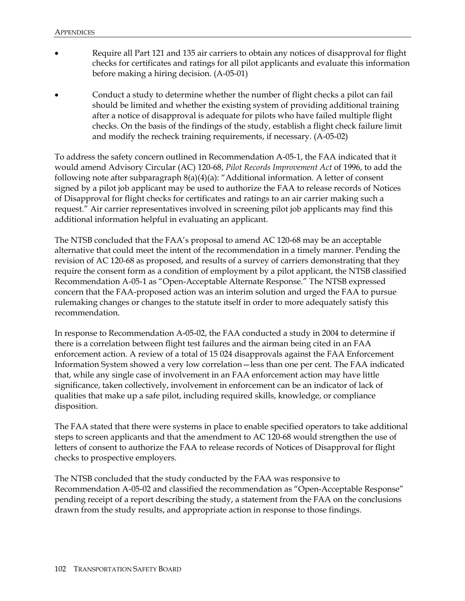- Require all Part 121 and 135 air carriers to obtain any notices of disapproval for flight checks for certificates and ratings for all pilot applicants and evaluate this information before making a hiring decision. (A-05-01)
- Conduct a study to determine whether the number of flight checks a pilot can fail should be limited and whether the existing system of providing additional training after a notice of disapproval is adequate for pilots who have failed multiple flight checks. On the basis of the findings of the study, establish a flight check failure limit and modify the recheck training requirements, if necessary. (A-05-02)

To address the safety concern outlined in Recommendation A-05-1, the FAA indicated that it would amend Advisory Circular (AC) 120-68, *Pilot Records Improvement Act* of 1996, to add the following note after subparagraph 8(a)(4)(a): "Additional information. A letter of consent signed by a pilot job applicant may be used to authorize the FAA to release records of Notices of Disapproval for flight checks for certificates and ratings to an air carrier making such a request." Air carrier representatives involved in screening pilot job applicants may find this additional information helpful in evaluating an applicant.

The NTSB concluded that the FAA's proposal to amend AC 120-68 may be an acceptable alternative that could meet the intent of the recommendation in a timely manner. Pending the revision of AC 120-68 as proposed, and results of a survey of carriers demonstrating that they require the consent form as a condition of employment by a pilot applicant, the NTSB classified Recommendation A-05-1 as "Open-Acceptable Alternate Response." The NTSB expressed concern that the FAA-proposed action was an interim solution and urged the FAA to pursue rulemaking changes or changes to the statute itself in order to more adequately satisfy this recommendation.

In response to Recommendation A-05-02, the FAA conducted a study in 2004 to determine if there is a correlation between flight test failures and the airman being cited in an FAA enforcement action. A review of a total of 15 024 disapprovals against the FAA Enforcement Information System showed a very low correlation—less than one per cent. The FAA indicated that, while any single case of involvement in an FAA enforcement action may have little significance, taken collectively, involvement in enforcement can be an indicator of lack of qualities that make up a safe pilot, including required skills, knowledge, or compliance disposition.

The FAA stated that there were systems in place to enable specified operators to take additional steps to screen applicants and that the amendment to AC 120-68 would strengthen the use of letters of consent to authorize the FAA to release records of Notices of Disapproval for flight checks to prospective employers.

The NTSB concluded that the study conducted by the FAA was responsive to Recommendation A-05-02 and classified the recommendation as "Open-Acceptable Response" pending receipt of a report describing the study, a statement from the FAA on the conclusions drawn from the study results, and appropriate action in response to those findings.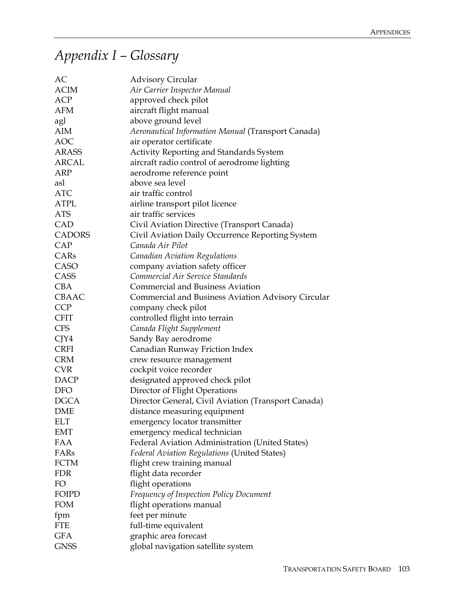## *Appendix I – Glossary*

| AC            | <b>Advisory Circular</b>                            |
|---------------|-----------------------------------------------------|
| <b>ACIM</b>   | Air Carrier Inspector Manual                        |
| <b>ACP</b>    | approved check pilot                                |
| <b>AFM</b>    | aircraft flight manual                              |
| agl           | above ground level                                  |
| <b>AIM</b>    | Aeronautical Information Manual (Transport Canada)  |
| <b>AOC</b>    | air operator certificate                            |
| <b>ARASS</b>  | Activity Reporting and Standards System             |
| <b>ARCAL</b>  | aircraft radio control of aerodrome lighting        |
| ARP           | aerodrome reference point                           |
| asl           | above sea level                                     |
| <b>ATC</b>    | air traffic control                                 |
| <b>ATPL</b>   | airline transport pilot licence                     |
| <b>ATS</b>    | air traffic services                                |
| CAD           | Civil Aviation Directive (Transport Canada)         |
| <b>CADORS</b> | Civil Aviation Daily Occurrence Reporting System    |
| CAP           | Canada Air Pilot                                    |
| CARs          | <b>Canadian Aviation Regulations</b>                |
| CASO          | company aviation safety officer                     |
| CASS          | Commercial Air Service Standards                    |
| <b>CBA</b>    | <b>Commercial and Business Aviation</b>             |
| CBAAC         | Commercial and Business Aviation Advisory Circular  |
| <b>CCP</b>    | company check pilot                                 |
| <b>CFIT</b>   | controlled flight into terrain                      |
| <b>CFS</b>    | Canada Flight Supplement                            |
| CJY4          | Sandy Bay aerodrome                                 |
| <b>CRFI</b>   | Canadian Runway Friction Index                      |
| <b>CRM</b>    | crew resource management                            |
| <b>CVR</b>    | cockpit voice recorder                              |
| <b>DACP</b>   | designated approved check pilot                     |
| <b>DFO</b>    | Director of Flight Operations                       |
| <b>DGCA</b>   | Director General, Civil Aviation (Transport Canada) |
| <b>DME</b>    | distance measuring equipment                        |
| ELT           | emergency locator transmitter                       |
| <b>EMT</b>    | emergency medical technician                        |
| FAA           | Federal Aviation Administration (United States)     |
| FARs          | Federal Aviation Regulations (United States)        |
| <b>FCTM</b>   | flight crew training manual                         |
| <b>FDR</b>    | flight data recorder                                |
| FO            | flight operations                                   |
| <b>FOIPD</b>  | <b>Frequency of Inspection Policy Document</b>      |
| <b>FOM</b>    | flight operations manual                            |
| fpm           | feet per minute                                     |
| <b>FTE</b>    | full-time equivalent                                |
| <b>GFA</b>    | graphic area forecast                               |
| <b>GNSS</b>   | global navigation satellite system                  |
|               |                                                     |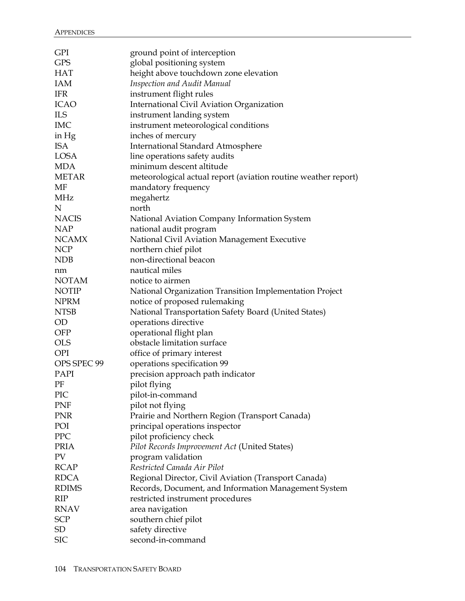| <b>GPI</b>   | ground point of interception                                   |
|--------------|----------------------------------------------------------------|
| <b>GPS</b>   | global positioning system                                      |
| <b>HAT</b>   | height above touchdown zone elevation                          |
| <b>IAM</b>   | <b>Inspection and Audit Manual</b>                             |
| <b>IFR</b>   | instrument flight rules                                        |
| <b>ICAO</b>  | International Civil Aviation Organization                      |
| <b>ILS</b>   | instrument landing system                                      |
| <b>IMC</b>   | instrument meteorological conditions                           |
| in $Hg$      | inches of mercury                                              |
| <b>ISA</b>   | <b>International Standard Atmosphere</b>                       |
| <b>LOSA</b>  | line operations safety audits                                  |
| <b>MDA</b>   | minimum descent altitude                                       |
| <b>METAR</b> | meteorological actual report (aviation routine weather report) |
| MF           | mandatory frequency                                            |
| MHz          | megahertz                                                      |
| $\mathbf N$  | north                                                          |
| <b>NACIS</b> | National Aviation Company Information System                   |
| <b>NAP</b>   | national audit program                                         |
| <b>NCAMX</b> | National Civil Aviation Management Executive                   |
| <b>NCP</b>   | northern chief pilot                                           |
| NDB          | non-directional beacon                                         |
| nm           | nautical miles                                                 |
| <b>NOTAM</b> | notice to airmen                                               |
| <b>NOTIP</b> | National Organization Transition Implementation Project        |
| <b>NPRM</b>  | notice of proposed rulemaking                                  |
| <b>NTSB</b>  | National Transportation Safety Board (United States)           |
| <b>OD</b>    | operations directive                                           |
| <b>OFP</b>   | operational flight plan                                        |
| <b>OLS</b>   | obstacle limitation surface                                    |
| <b>OPI</b>   | office of primary interest                                     |
| OPS SPEC 99  | operations specification 99                                    |
| PAPI         | precision approach path indicator                              |
| ΡF           | pilot flying                                                   |
| PIC          | pilot-in-command                                               |
| PNF          | pilot not flying                                               |
| <b>PNR</b>   | Prairie and Northern Region (Transport Canada)                 |
| POI          | principal operations inspector                                 |
| PPC          | pilot proficiency check                                        |
| <b>PRIA</b>  | Pilot Records Improvement Act (United States)                  |
| PV           | program validation                                             |
| <b>RCAP</b>  | Restricted Canada Air Pilot                                    |
| <b>RDCA</b>  | Regional Director, Civil Aviation (Transport Canada)           |
| <b>RDIMS</b> | Records, Document, and Information Management System           |
| <b>RIP</b>   | restricted instrument procedures                               |
| <b>RNAV</b>  | area navigation                                                |
| <b>SCP</b>   | southern chief pilot                                           |
| SD           | safety directive                                               |
| <b>SIC</b>   | second-in-command                                              |